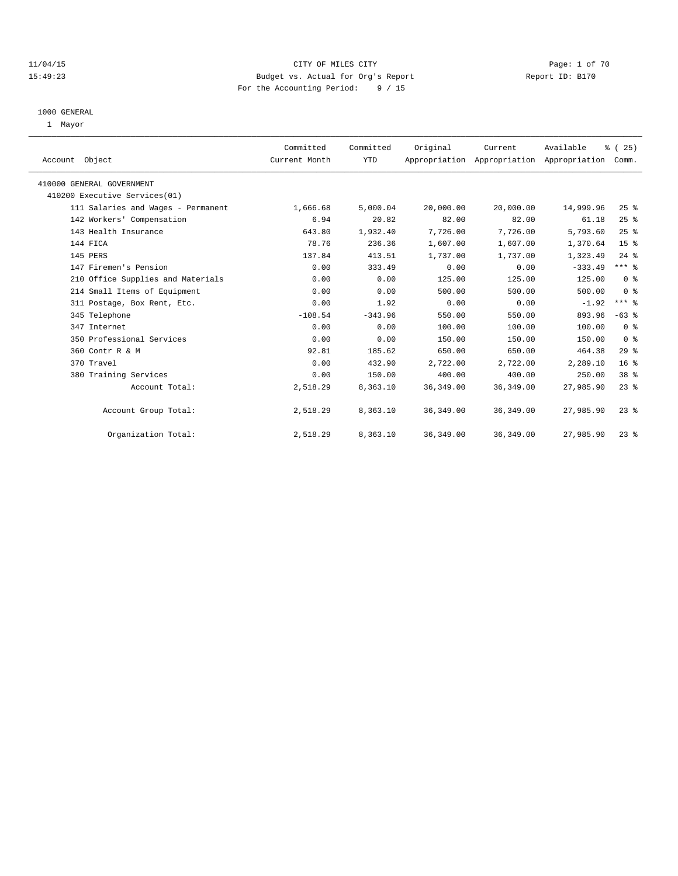### 11/04/15 CITY OF MILES CITY Page: 1 of 70 15:49:23 Budget vs. Actual for Org's Report Report ID: B170 For the Accounting Period: 9 / 15

#### 1000 GENERAL

1 Mayor

| Account Object                     | Committed<br>Current Month | Committed<br><b>YTD</b> | Original   | Current    | Available<br>Appropriation Appropriation Appropriation | % (25)<br>Comm. |  |
|------------------------------------|----------------------------|-------------------------|------------|------------|--------------------------------------------------------|-----------------|--|
|                                    |                            |                         |            |            |                                                        |                 |  |
| 410000 GENERAL GOVERNMENT          |                            |                         |            |            |                                                        |                 |  |
| 410200 Executive Services(01)      |                            |                         |            |            |                                                        |                 |  |
| 111 Salaries and Wages - Permanent | 1,666.68                   | 5,000.04                | 20,000.00  | 20,000.00  | 14,999.96                                              | 25%             |  |
| 142 Workers' Compensation          | 6.94                       | 20.82                   | 82.00      | 82.00      | 61.18                                                  | 25%             |  |
| 143 Health Insurance               | 643.80                     | 1,932.40                | 7,726.00   | 7,726.00   | 5,793.60                                               | 25%             |  |
| 144 FICA                           | 78.76                      | 236.36                  | 1,607.00   | 1,607.00   | 1,370.64                                               | 15 <sup>°</sup> |  |
| 145 PERS                           | 137.84                     | 413.51                  | 1,737.00   | 1,737.00   | 1,323.49                                               | $24$ $%$        |  |
| 147 Firemen's Pension              | 0.00                       | 333.49                  | 0.00       | 0.00       | $-333.49$                                              | $***$ $-$       |  |
| 210 Office Supplies and Materials  | 0.00                       | 0.00                    | 125.00     | 125.00     | 125.00                                                 | 0 <sup>8</sup>  |  |
| 214 Small Items of Equipment       | 0.00                       | 0.00                    | 500.00     | 500.00     | 500.00                                                 | 0 <sup>8</sup>  |  |
| 311 Postage, Box Rent, Etc.        | 0.00                       | 1.92                    | 0.00       | 0.00       | $-1.92$                                                | $***$ $%$       |  |
| 345 Telephone                      | $-108.54$                  | $-343.96$               | 550.00     | 550.00     | 893.96                                                 | $-63$ %         |  |
| 347 Internet                       | 0.00                       | 0.00                    | 100.00     | 100.00     | 100.00                                                 | 0 <sup>8</sup>  |  |
| 350 Professional Services          | 0.00                       | 0.00                    | 150.00     | 150.00     | 150.00                                                 | 0 <sup>8</sup>  |  |
| 360 Contr R & M                    | 92.81                      | 185.62                  | 650.00     | 650.00     | 464.38                                                 | 29%             |  |
| 370 Travel                         | 0.00                       | 432.90                  | 2,722.00   | 2,722.00   | 2,289.10                                               | 16 <sup>8</sup> |  |
| 380 Training Services              | 0.00                       | 150.00                  | 400.00     | 400.00     | 250.00                                                 | 38 %            |  |
| Account Total:                     | 2,518.29                   | 8,363.10                | 36, 349.00 | 36, 349.00 | 27,985.90                                              | 23%             |  |
|                                    |                            |                         |            |            |                                                        |                 |  |
| Account Group Total:               | 2,518.29                   | 8,363.10                | 36, 349.00 | 36, 349.00 | 27,985.90                                              | $23*$           |  |
| Organization Total:                | 2,518.29                   | 8,363.10                | 36, 349.00 | 36, 349.00 | 27,985.90                                              | 23%             |  |
|                                    |                            |                         |            |            |                                                        |                 |  |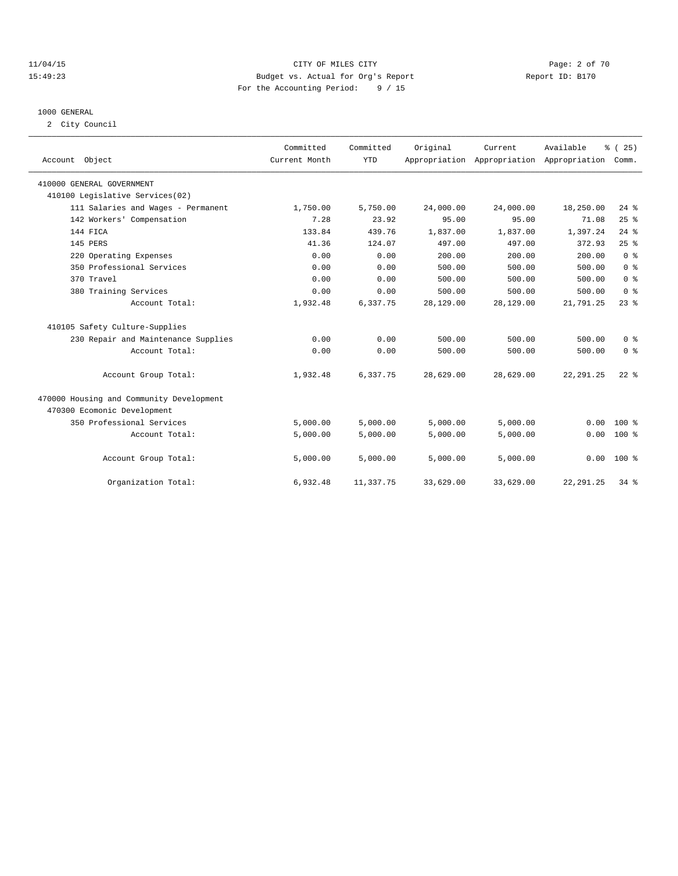### 11/04/15 CITY OF MILES CITY Page: 2 of 70 15:49:23 Budget vs. Actual for Org's Report Report ID: B170 For the Accounting Period: 9 / 15

### 1000 GENERAL

2 City Council

| Account Object                           | Committed<br>Current Month | Committed<br><b>YTD</b> | Original  | Current   | Available<br>Appropriation Appropriation Appropriation | % (25)<br>Comm. |
|------------------------------------------|----------------------------|-------------------------|-----------|-----------|--------------------------------------------------------|-----------------|
| 410000 GENERAL GOVERNMENT                |                            |                         |           |           |                                                        |                 |
| 410100 Legislative Services(02)          |                            |                         |           |           |                                                        |                 |
| 111 Salaries and Wages - Permanent       | 1,750.00                   | 5,750.00                | 24,000.00 | 24,000.00 | 18,250.00                                              | $24$ $%$        |
| 142 Workers' Compensation                | 7.28                       | 23.92                   | 95.00     | 95.00     | 71.08                                                  | 25%             |
| 144 FICA                                 | 133.84                     | 439.76                  | 1,837.00  | 1,837.00  | 1,397.24                                               | $24$ $%$        |
| 145 PERS                                 | 41.36                      | 124.07                  | 497.00    | 497.00    | 372.93                                                 | 25%             |
| 220 Operating Expenses                   | 0.00                       | 0.00                    | 200.00    | 200.00    | 200.00                                                 | 0 <sup>8</sup>  |
| 350 Professional Services                | 0.00                       | 0.00                    | 500.00    | 500.00    | 500.00                                                 | 0 <sup>8</sup>  |
| 370 Travel                               | 0.00                       | 0.00                    | 500.00    | 500.00    | 500.00                                                 | 0 <sup>8</sup>  |
| 380 Training Services                    | 0.00                       | 0.00                    | 500.00    | 500.00    | 500.00                                                 | 0 <sup>8</sup>  |
| Account Total:                           | 1,932.48                   | 6,337.75                | 28,129.00 | 28,129.00 | 21,791.25                                              | $23$ $%$        |
| 410105 Safety Culture-Supplies           |                            |                         |           |           |                                                        |                 |
| 230 Repair and Maintenance Supplies      | 0.00                       | 0.00                    | 500.00    | 500.00    | 500.00                                                 | 0 <sup>8</sup>  |
| Account Total:                           | 0.00                       | 0.00                    | 500.00    | 500.00    | 500.00                                                 | 0 <sup>8</sup>  |
| Account Group Total:                     | 1,932.48                   | 6,337.75                | 28,629.00 | 28,629.00 | 22, 291.25                                             | $22$ $%$        |
| 470000 Housing and Community Development |                            |                         |           |           |                                                        |                 |
| 470300 Ecomonic Development              |                            |                         |           |           |                                                        |                 |
| 350 Professional Services                | 5,000.00                   | 5,000.00                | 5,000.00  | 5,000.00  | 0.00                                                   | $100*$          |
| Account Total:                           | 5,000.00                   | 5,000.00                | 5,000.00  | 5,000.00  | 0.00                                                   | $100*$          |
| Account Group Total:                     | 5,000.00                   | 5,000.00                | 5,000.00  | 5,000.00  |                                                        | $0.00$ 100 %    |
| Organization Total:                      | 6.932.48                   | 11,337.75               | 33,629.00 | 33,629.00 | 22, 291.25                                             | 34.8            |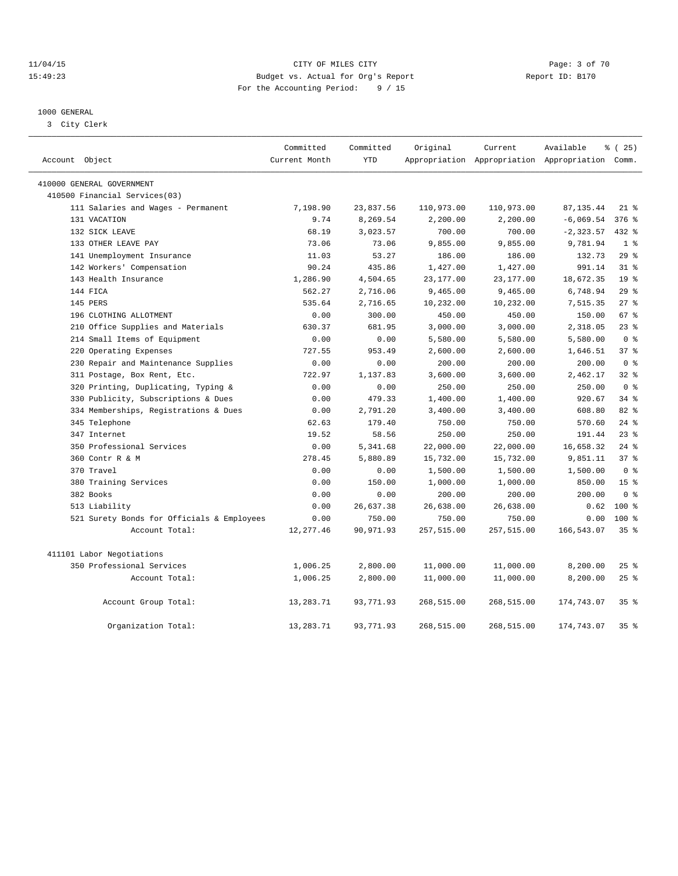### 11/04/15 CITY OF MILES CITY Page: 3 of 70 15:49:23 Budget vs. Actual for Org's Report Report ID: B170 For the Accounting Period: 9 / 15

#### 1000 GENERAL

3 City Clerk

| Account Object                             | Committed<br>Current Month | Committed<br><b>YTD</b> | Original   | Current<br>Appropriation Appropriation Appropriation Comm. | Available    | ៖ (25)          |
|--------------------------------------------|----------------------------|-------------------------|------------|------------------------------------------------------------|--------------|-----------------|
| 410000 GENERAL GOVERNMENT                  |                            |                         |            |                                                            |              |                 |
| 410500 Financial Services(03)              |                            |                         |            |                                                            |              |                 |
| 111 Salaries and Wages - Permanent         | 7,198.90                   | 23,837.56               | 110,973.00 | 110,973.00                                                 | 87, 135.44   | $21$ %          |
| 131 VACATION                               | 9.74                       | 8,269.54                | 2,200.00   | 2,200.00                                                   | $-6,069.54$  | $376$ $%$       |
| 132 SICK LEAVE                             | 68.19                      | 3,023.57                | 700.00     | 700.00                                                     | $-2, 323.57$ | 432 %           |
| 133 OTHER LEAVE PAY                        | 73.06                      | 73.06                   | 9,855.00   | 9,855.00                                                   | 9,781.94     | 1 <sup>8</sup>  |
| 141 Unemployment Insurance                 | 11.03                      | 53.27                   | 186.00     | 186.00                                                     | 132.73       | 29%             |
| 142 Workers' Compensation                  | 90.24                      | 435.86                  | 1,427.00   | 1,427.00                                                   | 991.14       | 31.8            |
| 143 Health Insurance                       | 1,286.90                   | 4,504.65                | 23,177.00  | 23, 177.00                                                 | 18,672.35    | 19 <sup>°</sup> |
| 144 FICA                                   | 562.27                     | 2,716.06                | 9,465.00   | 9,465.00                                                   | 6,748.94     | 29%             |
| 145 PERS                                   | 535.64                     | 2,716.65                | 10,232.00  | 10,232.00                                                  | 7,515.35     | $27$ %          |
| 196 CLOTHING ALLOTMENT                     | 0.00                       | 300.00                  | 450.00     | 450.00                                                     | 150.00       | 67 %            |
| 210 Office Supplies and Materials          | 630.37                     | 681.95                  | 3,000.00   | 3,000.00                                                   | 2,318.05     | $23$ $%$        |
| 214 Small Items of Equipment               | 0.00                       | 0.00                    | 5,580.00   | 5,580.00                                                   | 5,580.00     | 0 <sup>8</sup>  |
| 220 Operating Expenses                     | 727.55                     | 953.49                  | 2,600.00   | 2,600.00                                                   | 1,646.51     | 37 <sup>8</sup> |
| 230 Repair and Maintenance Supplies        | 0.00                       | 0.00                    | 200.00     | 200.00                                                     | 200.00       | 0 <sup>8</sup>  |
| 311 Postage, Box Rent, Etc.                | 722.97                     | 1,137.83                | 3,600.00   | 3,600.00                                                   | 2,462.17     | 32 <sub>8</sub> |
| 320 Printing, Duplicating, Typing &        | 0.00                       | 0.00                    | 250.00     | 250.00                                                     | 250.00       | 0 <sup>8</sup>  |
| 330 Publicity, Subscriptions & Dues        | 0.00                       | 479.33                  | 1,400.00   | 1,400.00                                                   | 920.67       | $34$ $%$        |
| 334 Memberships, Registrations & Dues      | 0.00                       | 2,791.20                | 3,400.00   | 3,400.00                                                   | 608.80       | 82%             |
| 345 Telephone                              | 62.63                      | 179.40                  | 750.00     | 750.00                                                     | 570.60       | $24$ %          |
| 347 Internet                               | 19.52                      | 58.56                   | 250.00     | 250.00                                                     | 191.44       | 23%             |
| 350 Professional Services                  | 0.00                       | 5,341.68                | 22,000.00  | 22,000.00                                                  | 16,658.32    | $24$ $%$        |
| 360 Contr R & M                            | 278.45                     | 5,880.89                | 15,732.00  | 15,732.00                                                  | 9,851.11     | 37 <sup>8</sup> |
| 370 Travel                                 | 0.00                       | 0.00                    | 1,500.00   | 1,500.00                                                   | 1,500.00     | 0 <sup>8</sup>  |
| 380 Training Services                      | 0.00                       | 150.00                  | 1,000.00   | 1,000.00                                                   | 850.00       | 15 <sup>°</sup> |
| 382 Books                                  | 0.00                       | 0.00                    | 200.00     | 200.00                                                     | 200.00       | 0 <sup>8</sup>  |
| 513 Liability                              | 0.00                       | 26,637.38               | 26,638.00  | 26,638.00                                                  | 0.62         | 100 %           |
| 521 Surety Bonds for Officials & Employees | 0.00                       | 750.00                  | 750.00     | 750.00                                                     | 0.00         | $100*$          |
| Account Total:                             | 12, 277.46                 | 90,971.93               | 257,515.00 | 257,515.00                                                 | 166,543.07   | 35%             |
| 411101 Labor Negotiations                  |                            |                         |            |                                                            |              |                 |
| 350 Professional Services                  | 1,006.25                   | 2,800.00                | 11,000.00  | 11,000.00                                                  | 8,200.00     | $25$ $%$        |
| Account Total:                             | 1,006.25                   | 2,800.00                | 11,000.00  | 11,000.00                                                  | 8,200.00     | 25%             |
| Account Group Total:                       | 13,283.71                  | 93,771.93               | 268,515.00 | 268,515.00                                                 | 174,743.07   | 35 <sup>8</sup> |
| Organization Total:                        | 13, 283. 71                | 93,771.93               | 268,515.00 | 268,515.00                                                 | 174,743.07   | 35 <sup>8</sup> |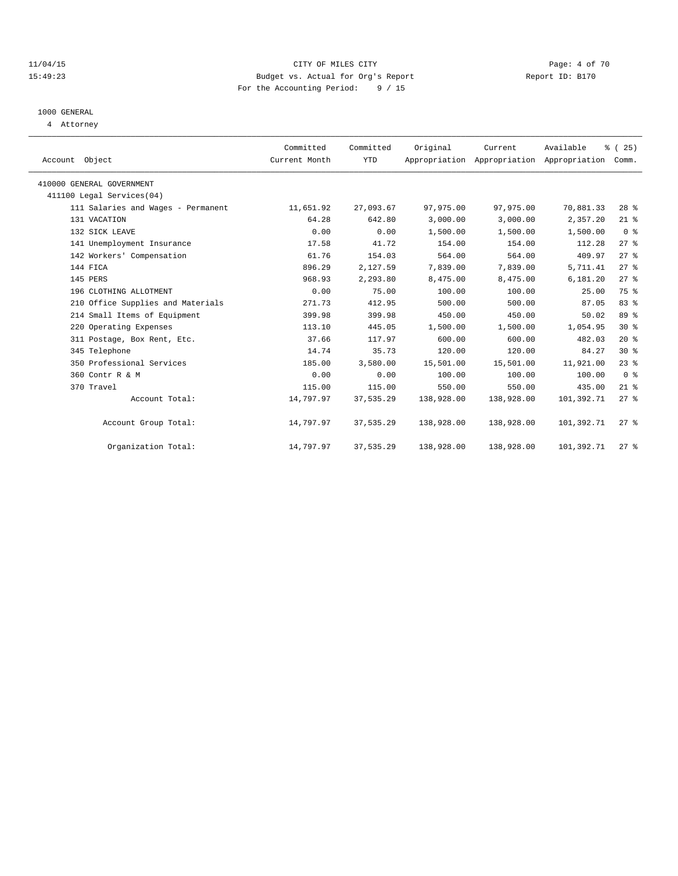### 11/04/15 CITY OF MILES CITY Page: 4 of 70 15:49:23 Budget vs. Actual for Org's Report Report ID: B170 For the Accounting Period: 9 / 15

# 1000 GENERAL

4 Attorney

| Account Object                     | Committed<br>Current Month | Committed<br><b>YTD</b> | Original   | Current<br>Appropriation Appropriation Appropriation | Available  | $\frac{3}{2}$ ( 25 )<br>Comm. |
|------------------------------------|----------------------------|-------------------------|------------|------------------------------------------------------|------------|-------------------------------|
| 410000 GENERAL GOVERNMENT          |                            |                         |            |                                                      |            |                               |
| 411100 Legal Services(04)          |                            |                         |            |                                                      |            |                               |
| 111 Salaries and Wages - Permanent | 11,651.92                  | 27,093.67               | 97,975.00  | 97,975.00                                            | 70,881.33  | $28$ %                        |
| 131 VACATION                       | 64.28                      | 642.80                  | 3,000.00   | 3,000.00                                             | 2,357.20   | $21$ %                        |
| 132 SICK LEAVE                     | 0.00                       | 0.00                    | 1,500.00   | 1,500.00                                             | 1,500.00   | 0 <sup>8</sup>                |
| 141 Unemployment Insurance         | 17.58                      | 41.72                   | 154.00     | 154.00                                               | 112.28     | $27$ $%$                      |
| 142 Workers' Compensation          | 61.76                      | 154.03                  | 564.00     | 564.00                                               | 409.97     | 27%                           |
| 144 FICA                           | 896.29                     | 2,127.59                | 7,839.00   | 7,839.00                                             | 5,711.41   | $27$ $%$                      |
| 145 PERS                           | 968.93                     | 2,293.80                | 8,475.00   | 8,475.00                                             | 6,181.20   | $27$ $%$                      |
| 196 CLOTHING ALLOTMENT             | 0.00                       | 75.00                   | 100.00     | 100.00                                               | 25.00      | 75 %                          |
| 210 Office Supplies and Materials  | 271.73                     | 412.95                  | 500.00     | 500.00                                               | 87.05      | 83%                           |
| 214 Small Items of Equipment       | 399.98                     | 399.98                  | 450.00     | 450.00                                               | 50.02      | 89 %                          |
| 220 Operating Expenses             | 113.10                     | 445.05                  | 1,500.00   | 1,500.00                                             | 1,054.95   | $30*$                         |
| 311 Postage, Box Rent, Etc.        | 37.66                      | 117.97                  | 600.00     | 600.00                                               | 482.03     | 20%                           |
| 345 Telephone                      | 14.74                      | 35.73                   | 120.00     | 120.00                                               | 84.27      | $30*$                         |
| 350 Professional Services          | 185.00                     | 3,580.00                | 15,501.00  | 15,501.00                                            | 11,921.00  | 23%                           |
| 360 Contr R & M                    | 0.00                       | 0.00                    | 100.00     | 100.00                                               | 100.00     | 0 <sup>8</sup>                |
| 370 Travel                         | 115.00                     | 115.00                  | 550.00     | 550.00                                               | 435.00     | $21$ %                        |
| Account Total:                     | 14,797.97                  | 37,535.29               | 138,928.00 | 138,928.00                                           | 101,392.71 | $27$ %                        |
| Account Group Total:               | 14,797.97                  | 37,535.29               | 138,928.00 | 138,928.00                                           | 101,392.71 | $27$ %                        |
| Organization Total:                | 14,797.97                  | 37,535.29               | 138,928.00 | 138,928.00                                           | 101,392.71 | $27$ $%$                      |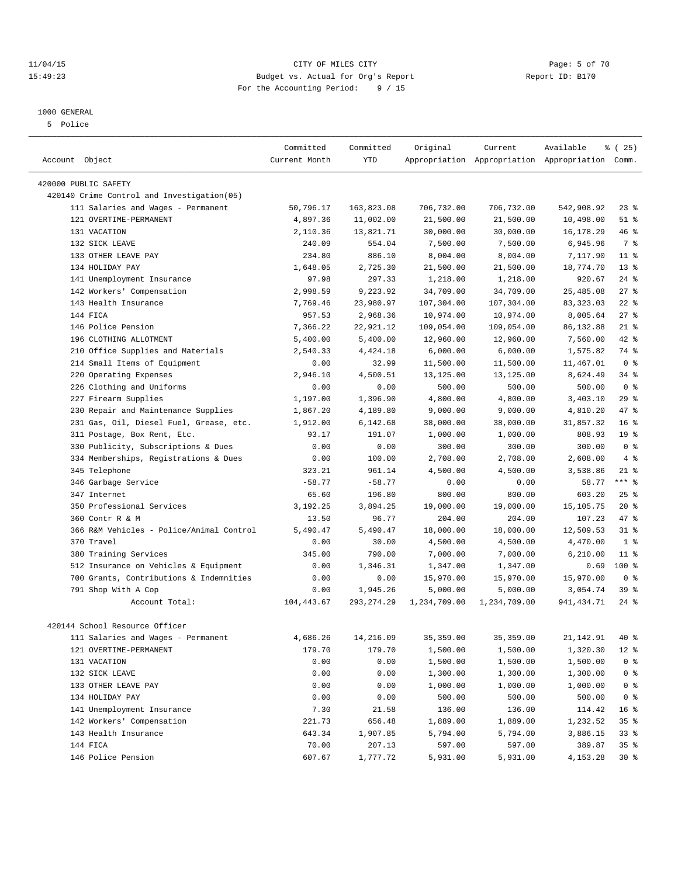### 11/04/15 CITY OF MILES CITY Page: 5 of 70 15:49:23 Budget vs. Actual for Org's Report Report ID: B170 For the Accounting Period: 9 / 15

#### 1000 GENERAL

5 Police

| Account Object                             | Committed<br>Current Month | Committed<br><b>YTD</b> | Original     | Current      | Available<br>Appropriation Appropriation Appropriation Comm. | % (25)          |
|--------------------------------------------|----------------------------|-------------------------|--------------|--------------|--------------------------------------------------------------|-----------------|
|                                            |                            |                         |              |              |                                                              |                 |
| 420000 PUBLIC SAFETY                       |                            |                         |              |              |                                                              |                 |
| 420140 Crime Control and Investigation(05) |                            |                         |              |              |                                                              |                 |
| 111 Salaries and Wages - Permanent         | 50,796.17                  | 163,823.08              | 706,732.00   | 706,732.00   | 542,908.92                                                   | $23$ $%$        |
| 121 OVERTIME-PERMANENT                     | 4,897.36                   | 11,002.00               | 21,500.00    | 21,500.00    | 10,498.00                                                    | $51$ %          |
| 131 VACATION                               | 2,110.36                   | 13,821.71               | 30,000.00    | 30,000.00    | 16, 178. 29                                                  | 46 %            |
| 132 SICK LEAVE                             | 240.09                     | 554.04                  | 7,500.00     | 7,500.00     | 6,945.96                                                     | 7 %             |
| 133 OTHER LEAVE PAY                        | 234.80                     | 886.10                  | 8,004.00     | 8,004.00     | 7,117.90                                                     | 11 <sup>8</sup> |
| 134 HOLIDAY PAY                            | 1,648.05                   | 2,725.30                | 21,500.00    | 21,500.00    | 18,774.70                                                    | 13 <sup>°</sup> |
| 141 Unemployment Insurance                 | 97.98                      | 297.33                  | 1,218.00     | 1,218.00     | 920.67                                                       | $24$ %          |
| 142 Workers' Compensation                  | 2,998.59                   | 9,223.92                | 34,709.00    | 34,709.00    | 25,485.08                                                    | $27$ $%$        |
| 143 Health Insurance                       | 7,769.46                   | 23,980.97               | 107,304.00   | 107,304.00   | 83, 323.03                                                   | $22$ %          |
| 144 FICA                                   | 957.53                     | 2,968.36                | 10,974.00    | 10,974.00    | 8,005.64                                                     | $27$ %          |
| 146 Police Pension                         | 7,366.22                   | 22,921.12               | 109,054.00   | 109,054.00   | 86,132.88                                                    | $21$ %          |
| 196 CLOTHING ALLOTMENT                     | 5,400.00                   | 5,400.00                | 12,960.00    | 12,960.00    | 7,560.00                                                     | 42 %            |
| Office Supplies and Materials<br>210       | 2,540.33                   | 4,424.18                | 6,000.00     | 6,000.00     | 1,575.82                                                     | 74 %            |
| 214 Small Items of Equipment               | 0.00                       | 32.99                   | 11,500.00    | 11,500.00    | 11,467.01                                                    | 0 <sup>8</sup>  |
| 220 Operating Expenses                     | 2,946.10                   | 4,500.51                | 13,125.00    | 13,125.00    | 8,624.49                                                     | $34$ $%$        |
| 226 Clothing and Uniforms                  | 0.00                       | 0.00                    | 500.00       | 500.00       | 500.00                                                       | 0 <sup>8</sup>  |
| 227 Firearm Supplies                       | 1,197.00                   | 1,396.90                | 4,800.00     | 4,800.00     | 3,403.10                                                     | 29%             |
| Repair and Maintenance Supplies<br>230     | 1,867.20                   | 4,189.80                | 9,000.00     | 9,000.00     | 4,810.20                                                     | 47 %            |
| 231 Gas, Oil, Diesel Fuel, Grease, etc.    | 1,912.00                   | 6,142.68                | 38,000.00    | 38,000.00    | 31,857.32                                                    | 16 <sup>8</sup> |
| 311 Postage, Box Rent, Etc.                | 93.17                      | 191.07                  | 1,000.00     | 1,000.00     | 808.93                                                       | 19 <sup>°</sup> |
| 330 Publicity, Subscriptions & Dues        | 0.00                       | 0.00                    | 300.00       | 300.00       | 300.00                                                       | 0 <sup>8</sup>  |
| 334 Memberships, Registrations & Dues      | 0.00                       | 100.00                  | 2,708.00     | 2,708.00     | 2,608.00                                                     | $4 \frac{6}{6}$ |
| 345 Telephone                              | 323.21                     | 961.14                  | 4,500.00     | 4,500.00     | 3,538.86                                                     | $21$ %          |
| 346 Garbage Service                        | $-58.77$                   | $-58.77$                | 0.00         | 0.00         | 58.77                                                        | $***$ $_{8}$    |
| 347 Internet                               | 65.60                      | 196.80                  | 800.00       | 800.00       | 603.20                                                       | $25$ $%$        |
| 350 Professional Services                  | 3,192.25                   | 3,894.25                | 19,000.00    | 19,000.00    | 15,105.75                                                    | $20*$           |
| 360 Contr R & M                            | 13.50                      | 96.77                   | 204.00       | 204.00       | 107.23                                                       | 47 %            |
| 366 R&M Vehicles - Police/Animal Control   | 5,490.47                   | 5,490.47                | 18,000.00    | 18,000.00    | 12,509.53                                                    | $31$ $%$        |
| 370 Travel                                 | 0.00                       | 30.00                   | 4,500.00     | 4,500.00     | 4,470.00                                                     | 1 <sup>8</sup>  |
| 380 Training Services                      | 345.00                     | 790.00                  | 7,000.00     | 7,000.00     | 6,210.00                                                     | $11$ %          |
| 512 Insurance on Vehicles & Equipment      | 0.00                       | 1,346.31                | 1,347.00     | 1,347.00     | 0.69                                                         | $100*$          |
| 700 Grants, Contributions & Indemnities    | 0.00                       | 0.00                    | 15,970.00    | 15,970.00    | 15,970.00                                                    | 0 <sup>8</sup>  |
| 791 Shop With A Cop                        | 0.00                       | 1,945.26                | 5,000.00     | 5,000.00     | 3,054.74                                                     | 39 %            |
| Account Total:                             | 104,443.67                 | 293, 274.29             | 1,234,709.00 | 1,234,709.00 | 941, 434. 71                                                 | $24$ %          |
|                                            |                            |                         |              |              |                                                              |                 |
| 420144 School Resource Officer             |                            |                         |              |              |                                                              |                 |
| 111 Salaries and Wages - Permanent         | 4,686.26                   | 14,216.09               | 35, 359.00   | 35, 359.00   | 21,142.91                                                    | 40 %            |
| 121 OVERTIME-PERMANENT                     | 179.70                     | 179.70                  | 1,500.00     | 1,500.00     | 1,320.30                                                     | $12$ %          |
| 131 VACATION                               | 0.00                       | 0.00                    | 1,500.00     | 1,500.00     | 1,500.00                                                     | 0 <sup>8</sup>  |
| 132 SICK LEAVE                             | 0.00                       | 0.00                    | 1,300.00     | 1,300.00     | 1,300.00                                                     | $0$ %           |
| 133 OTHER LEAVE PAY                        | 0.00                       | 0.00                    | 1,000.00     | 1,000.00     | 1,000.00                                                     | $0$ %           |
| 134 HOLIDAY PAY                            | 0.00                       | 0.00                    | 500.00       | 500.00       | 500.00                                                       | 0 <sup>8</sup>  |
| 141 Unemployment Insurance                 | 7.30                       | 21.58                   | 136.00       | 136.00       | 114.42                                                       | 16 %            |
| 142 Workers' Compensation                  | 221.73                     | 656.48                  | 1,889.00     | 1,889.00     | 1,232.52                                                     | 35 %            |
| 143 Health Insurance                       | 643.34                     | 1,907.85                | 5,794.00     | 5,794.00     | 3,886.15                                                     | 33 %            |
| 144 FICA                                   | 70.00                      | 207.13                  | 597.00       | 597.00       | 389.87                                                       | 35 %            |
| 146 Police Pension                         | 607.67                     | 1,777.72                | 5,931.00     | 5,931.00     | 4,153.28                                                     | $30*$           |
|                                            |                            |                         |              |              |                                                              |                 |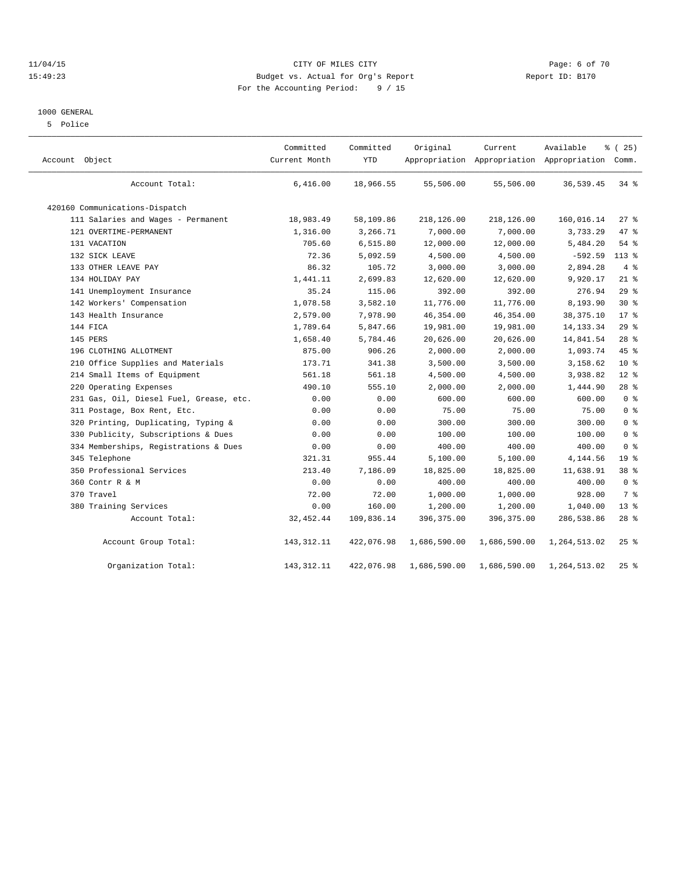### 11/04/15 CITY OF MILES CITY Page: 6 of 70 15:49:23 Budget vs. Actual for Org's Report Report ID: B170 For the Accounting Period: 9 / 15

#### 1000 GENERAL

5 Police

| Account Object                          | Committed<br>Current Month | Committed<br><b>YTD</b> | Original     | Current      | Available<br>Appropriation Appropriation Appropriation Comm. | % (25)          |
|-----------------------------------------|----------------------------|-------------------------|--------------|--------------|--------------------------------------------------------------|-----------------|
| Account Total:                          | 6,416.00                   | 18,966.55               | 55,506.00    | 55,506.00    | 36,539.45                                                    | 34 %            |
| 420160 Communications-Dispatch          |                            |                         |              |              |                                                              |                 |
| 111 Salaries and Wages - Permanent      | 18,983.49                  | 58,109.86               | 218,126.00   | 218,126.00   | 160,016.14                                                   | $27$ %          |
| 121 OVERTIME-PERMANENT                  | 1,316.00                   | 3,266.71                | 7,000.00     | 7,000.00     | 3,733.29                                                     | 47 %            |
| 131 VACATION                            | 705.60                     | 6,515.80                | 12,000.00    | 12,000.00    | 5,484.20                                                     | 54%             |
| 132 SICK LEAVE                          | 72.36                      | 5,092.59                | 4,500.00     | 4,500.00     | $-592.59$                                                    | $113*$          |
| 133 OTHER LEAVE PAY                     | 86.32                      | 105.72                  | 3,000.00     | 3,000.00     | 2,894.28                                                     | 4%              |
| 134 HOLIDAY PAY                         | 1,441.11                   | 2,699.83                | 12,620.00    | 12,620.00    | 9,920.17                                                     | $21$ %          |
| 141 Unemployment Insurance              | 35.24                      | 115.06                  | 392.00       | 392.00       | 276.94                                                       | 29%             |
| 142 Workers' Compensation               | 1,078.58                   | 3,582.10                | 11,776.00    | 11,776.00    | 8,193.90                                                     | $30*$           |
| 143 Health Insurance                    | 2,579.00                   | 7,978.90                | 46, 354.00   | 46, 354.00   | 38, 375. 10                                                  | $17*$           |
| 144 FICA                                | 1,789.64                   | 5,847.66                | 19,981.00    | 19,981.00    | 14, 133. 34                                                  | $29$ %          |
| 145 PERS                                | 1,658.40                   | 5,784.46                | 20,626.00    | 20,626.00    | 14,841.54                                                    | $28$ %          |
| 196 CLOTHING ALLOTMENT                  | 875.00                     | 906.26                  | 2,000.00     | 2,000.00     | 1,093.74                                                     | 45 %            |
| 210 Office Supplies and Materials       | 173.71                     | 341.38                  | 3,500.00     | 3,500.00     | 3,158.62                                                     | $10*$           |
| 214 Small Items of Equipment            | 561.18                     | 561.18                  | 4,500.00     | 4,500.00     | 3,938.82                                                     | $12*$           |
| 220 Operating Expenses                  | 490.10                     | 555.10                  | 2,000.00     | 2,000.00     | 1,444.90                                                     | $28$ $%$        |
| 231 Gas, Oil, Diesel Fuel, Grease, etc. | 0.00                       | 0.00                    | 600.00       | 600.00       | 600.00                                                       | 0 <sup>°</sup>  |
| 311 Postage, Box Rent, Etc.             | 0.00                       | 0.00                    | 75.00        | 75.00        | 75.00                                                        | 0 <sup>8</sup>  |
| 320 Printing, Duplicating, Typing &     | 0.00                       | 0.00                    | 300.00       | 300.00       | 300.00                                                       | 0 <sup>8</sup>  |
| 330 Publicity, Subscriptions & Dues     | 0.00                       | 0.00                    | 100.00       | 100.00       | 100.00                                                       | 0 <sup>°</sup>  |
| 334 Memberships, Registrations & Dues   | 0.00                       | 0.00                    | 400.00       | 400.00       | 400.00                                                       | 0 <sup>8</sup>  |
| 345 Telephone                           | 321.31                     | 955.44                  | 5,100.00     | 5,100.00     | 4,144.56                                                     | 19 <sup>°</sup> |
| 350 Professional Services               | 213.40                     | 7,186.09                | 18,825.00    | 18,825.00    | 11,638.91                                                    | 38 %            |
| 360 Contr R & M                         | 0.00                       | 0.00                    | 400.00       | 400.00       | 400.00                                                       | 0 <sup>8</sup>  |
| 370 Travel                              | 72.00                      | 72.00                   | 1,000.00     | 1,000.00     | 928.00                                                       | 7 %             |
| 380 Training Services                   | 0.00                       | 160.00                  | 1,200.00     | 1,200.00     | 1,040.00                                                     | $13*$           |
| Account Total:                          | 32, 452.44                 | 109,836.14              | 396,375.00   | 396,375.00   | 286,538.86                                                   | $28$ %          |
| Account Group Total:                    | 143, 312. 11               | 422,076.98              | 1,686,590.00 | 1,686,590.00 | 1,264,513.02                                                 | 25%             |
| Organization Total:                     | 143, 312. 11               | 422,076.98              | 1,686,590.00 | 1,686,590.00 | 1,264,513.02                                                 | $25$ %          |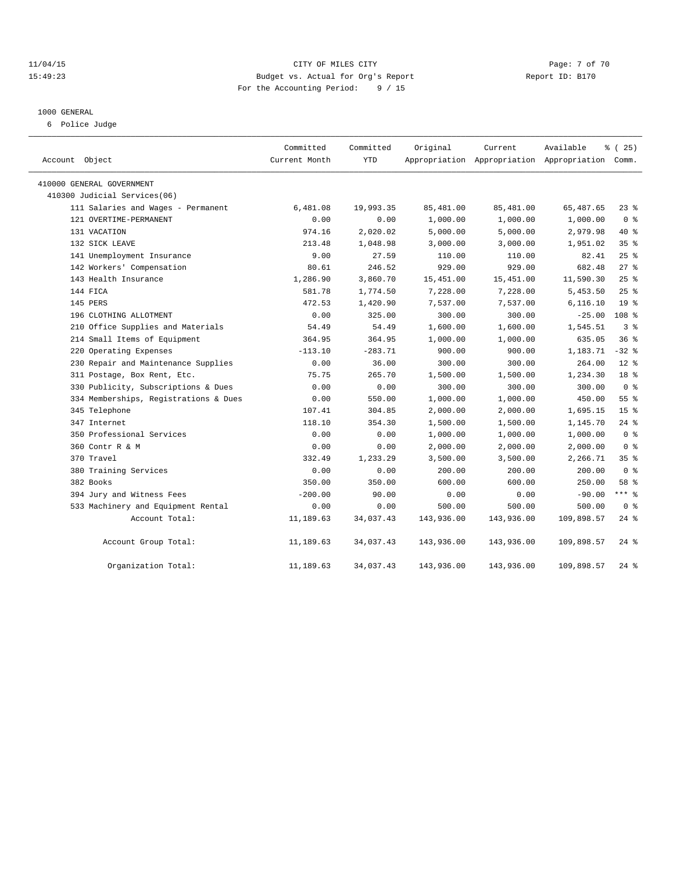### 11/04/15 CITY OF MILES CITY Page: 7 of 70 15:49:23 Budget vs. Actual for Org's Report Report ID: B170 For the Accounting Period: 9 / 15

#### 1000 GENERAL

6 Police Judge

| Account Object                        | Committed<br>Current Month | Committed<br><b>YTD</b> | Original   | Current    | Available<br>Appropriation Appropriation Appropriation Comm. | % (25)          |  |
|---------------------------------------|----------------------------|-------------------------|------------|------------|--------------------------------------------------------------|-----------------|--|
| 410000 GENERAL GOVERNMENT             |                            |                         |            |            |                                                              |                 |  |
| 410300 Judicial Services(06)          |                            |                         |            |            |                                                              |                 |  |
| 111 Salaries and Wages - Permanent    | 6,481.08                   | 19,993.35               | 85,481.00  | 85,481.00  | 65,487.65                                                    | $23$ $%$        |  |
| 121 OVERTIME-PERMANENT                | 0.00                       | 0.00                    | 1,000.00   | 1,000.00   | 1,000.00                                                     | 0 <sup>8</sup>  |  |
| 131 VACATION                          | 974.16                     | 2,020.02                | 5,000.00   | 5,000.00   | 2,979.98                                                     | $40*$           |  |
| 132 SICK LEAVE                        | 213.48                     | 1,048.98                | 3,000.00   | 3,000.00   | 1,951.02                                                     | 35 <sup>8</sup> |  |
| 141 Unemployment Insurance            | 9.00                       | 27.59                   | 110.00     | 110.00     | 82.41                                                        | 25%             |  |
| 142 Workers' Compensation             | 80.61                      | 246.52                  | 929.00     | 929.00     | 682.48                                                       | $27$ $%$        |  |
| 143 Health Insurance                  | 1,286.90                   | 3,860.70                | 15,451.00  | 15,451.00  | 11,590.30                                                    | 25%             |  |
| 144 FICA                              | 581.78                     | 1,774.50                | 7,228.00   | 7,228.00   | 5,453.50                                                     | 25%             |  |
| 145 PERS                              | 472.53                     | 1,420.90                | 7,537.00   | 7,537.00   | 6,116.10                                                     | 19 <sup>°</sup> |  |
| 196 CLOTHING ALLOTMENT                | 0.00                       | 325.00                  | 300.00     | 300.00     | $-25.00$                                                     | 108 %           |  |
| 210 Office Supplies and Materials     | 54.49                      | 54.49                   | 1,600.00   | 1,600.00   | 1,545.51                                                     | 3 <sup>8</sup>  |  |
| 214 Small Items of Equipment          | 364.95                     | 364.95                  | 1,000.00   | 1,000.00   | 635.05                                                       | 36 <sup>8</sup> |  |
| 220 Operating Expenses                | $-113.10$                  | $-283.71$               | 900.00     | 900.00     | 1,183.71                                                     | $-32$ $%$       |  |
| 230 Repair and Maintenance Supplies   | 0.00                       | 36.00                   | 300.00     | 300.00     | 264.00                                                       | $12*$           |  |
| 311 Postage, Box Rent, Etc.           | 75.75                      | 265.70                  | 1,500.00   | 1,500.00   | 1,234.30                                                     | 18 <sup>°</sup> |  |
| 330 Publicity, Subscriptions & Dues   | 0.00                       | 0.00                    | 300.00     | 300.00     | 300.00                                                       | 0 <sup>8</sup>  |  |
| 334 Memberships, Registrations & Dues | 0.00                       | 550.00                  | 1,000.00   | 1,000.00   | 450.00                                                       | 55 <sup>8</sup> |  |
| 345 Telephone                         | 107.41                     | 304.85                  | 2,000.00   | 2,000.00   | 1,695.15                                                     | 15 <sup>8</sup> |  |
| 347 Internet                          | 118.10                     | 354.30                  | 1,500.00   | 1,500.00   | 1,145.70                                                     | $24$ $%$        |  |
| 350 Professional Services             | 0.00                       | 0.00                    | 1,000.00   | 1,000.00   | 1,000.00                                                     | 0 <sup>8</sup>  |  |
| 360 Contr R & M                       | 0.00                       | 0.00                    | 2,000.00   | 2,000.00   | 2,000.00                                                     | 0 <sup>8</sup>  |  |
| 370 Travel                            | 332.49                     | 1,233.29                | 3,500.00   | 3,500.00   | 2,266.71                                                     | 35%             |  |
| 380 Training Services                 | 0.00                       | 0.00                    | 200.00     | 200.00     | 200.00                                                       | 0 <sup>8</sup>  |  |
| 382 Books                             | 350.00                     | 350.00                  | 600.00     | 600.00     | 250.00                                                       | 58 %            |  |
| 394 Jury and Witness Fees             | $-200.00$                  | 90.00                   | 0.00       | 0.00       | $-90.00$                                                     | *** %           |  |
| 533 Machinery and Equipment Rental    | 0.00                       | 0.00                    | 500.00     | 500.00     | 500.00                                                       | 0 <sup>8</sup>  |  |
| Account Total:                        | 11,189.63                  | 34,037.43               | 143,936.00 | 143,936.00 | 109,898.57                                                   | $24$ %          |  |
| Account Group Total:                  | 11,189.63                  | 34,037.43               | 143,936.00 | 143,936.00 | 109,898.57                                                   | $24$ %          |  |
| Organization Total:                   | 11,189.63                  | 34,037.43               | 143,936.00 | 143,936.00 | 109,898.57                                                   | $24$ %          |  |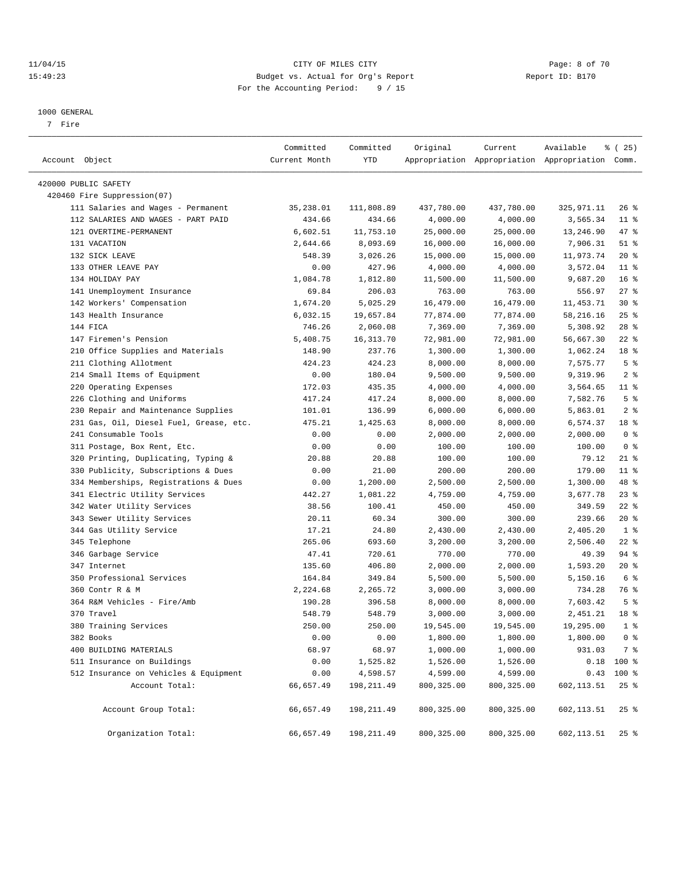### 11/04/15 CITY OF MILES CITY Page: 8 of 70 15:49:23 Budget vs. Actual for Org's Report Report ID: B170 For the Accounting Period: 9 / 15

————————————————————————————————————————————————————————————————————————————————————————————————————————————————————————————————————

#### 1000 GENERAL

7 Fire

|                                         | Committed     | Committed  | Original   | Current     | Available                                       | ៖ (25)          |
|-----------------------------------------|---------------|------------|------------|-------------|-------------------------------------------------|-----------------|
| Account Object                          | Current Month | YTD        |            |             | Appropriation Appropriation Appropriation Comm. |                 |
| 420000 PUBLIC SAFETY                    |               |            |            |             |                                                 |                 |
| 420460 Fire Suppression(07)             |               |            |            |             |                                                 |                 |
| 111 Salaries and Wages - Permanent      | 35,238.01     | 111,808.89 | 437,780.00 | 437,780.00  | 325,971.11                                      | $26$ %          |
| 112 SALARIES AND WAGES - PART PAID      | 434.66        | 434.66     | 4,000.00   | 4,000.00    | 3,565.34                                        | $11$ %          |
| 121 OVERTIME-PERMANENT                  | 6,602.51      | 11,753.10  | 25,000.00  | 25,000.00   | 13,246.90                                       | 47 %            |
| 131 VACATION                            | 2,644.66      | 8,093.69   | 16,000.00  | 16,000.00   | 7,906.31                                        | $51$ %          |
| 132 SICK LEAVE                          | 548.39        | 3,026.26   | 15,000.00  | 15,000.00   | 11,973.74                                       | $20*$           |
| 133 OTHER LEAVE PAY                     | 0.00          | 427.96     | 4,000.00   | 4,000.00    | 3,572.04                                        | $11$ %          |
| 134 HOLIDAY PAY                         | 1,084.78      | 1,812.80   | 11,500.00  | 11,500.00   | 9,687.20                                        | 16 <sup>8</sup> |
| 141 Unemployment Insurance              | 69.84         | 206.03     | 763.00     | 763.00      | 556.97                                          | $27$ %          |
| 142 Workers' Compensation               | 1,674.20      | 5,025.29   | 16,479.00  | 16,479.00   | 11,453.71                                       | $30*$           |
| 143 Health Insurance                    | 6,032.15      | 19,657.84  | 77,874.00  | 77,874.00   | 58,216.16                                       | $25$ $%$        |
| 144 FICA                                | 746.26        | 2,060.08   | 7,369.00   | 7,369.00    | 5,308.92                                        | $28$ %          |
| 147 Firemen's Pension                   | 5,408.75      | 16,313.70  | 72,981.00  | 72,981.00   | 56,667.30                                       | $22$ %          |
| 210 Office Supplies and Materials       | 148.90        | 237.76     | 1,300.00   | 1,300.00    | 1,062.24                                        | 18 <sup>8</sup> |
| 211 Clothing Allotment                  | 424.23        | 424.23     | 8,000.00   | 8,000.00    | 7,575.77                                        | 5 <sup>°</sup>  |
| 214 Small Items of Equipment            | 0.00          | 180.04     | 9,500.00   | 9,500.00    | 9,319.96                                        | 2 <sup>8</sup>  |
| 220 Operating Expenses                  | 172.03        | 435.35     | 4,000.00   | 4,000.00    | 3,564.65                                        | $11$ %          |
| 226 Clothing and Uniforms               | 417.24        | 417.24     | 8,000.00   | 8,000.00    | 7,582.76                                        | 5 <sup>°</sup>  |
| 230 Repair and Maintenance Supplies     | 101.01        | 136.99     | 6,000.00   | 6,000.00    | 5,863.01                                        | 2 <sub>8</sub>  |
| 231 Gas, Oil, Diesel Fuel, Grease, etc. | 475.21        | 1,425.63   | 8,000.00   | 8,000.00    | 6,574.37                                        | 18 %            |
| 241 Consumable Tools                    | 0.00          | 0.00       | 2,000.00   | 2,000.00    | 2,000.00                                        | 0 <sup>8</sup>  |
| 311 Postage, Box Rent, Etc.             | 0.00          | 0.00       | 100.00     | 100.00      | 100.00                                          | 0 <sup>8</sup>  |
| 320 Printing, Duplicating, Typing &     | 20.88         | 20.88      | 100.00     | 100.00      | 79.12                                           | $21$ %          |
| 330 Publicity, Subscriptions & Dues     | 0.00          | 21.00      | 200.00     | 200.00      | 179.00                                          | $11$ %          |
| 334 Memberships, Registrations & Dues   | 0.00          | 1,200.00   | 2,500.00   | 2,500.00    | 1,300.00                                        | 48 %            |
| 341 Electric Utility Services           | 442.27        | 1,081.22   | 4,759.00   | 4,759.00    | 3,677.78                                        | $23$ $%$        |
| 342 Water Utility Services              | 38.56         | 100.41     | 450.00     | 450.00      | 349.59                                          | $22$ %          |
| 343 Sewer Utility Services              | 20.11         | 60.34      | 300.00     | 300.00      | 239.66                                          | $20*$           |
| 344 Gas Utility Service                 | 17.21         | 24.80      | 2,430.00   | 2,430.00    | 2,405.20                                        | 1 <sup>8</sup>  |
| 345 Telephone                           | 265.06        | 693.60     | 3,200.00   | 3,200.00    | 2,506.40                                        | $22$ %          |
| 346 Garbage Service                     | 47.41         | 720.61     | 770.00     | 770.00      | 49.39                                           | 94 %            |
| 347 Internet                            | 135.60        | 406.80     | 2,000.00   | 2,000.00    | 1,593.20                                        | $20*$           |
| 350 Professional Services               | 164.84        | 349.84     | 5,500.00   | 5,500.00    | 5,150.16                                        | 6 %             |
| 360 Contr R & M                         | 2,224.68      | 2,265.72   | 3,000.00   | 3,000.00    | 734.28                                          | 76 %            |
| 364 R&M Vehicles - Fire/Amb             | 190.28        | 396.58     | 8,000.00   | 8,000.00    | 7,603.42                                        | 5 <sup>°</sup>  |
| 370 Travel                              | 548.79        | 548.79     | 3,000.00   | 3,000.00    | 2,451.21                                        | 18 <sup>8</sup> |
| 380 Training Services                   | 250.00        | 250.00     | 19,545.00  | 19,545.00   | 19,295.00                                       | 1 <sup>8</sup>  |
| 382 Books                               | 0.00          | 0.00       | 1,800.00   | 1,800.00    | 1,800.00                                        | 0 <sup>8</sup>  |
| 400 BUILDING MATERIALS                  | 68.97         | 68.97      | 1,000.00   | 1,000.00    | 931.03                                          | 7 %             |
| 511 Insurance on Buildings              | 0.00          | 1,525.82   | 1,526.00   | 1,526.00    |                                                 | $0.18$ 100 %    |
| 512 Insurance on Vehicles & Equipment   | 0.00          | 4,598.57   | 4,599.00   | 4,599.00    |                                                 | $0.43$ 100 %    |
| Account Total:                          | 66,657.49     | 198,211.49 | 800,325.00 | 800, 325.00 | 602, 113.51                                     | 25%             |
| Account Group Total:                    | 66,657.49     | 198,211.49 | 800,325.00 | 800,325.00  | 602,113.51                                      | $25$ %          |
| Organization Total:                     | 66,657.49     | 198,211.49 | 800,325.00 | 800,325.00  | 602,113.51                                      | 25 %            |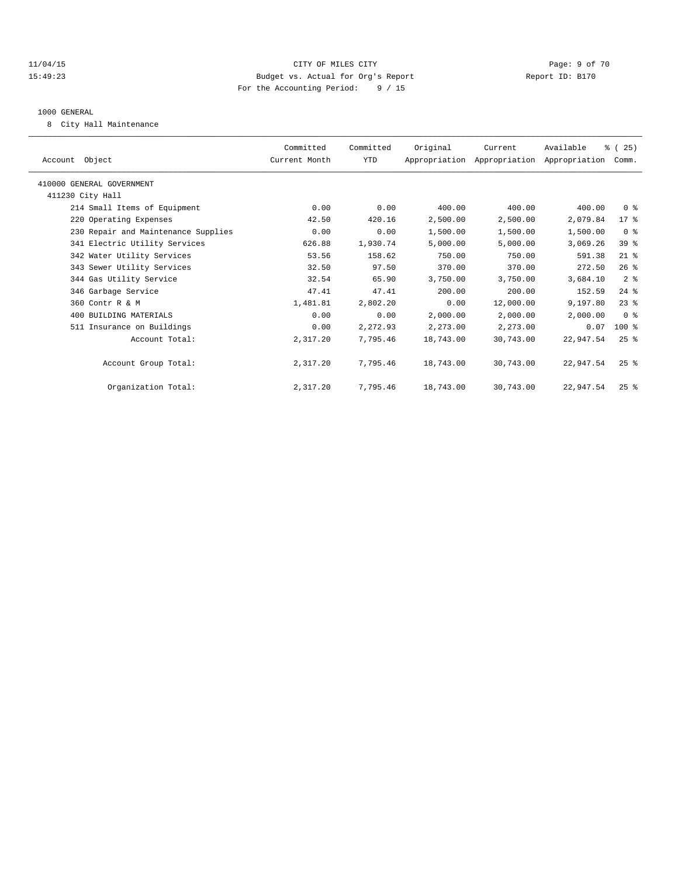### 11/04/15 CITY OF MILES CITY Page: 9 of 70 15:49:23 Budget vs. Actual for Org's Report Report ID: B170 For the Accounting Period: 9 / 15

#### 1000 GENERAL

8 City Hall Maintenance

| Account Object                      | Committed<br>Current Month | Committed<br>YTD | Original  | Current<br>Appropriation Appropriation Appropriation Comm. | Available | % (25)             |  |
|-------------------------------------|----------------------------|------------------|-----------|------------------------------------------------------------|-----------|--------------------|--|
| 410000 GENERAL GOVERNMENT           |                            |                  |           |                                                            |           |                    |  |
| 411230 City Hall                    |                            |                  |           |                                                            |           |                    |  |
| 214 Small Items of Equipment        | 0.00                       | 0.00             | 400.00    | 400.00                                                     | 400.00    | 0 <sup>8</sup>     |  |
| 220 Operating Expenses              | 42.50                      | 420.16           | 2,500.00  | 2,500.00                                                   | 2,079.84  | 17 <sub>8</sub>    |  |
| 230 Repair and Maintenance Supplies | 0.00                       | 0.00             | 1,500.00  | 1,500.00                                                   | 1,500.00  | 0 <sup>8</sup>     |  |
| 341 Electric Utility Services       | 626.88                     | 1,930.74         | 5,000.00  | 5,000.00                                                   | 3,069.26  | 39 %               |  |
| 342 Water Utility Services          | 53.56                      | 158.62           | 750.00    | 750.00                                                     | 591.38    | $21$ %             |  |
| 343 Sewer Utility Services          | 32.50                      | 97.50            | 370.00    | 370.00                                                     | 272.50    | 26%                |  |
| 344 Gas Utility Service             | 32.54                      | 65.90            | 3,750.00  | 3,750.00                                                   | 3,684.10  | 2 <sup>8</sup>     |  |
| 346 Garbage Service                 | 47.41                      | 47.41            | 200.00    | 200.00                                                     | 152.59    | $24$ $%$           |  |
| 360 Contr R & M                     | 1,481.81                   | 2,802.20         | 0.00      | 12,000.00                                                  | 9,197.80  | $23$ $%$           |  |
| 400 BUILDING MATERIALS              | 0.00                       | 0.00             | 2,000.00  | 2,000.00                                                   | 2,000.00  | 0 <sup>8</sup>     |  |
| 511 Insurance on Buildings          | 0.00                       | 2,272.93         | 2,273.00  | 2,273.00                                                   | 0.07      | $100*$             |  |
| Account Total:                      | 2,317.20                   | 7,795.46         | 18,743.00 | 30,743.00                                                  | 22,947.54 | $25$ %             |  |
| Account Group Total:                | 2,317.20                   | 7,795.46         | 18,743.00 | 30,743.00                                                  | 22,947.54 | $25$ $\frac{6}{5}$ |  |
| Organization Total:                 | 2,317.20                   | 7,795.46         | 18,743.00 | 30,743.00                                                  | 22,947.54 | $25$ $%$           |  |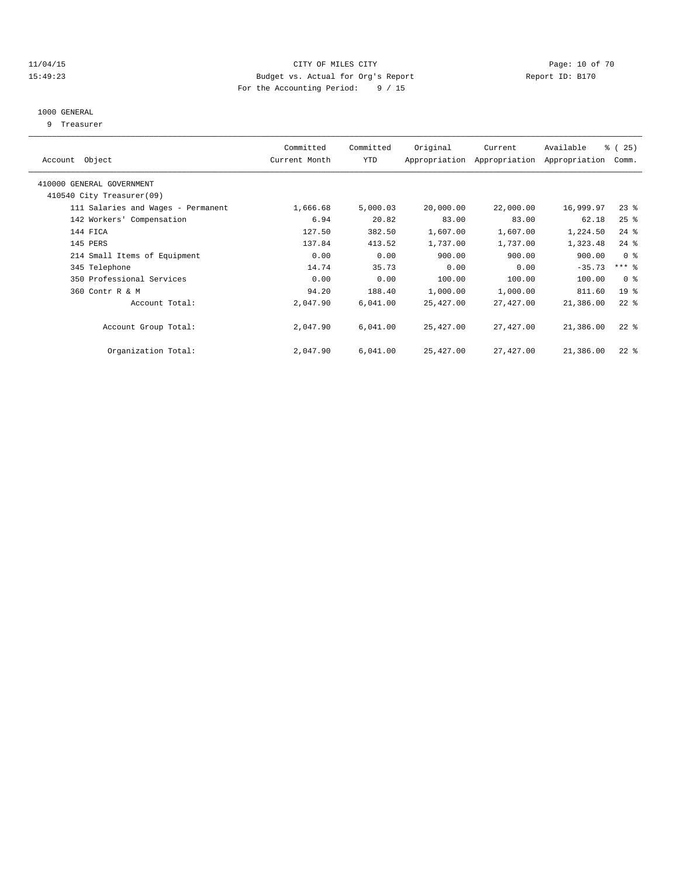### 11/04/15 **Page: 10 of 70** CITY OF MILES CITY **CITY Page: 10 of 70** 15:49:23 Budget vs. Actual for Org's Report Report ID: B170 For the Accounting Period: 9 / 15

### 1000 GENERAL

9 Treasurer

|                                    | Committed     | Committed | Original  | Current                     | Available     | % (25)          |  |
|------------------------------------|---------------|-----------|-----------|-----------------------------|---------------|-----------------|--|
| Account Object                     | Current Month | YTD       |           | Appropriation Appropriation | Appropriation | Comm.           |  |
| 410000 GENERAL GOVERNMENT          |               |           |           |                             |               |                 |  |
| 410540 City Treasurer(09)          |               |           |           |                             |               |                 |  |
| 111 Salaries and Wages - Permanent | 1,666.68      | 5,000.03  | 20,000.00 | 22,000.00                   | 16,999.97     | $23$ $%$        |  |
| 142 Workers' Compensation          | 6.94          | 20.82     | 83.00     | 83.00                       | 62.18         | $25$ $%$        |  |
| 144 FICA                           | 127.50        | 382.50    | 1,607.00  | 1,607.00                    | 1,224.50      | $24$ $%$        |  |
| 145 PERS                           | 137.84        | 413.52    | 1,737.00  | 1,737.00                    | 1,323.48      | $24$ %          |  |
| 214 Small Items of Equipment       | 0.00          | 0.00      | 900.00    | 900.00                      | 900.00        | 0 <sup>8</sup>  |  |
| 345 Telephone                      | 14.74         | 35.73     | 0.00      | 0.00                        | $-35.73$      | $***$ $-$       |  |
| 350 Professional Services          | 0.00          | 0.00      | 100.00    | 100.00                      | 100.00        | 0 <sup>8</sup>  |  |
| 360 Contr R & M                    | 94.20         | 188.40    | 1,000.00  | 1,000.00                    | 811.60        | 19 <sup>°</sup> |  |
| Account Total:                     | 2,047.90      | 6,041.00  | 25,427.00 | 27,427.00                   | 21,386.00     | $22$ $%$        |  |
|                                    |               |           |           |                             |               |                 |  |
| Account Group Total:               | 2,047.90      | 6,041,00  | 25,427.00 | 27,427.00                   | 21,386.00     | $22$ %          |  |
|                                    |               |           |           |                             |               |                 |  |
| Organization Total:                | 2,047.90      | 6,041.00  | 25,427.00 | 27,427.00                   | 21,386.00     | $22$ %          |  |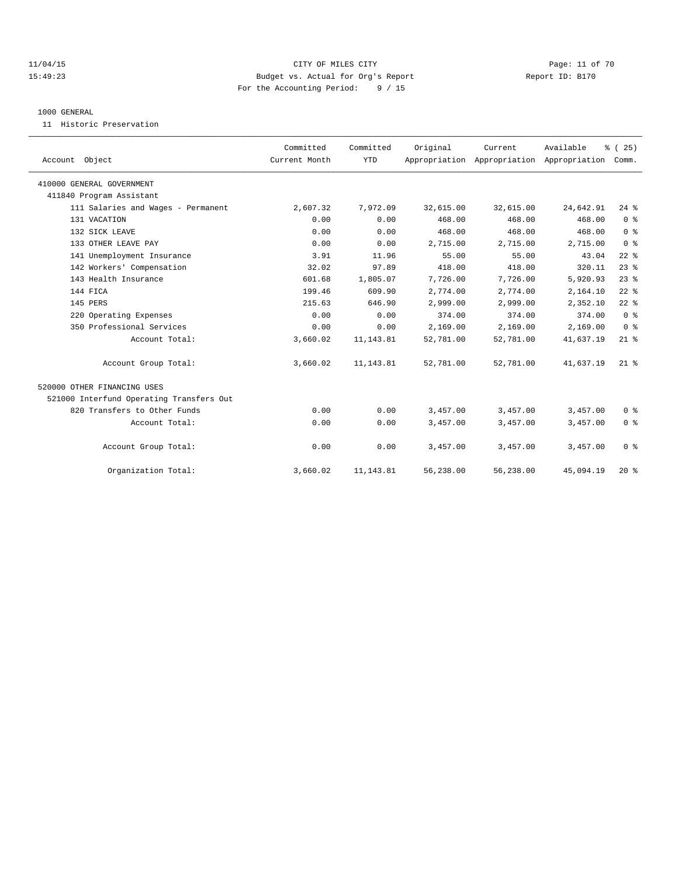### 11/04/15 **Page: 11 of 70** CITY OF MILES CITY **Page: 11 of 70** 15:49:23 Budget vs. Actual for Org's Report Report ID: B170 For the Accounting Period: 9 / 15

#### 1000 GENERAL

11 Historic Preservation

| Account Object                           | Committed<br>Current Month | Committed<br><b>YTD</b> | Original  | Current<br>Appropriation Appropriation Appropriation | Available | % (25)<br>Comm. |  |
|------------------------------------------|----------------------------|-------------------------|-----------|------------------------------------------------------|-----------|-----------------|--|
| 410000 GENERAL GOVERNMENT                |                            |                         |           |                                                      |           |                 |  |
| 411840 Program Assistant                 |                            |                         |           |                                                      |           |                 |  |
| 111 Salaries and Wages - Permanent       | 2,607.32                   | 7,972.09                | 32,615.00 | 32,615.00                                            | 24,642.91 | $24$ %          |  |
| 131 VACATION                             | 0.00                       | 0.00                    | 468.00    | 468.00                                               | 468.00    | 0 <sup>8</sup>  |  |
| 132 SICK LEAVE                           | 0.00                       | 0.00                    | 468.00    | 468.00                                               | 468.00    | 0 <sup>8</sup>  |  |
| 133 OTHER LEAVE PAY                      | 0.00                       | 0.00                    | 2,715.00  | 2,715.00                                             | 2,715.00  | 0 <sup>8</sup>  |  |
| 141 Unemployment Insurance               | 3.91                       | 11.96                   | 55.00     | 55.00                                                | 43.04     | $22$ $%$        |  |
| 142 Workers' Compensation                | 32.02                      | 97.89                   | 418.00    | 418.00                                               | 320.11    | $23$ $%$        |  |
| 143 Health Insurance                     | 601.68                     | 1,805.07                | 7,726.00  | 7,726.00                                             | 5,920.93  | $23$ $%$        |  |
| 144 FICA                                 | 199.46                     | 609.90                  | 2,774.00  | 2,774.00                                             | 2,164.10  | $22$ $%$        |  |
| 145 PERS                                 | 215.63                     | 646.90                  | 2,999.00  | 2,999.00                                             | 2,352.10  | $22$ $%$        |  |
| 220 Operating Expenses                   | 0.00                       | 0.00                    | 374.00    | 374.00                                               | 374.00    | 0 <sup>8</sup>  |  |
| 350 Professional Services                | 0.00                       | 0.00                    | 2,169.00  | 2,169.00                                             | 2,169.00  | 0 <sup>8</sup>  |  |
| Account Total:                           | 3,660.02                   | 11, 143.81              | 52,781.00 | 52,781.00                                            | 41,637.19 | $21$ %          |  |
| Account Group Total:                     | 3,660.02                   | 11, 143.81              | 52,781.00 | 52,781.00                                            | 41,637.19 | $21$ %          |  |
| 520000 OTHER FINANCING USES              |                            |                         |           |                                                      |           |                 |  |
| 521000 Interfund Operating Transfers Out |                            |                         |           |                                                      |           |                 |  |
| 820 Transfers to Other Funds             | 0.00                       | 0.00                    | 3,457.00  | 3,457.00                                             | 3,457.00  | 0 <sup>8</sup>  |  |
| Account Total:                           | 0.00                       | 0.00                    | 3,457.00  | 3,457.00                                             | 3,457.00  | 0 <sup>8</sup>  |  |
| Account Group Total:                     | 0.00                       | 0.00                    | 3,457.00  | 3,457.00                                             | 3,457.00  | 0 <sup>8</sup>  |  |
| Organization Total:                      | 3,660.02                   | 11, 143.81              | 56,238.00 | 56,238.00                                            | 45,094.19 | $20*$           |  |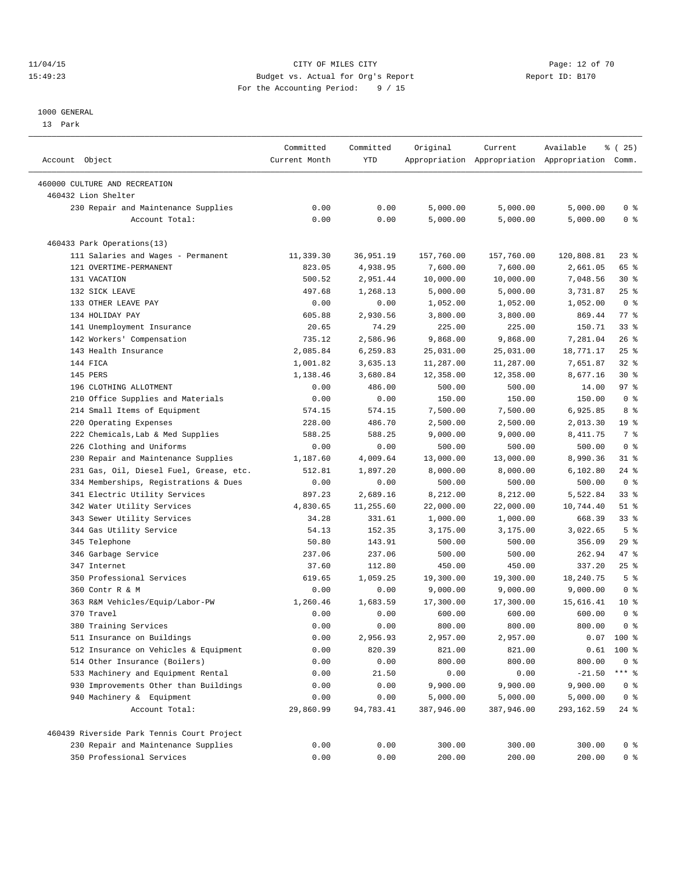### 11/04/15 Page: 12 of 70 15:49:23 Budget vs. Actual for Org's Report Report ID: B170 For the Accounting Period: 9 / 15

————————————————————————————————————————————————————————————————————————————————————————————————————————————————————————————————————

#### 1000 GENERAL

13 Park

|                                                      | Committed     | Committed | Original   | Current                                         | Available  | <sub>है</sub> (25) |
|------------------------------------------------------|---------------|-----------|------------|-------------------------------------------------|------------|--------------------|
| Account Object                                       | Current Month | YTD       |            | Appropriation Appropriation Appropriation Comm. |            |                    |
|                                                      |               |           |            |                                                 |            |                    |
| 460000 CULTURE AND RECREATION<br>460432 Lion Shelter |               |           |            |                                                 |            |                    |
| 230 Repair and Maintenance Supplies                  | 0.00          | 0.00      | 5,000.00   | 5,000.00                                        | 5,000.00   | 0 <sup>8</sup>     |
| Account Total:                                       | 0.00          | 0.00      | 5,000.00   | 5,000.00                                        | 5,000.00   | 0 <sup>8</sup>     |
|                                                      |               |           |            |                                                 |            |                    |
| 460433 Park Operations(13)                           |               |           |            |                                                 |            |                    |
| 111 Salaries and Wages - Permanent                   | 11,339.30     | 36,951.19 | 157,760.00 | 157,760.00                                      | 120,808.81 | $23$ $%$           |
| 121 OVERTIME-PERMANENT                               | 823.05        | 4,938.95  | 7,600.00   | 7,600.00                                        | 2,661.05   | 65 %               |
| 131 VACATION                                         | 500.52        | 2,951.44  | 10,000.00  | 10,000.00                                       | 7,048.56   | $30*$              |
| 132 SICK LEAVE                                       | 497.68        | 1,268.13  | 5,000.00   | 5,000.00                                        | 3,731.87   | $25$ $%$           |
| 133 OTHER LEAVE PAY                                  | 0.00          | 0.00      | 1,052.00   | 1,052.00                                        | 1,052.00   | 0 <sup>8</sup>     |
| 134 HOLIDAY PAY                                      | 605.88        | 2,930.56  | 3,800.00   | 3,800.00                                        | 869.44     | $77$ $\frac{6}{9}$ |
| 141 Unemployment Insurance                           | 20.65         | 74.29     | 225.00     | 225.00                                          | 150.71     | $33$ $%$           |
| 142 Workers' Compensation                            | 735.12        | 2,586.96  | 9,868.00   | 9,868.00                                        | 7,281.04   | $26$ %             |
| 143 Health Insurance                                 | 2,085.84      | 6,259.83  | 25,031.00  | 25,031.00                                       | 18,771.17  | $25$ $%$           |
| 144 FICA                                             | 1,001.82      | 3,635.13  | 11,287.00  | 11,287.00                                       | 7,651.87   | 32%                |
| 145 PERS                                             | 1,138.46      | 3,680.84  | 12,358.00  | 12,358.00                                       | 8,677.16   | $30*$              |
| 196 CLOTHING ALLOTMENT                               | 0.00          | 486.00    | 500.00     | 500.00                                          | 14.00      | 97%                |
| 210 Office Supplies and Materials                    | 0.00          | 0.00      | 150.00     | 150.00                                          | 150.00     | 0 <sup>8</sup>     |
| 214 Small Items of Equipment                         | 574.15        | 574.15    | 7,500.00   | 7,500.00                                        | 6,925.85   | 8 %                |
| 220 Operating Expenses                               | 228.00        | 486.70    | 2,500.00   | 2,500.00                                        | 2,013.30   | 19 <sup>°</sup>    |
| 222 Chemicals, Lab & Med Supplies                    | 588.25        | 588.25    | 9,000.00   | 9,000.00                                        | 8,411.75   | 7 %                |
| 226 Clothing and Uniforms                            | 0.00          | 0.00      | 500.00     | 500.00                                          | 500.00     | 0 <sup>8</sup>     |
| 230 Repair and Maintenance Supplies                  | 1,187.60      | 4,009.64  | 13,000.00  | 13,000.00                                       | 8,990.36   | $31$ $%$           |
| 231 Gas, Oil, Diesel Fuel, Grease, etc.              | 512.81        | 1,897.20  | 8,000.00   | 8,000.00                                        | 6,102.80   | $24$ %             |
| 334 Memberships, Registrations & Dues                | 0.00          | 0.00      | 500.00     | 500.00                                          | 500.00     | 0 <sup>8</sup>     |
| 341 Electric Utility Services                        | 897.23        | 2,689.16  | 8,212.00   | 8,212.00                                        | 5,522.84   | 33%                |
| 342 Water Utility Services                           | 4,830.65      | 11,255.60 | 22,000.00  | 22,000.00                                       | 10,744.40  | $51$ %             |
| 343 Sewer Utility Services                           | 34.28         | 331.61    | 1,000.00   | 1,000.00                                        | 668.39     | $33$ $%$           |
| 344 Gas Utility Service                              | 54.13         | 152.35    | 3,175.00   | 3,175.00                                        | 3,022.65   | 5 <sup>°</sup>     |
| 345 Telephone                                        | 50.80         | 143.91    | 500.00     | 500.00                                          | 356.09     | 29%                |
| 346 Garbage Service                                  | 237.06        | 237.06    | 500.00     | 500.00                                          | 262.94     | 47 %               |
| 347 Internet                                         | 37.60         | 112.80    | 450.00     | 450.00                                          | 337.20     | $25$ $%$           |
| 350 Professional Services                            | 619.65        | 1,059.25  | 19,300.00  | 19,300.00                                       | 18,240.75  | 5 <sup>°</sup>     |
| 360 Contr R & M                                      | 0.00          | 0.00      | 9,000.00   | 9,000.00                                        | 9,000.00   | 0 <sup>8</sup>     |
| 363 R&M Vehicles/Equip/Labor-PW                      | 1,260.46      | 1,683.59  | 17,300.00  | 17,300.00                                       | 15,616.41  | $10*$              |
| 370 Travel                                           | 0.00          | 0.00      | 600.00     | 600.00                                          | 600.00     | 0 <sup>8</sup>     |
| 380 Training Services                                | 0.00          | 0.00      | 800.00     | 800.00                                          | 800.00     | 0 <sup>8</sup>     |
| 511 Insurance on Buildings                           | 0.00          | 2,956.93  | 2,957.00   | 2,957.00                                        |            | $0.07$ 100 %       |
| 512 Insurance on Vehicles & Equipment                | 0.00          | 820.39    | 821.00     | 821.00                                          |            | $0.61$ 100 %       |
| 514 Other Insurance (Boilers)                        | 0.00          | 0.00      | 800.00     | 800.00                                          | 800.00     | 0 <sup>8</sup>     |
| 533 Machinery and Equipment Rental                   | 0.00          | 21.50     | 0.00       | 0.00                                            | $-21.50$   | $***$ $_{8}$       |
| 930 Improvements Other than Buildings                | 0.00          | 0.00      | 9,900.00   | 9,900.00                                        | 9,900.00   | 0 <sup>8</sup>     |
| 940 Machinery & Equipment                            | 0.00          | 0.00      | 5,000.00   | 5,000.00                                        | 5,000.00   | 0 <sup>8</sup>     |
| Account Total:                                       | 29,860.99     | 94,783.41 | 387,946.00 | 387,946.00                                      | 293,162.59 | $24$ %             |
| 460439 Riverside Park Tennis Court Project           |               |           |            |                                                 |            |                    |
| 230 Repair and Maintenance Supplies                  | 0.00          | 0.00      | 300.00     | 300.00                                          | 300.00     | $0$ %              |
| 350 Professional Services                            | 0.00          | 0.00      | 200.00     | 200.00                                          | 200.00     | $0$ %              |
|                                                      |               |           |            |                                                 |            |                    |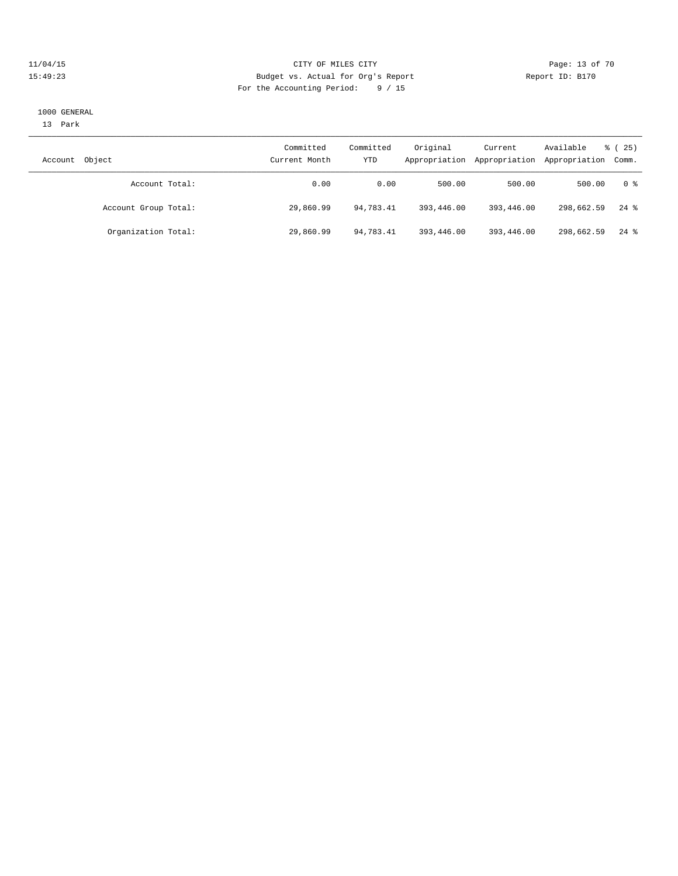### 11/04/15 **Page: 13 of 70** CITY OF MILES CITY **CITY Page: 13 of 70** 15:49:23 Budget vs. Actual for Org's Report Report ID: B170 For the Accounting Period: 9 / 15

#### 1000 GENERAL

13 Park

| Object<br>Account    | Committed<br>Current Month | Committed<br>YTD | Original   | Current<br>Appropriation Appropriation | Available<br>Appropriation Comm. | 8 (25)             |
|----------------------|----------------------------|------------------|------------|----------------------------------------|----------------------------------|--------------------|
| Account Total:       | 0.00                       | 0.00             | 500.00     | 500.00                                 | 500.00                           | 0 %                |
| Account Group Total: | 29,860.99                  | 94,783.41        | 393,446.00 | 393,446.00                             | 298,662.59                       | $24$ $\frac{6}{3}$ |
| Organization Total:  | 29,860.99                  | 94,783.41        | 393,446.00 | 393,446.00                             | 298,662.59                       | $24$ $\frac{6}{3}$ |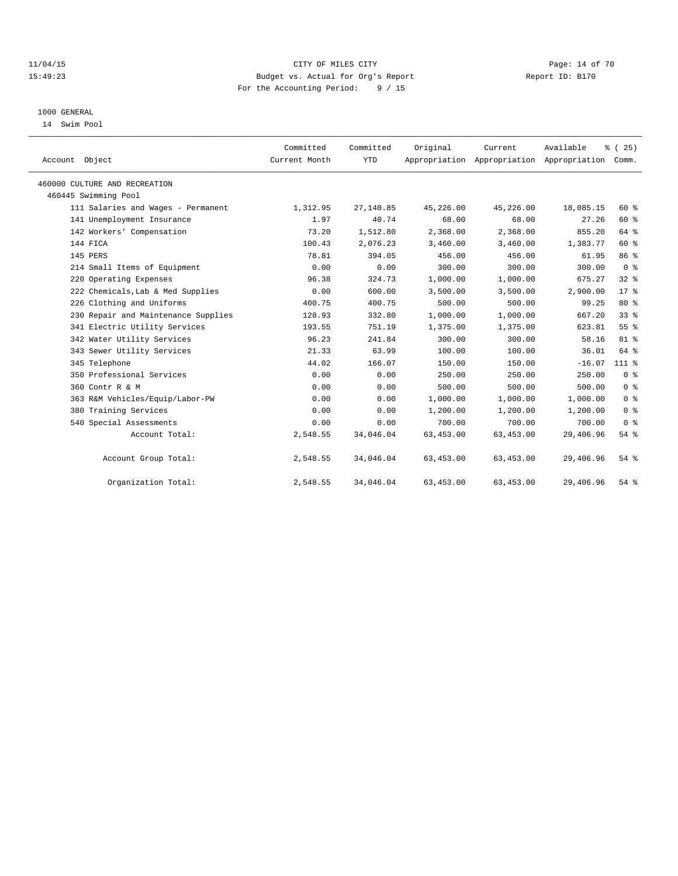### 11/04/15 **Page: 14 of 70 CITY OF MILES CITY CITY Page: 14 of 70** 15:49:23 Budget vs. Actual for Org's Report Report ID: B170 For the Accounting Period: 9 / 15

### 1000 GENERAL

14 Swim Pool

| Account Object                      | Committed<br>Current Month | Committed<br><b>YTD</b> | Original   | Current    | Available<br>Appropriation Appropriation Appropriation Comm. | % (25)          |
|-------------------------------------|----------------------------|-------------------------|------------|------------|--------------------------------------------------------------|-----------------|
|                                     |                            |                         |            |            |                                                              |                 |
| 460000 CULTURE AND RECREATION       |                            |                         |            |            |                                                              |                 |
| 460445 Swimming Pool                |                            |                         |            |            |                                                              |                 |
| 111 Salaries and Wages - Permanent  | 1,312.95                   | 27,140.85               | 45,226.00  | 45,226.00  | 18,085.15                                                    | $60*$           |
| 141 Unemployment Insurance          | 1.97                       | 40.74                   | 68.00      | 68.00      | 27.26                                                        | 60%             |
| 142 Workers' Compensation           | 73.20                      | 1,512.80                | 2,368.00   | 2,368.00   | 855.20                                                       | 64 %            |
| 144 FICA                            | 100.43                     | 2,076.23                | 3,460.00   | 3,460.00   | 1,383.77                                                     | 60 %            |
| 145 PERS                            | 78.81                      | 394.05                  | 456.00     | 456.00     | 61.95                                                        | 86 %            |
| 214 Small Items of Equipment        | 0.00                       | 0.00                    | 300.00     | 300.00     | 300.00                                                       | 0 <sup>8</sup>  |
| 220 Operating Expenses              | 96.38                      | 324.73                  | 1,000.00   | 1,000.00   | 675.27                                                       | 32%             |
| 222 Chemicals, Lab & Med Supplies   | 0.00                       | 600.00                  | 3,500.00   | 3,500.00   | 2,900.00                                                     | 17 <sup>8</sup> |
| 226 Clothing and Uniforms           | 400.75                     | 400.75                  | 500.00     | 500.00     | 99.25                                                        | $80*$           |
| 230 Repair and Maintenance Supplies | 128.93                     | 332.80                  | 1,000.00   | 1,000.00   | 667.20                                                       | 33%             |
| 341 Electric Utility Services       | 193.55                     | 751.19                  | 1,375.00   | 1,375.00   | 623.81                                                       | 55%             |
| 342 Water Utility Services          | 96.23                      | 241.84                  | 300.00     | 300.00     | 58.16                                                        | 81 %            |
| 343 Sewer Utility Services          | 21.33                      | 63.99                   | 100.00     | 100.00     | 36.01                                                        | 64 %            |
| 345 Telephone                       | 44.02                      | 166.07                  | 150.00     | 150.00     | $-16.07$                                                     | 1113            |
| 350 Professional Services           | 0.00                       | 0.00                    | 250.00     | 250.00     | 250.00                                                       | 0 <sup>8</sup>  |
| 360 Contr R & M                     | 0.00                       | 0.00                    | 500.00     | 500.00     | 500.00                                                       | 0 <sup>8</sup>  |
| 363 R&M Vehicles/Equip/Labor-PW     | 0.00                       | 0.00                    | 1,000.00   | 1,000.00   | 1,000.00                                                     | 0 <sup>8</sup>  |
| 380 Training Services               | 0.00                       | 0.00                    | 1,200.00   | 1,200.00   | 1,200.00                                                     | 0 <sup>8</sup>  |
| 540 Special Assessments             | 0.00                       | 0.00                    | 700.00     | 700.00     | 700.00                                                       | 0 <sup>8</sup>  |
| Account Total:                      | 2,548.55                   | 34,046.04               | 63, 453.00 | 63, 453.00 | 29,406.96                                                    | 54%             |
| Account Group Total:                | 2,548.55                   | 34,046.04               | 63, 453.00 | 63,453.00  | 29,406.96                                                    | 54%             |
| Organization Total:                 | 2,548.55                   | 34,046.04               | 63, 453.00 | 63, 453.00 | 29,406.96                                                    | $54$ %          |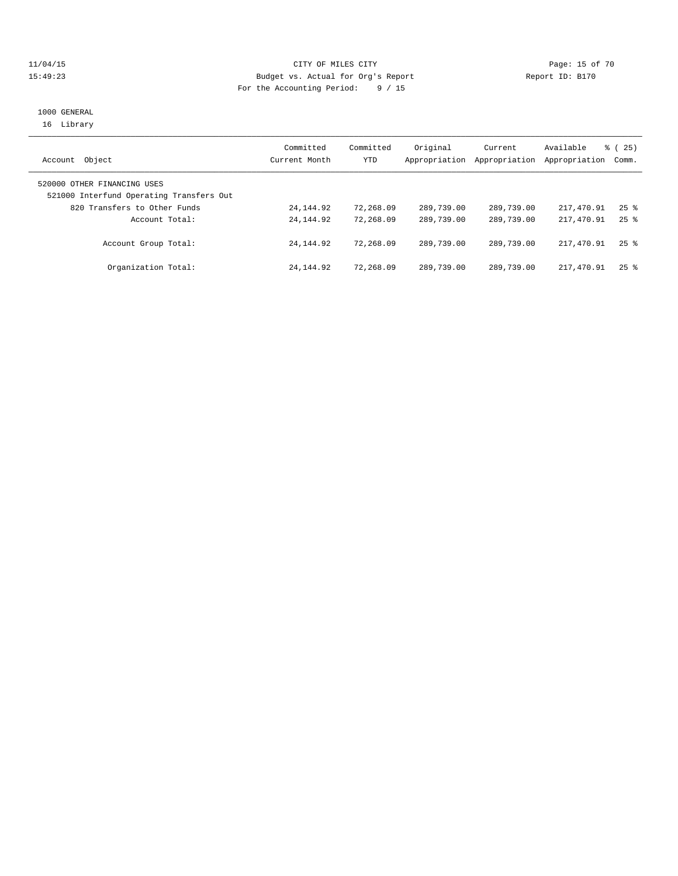### 11/04/15 **Page: 15 of 70** CITY OF MILES CITY **CITY Page: 15 of 70** 15:49:23 Budget vs. Actual for Org's Report Report ID: B170 For the Accounting Period: 9 / 15

### 1000 GENERAL 16 Library

| Object<br>Account                                                       | Committed<br>Current Month | Committed<br>YTD | Original<br>Appropriation | Current<br>Appropriation | Available<br>Appropriation | 8 (25)<br>Comm.    |
|-------------------------------------------------------------------------|----------------------------|------------------|---------------------------|--------------------------|----------------------------|--------------------|
| 520000 OTHER FINANCING USES<br>521000 Interfund Operating Transfers Out |                            |                  |                           |                          |                            |                    |
| 820 Transfers to Other Funds                                            | 24,144.92                  | 72,268.09        | 289,739.00                | 289,739.00               | 217,470.91                 | $25$ $\frac{6}{3}$ |
| Account Total:                                                          | 24, 144, 92                | 72,268.09        | 289,739.00                | 289,739.00               | 217,470.91                 | $25$ $\frac{6}{3}$ |
| Account Group Total:                                                    | 24, 144, 92                | 72,268.09        | 289,739.00                | 289,739.00               | 217,470.91                 | $25$ $\frac{6}{3}$ |
| Organization Total:                                                     | 24, 144, 92                | 72,268.09        | 289,739.00                | 289,739.00               | 217,470.91                 | $25$ $\frac{6}{3}$ |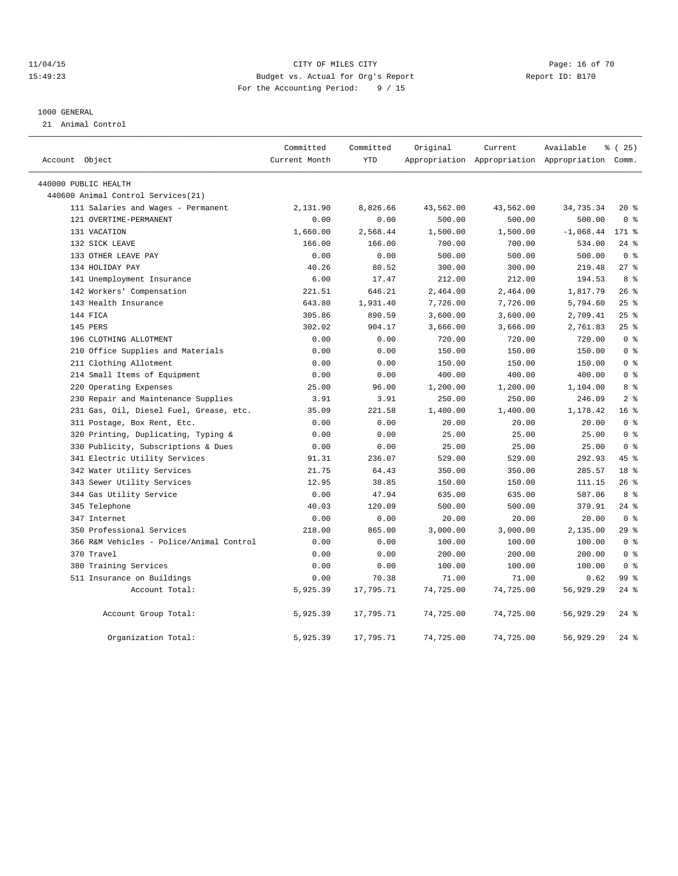### 11/04/15 **Page: 16 of 70** CITY OF MILES CITY **CITY Page: 16 of 70** 15:49:23 Budget vs. Actual for Org's Report Report ID: B170 For the Accounting Period: 9 / 15

#### 1000 GENERAL

21 Animal Control

|                |                                          | Committed     | Committed  | Original  | Current   | Available                                       | % (25)          |
|----------------|------------------------------------------|---------------|------------|-----------|-----------|-------------------------------------------------|-----------------|
| Account Object |                                          | Current Month | <b>YTD</b> |           |           | Appropriation Appropriation Appropriation Comm. |                 |
|                | 440000 PUBLIC HEALTH                     |               |            |           |           |                                                 |                 |
|                | 440600 Animal Control Services (21)      |               |            |           |           |                                                 |                 |
|                | 111 Salaries and Wages - Permanent       | 2,131.90      | 8,826.66   | 43,562.00 | 43,562.00 | 34,735.34                                       | $20*$           |
|                | 121 OVERTIME-PERMANENT                   | 0.00          | 0.00       | 500.00    | 500.00    | 500.00                                          | 0 <sup>8</sup>  |
|                | 131 VACATION                             | 1,660.00      | 2,568.44   | 1,500.00  | 1,500.00  | $-1,068.44$                                     | 171 %           |
|                | 132 SICK LEAVE                           | 166.00        | 166.00     | 700.00    | 700.00    | 534.00                                          | $24$ %          |
|                | 133 OTHER LEAVE PAY                      | 0.00          | 0.00       | 500.00    | 500.00    | 500.00                                          | 0 <sup>8</sup>  |
|                | 134 HOLIDAY PAY                          | 40.26         | 80.52      | 300.00    | 300.00    | 219.48                                          | $27$ $%$        |
|                | 141 Unemployment Insurance               | 6.00          | 17.47      | 212.00    | 212.00    | 194.53                                          | 8%              |
|                | 142 Workers' Compensation                | 221.51        | 646.21     | 2,464.00  | 2,464.00  | 1,817.79                                        | 26%             |
|                | 143 Health Insurance                     | 643.80        | 1,931.40   | 7,726.00  | 7,726.00  | 5,794.60                                        | 25%             |
|                | 144 FICA                                 | 305.86        | 890.59     | 3,600.00  | 3,600.00  | 2,709.41                                        | 25%             |
|                | 145 PERS                                 | 302.02        | 904.17     | 3,666.00  | 3,666.00  | 2,761.83                                        | 25%             |
|                | 196 CLOTHING ALLOTMENT                   | 0.00          | 0.00       | 720.00    | 720.00    | 720.00                                          | 0 <sup>8</sup>  |
|                | 210 Office Supplies and Materials        | 0.00          | 0.00       | 150.00    | 150.00    | 150.00                                          | 0 <sup>8</sup>  |
|                | 211 Clothing Allotment                   | 0.00          | 0.00       | 150.00    | 150.00    | 150.00                                          | 0 <sup>8</sup>  |
|                | 214 Small Items of Equipment             | 0.00          | 0.00       | 400.00    | 400.00    | 400.00                                          | 0 <sup>8</sup>  |
|                | 220 Operating Expenses                   | 25.00         | 96.00      | 1,200.00  | 1,200.00  | 1,104.00                                        | 8 %             |
|                | 230 Repair and Maintenance Supplies      | 3.91          | 3.91       | 250.00    | 250.00    | 246.09                                          | 2 <sup>8</sup>  |
|                | 231 Gas, Oil, Diesel Fuel, Grease, etc.  | 35.09         | 221.58     | 1,400.00  | 1,400.00  | 1,178.42                                        | 16 <sup>°</sup> |
|                | 311 Postage, Box Rent, Etc.              | 0.00          | 0.00       | 20.00     | 20.00     | 20.00                                           | 0 <sup>8</sup>  |
|                | 320 Printing, Duplicating, Typing &      | 0.00          | 0.00       | 25.00     | 25.00     | 25.00                                           | 0 <sup>8</sup>  |
|                | 330 Publicity, Subscriptions & Dues      | 0.00          | 0.00       | 25.00     | 25.00     | 25.00                                           | 0 <sup>8</sup>  |
|                | 341 Electric Utility Services            | 91.31         | 236.07     | 529.00    | 529.00    | 292.93                                          | 45%             |
|                | 342 Water Utility Services               | 21.75         | 64.43      | 350.00    | 350.00    | 285.57                                          | 18 <sup>8</sup> |
|                | 343 Sewer Utility Services               | 12.95         | 38.85      | 150.00    | 150.00    | 111.15                                          | $26$ %          |
|                | 344 Gas Utility Service                  | 0.00          | 47.94      | 635.00    | 635.00    | 587.06                                          | 8 %             |
|                | 345 Telephone                            | 40.03         | 120.09     | 500.00    | 500.00    | 379.91                                          | $24$ %          |
|                | 347 Internet                             | 0.00          | 0.00       | 20.00     | 20.00     | 20.00                                           | 0 <sup>8</sup>  |
|                | 350 Professional Services                | 218.00        | 865.00     | 3,000.00  | 3,000.00  | 2,135.00                                        | 29%             |
|                | 366 R&M Vehicles - Police/Animal Control | 0.00          | 0.00       | 100.00    | 100.00    | 100.00                                          | 0 <sup>8</sup>  |
|                | 370 Travel                               | 0.00          | 0.00       | 200.00    | 200.00    | 200.00                                          | 0 <sup>8</sup>  |
|                | 380 Training Services                    | 0.00          | 0.00       | 100.00    | 100.00    | 100.00                                          | 0 <sup>8</sup>  |
|                | 511 Insurance on Buildings               | 0.00          | 70.38      | 71.00     | 71.00     | 0.62                                            | 99 <sub>8</sub> |
|                | Account Total:                           | 5,925.39      | 17,795.71  | 74,725.00 | 74,725.00 | 56,929.29                                       | $24$ %          |
|                | Account Group Total:                     | 5,925.39      | 17,795.71  | 74,725.00 | 74,725.00 | 56,929.29                                       | $24$ %          |
|                | Organization Total:                      | 5,925.39      | 17,795.71  | 74,725.00 | 74,725.00 | 56,929.29                                       | $24$ %          |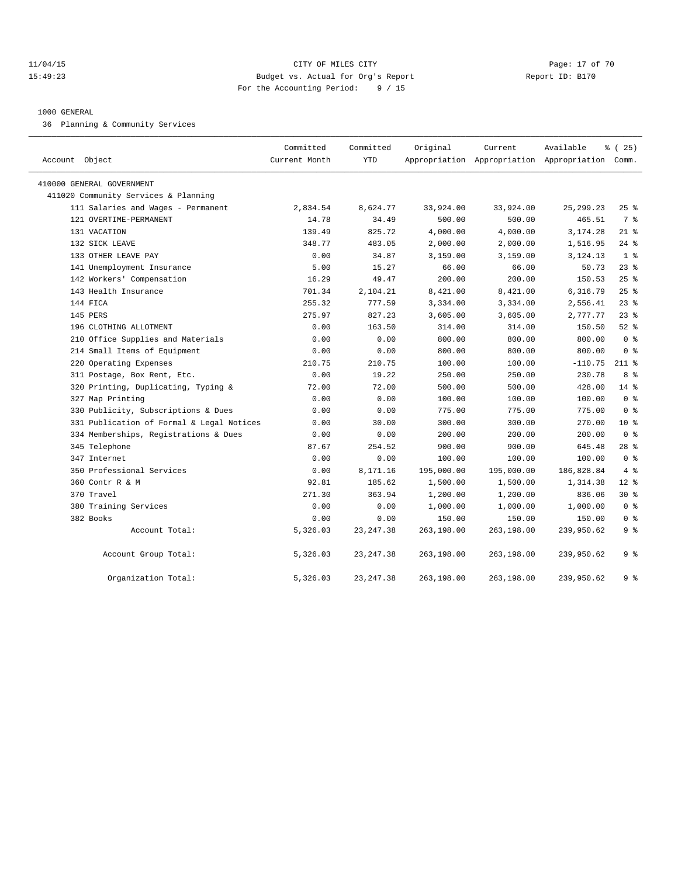### 11/04/15 **Page: 17 of 70** CITY OF MILES CITY **Page: 17 of 70** 15:49:23 Budget vs. Actual for Org's Report Report ID: B170 For the Accounting Period: 9 / 15

### 1000 GENERAL

36 Planning & Community Services

| Account Object                            | Committed<br>Current Month | Committed<br><b>YTD</b> | Original   | Current    | Available<br>Appropriation Appropriation Appropriation Comm. | % (25)          |
|-------------------------------------------|----------------------------|-------------------------|------------|------------|--------------------------------------------------------------|-----------------|
| 410000 GENERAL GOVERNMENT                 |                            |                         |            |            |                                                              |                 |
| 411020 Community Services & Planning      |                            |                         |            |            |                                                              |                 |
| 111 Salaries and Wages - Permanent        | 2,834.54                   | 8,624.77                | 33,924.00  | 33,924.00  | 25, 299. 23                                                  | $25$ %          |
| 121 OVERTIME-PERMANENT                    | 14.78                      | 34.49                   | 500.00     | 500.00     | 465.51                                                       | 7 %             |
| 131 VACATION                              | 139.49                     | 825.72                  | 4,000.00   | 4,000.00   | 3,174.28                                                     | $21$ %          |
| 132 SICK LEAVE                            | 348.77                     | 483.05                  | 2,000.00   | 2,000.00   | 1,516.95                                                     | $24$ %          |
| 133 OTHER LEAVE PAY                       | 0.00                       | 34.87                   | 3,159.00   | 3,159.00   | 3,124.13                                                     | 1 <sup>8</sup>  |
| 141 Unemployment Insurance                | 5.00                       | 15.27                   | 66.00      | 66.00      | 50.73                                                        | $23$ $%$        |
| 142 Workers' Compensation                 | 16.29                      | 49.47                   | 200.00     | 200.00     | 150.53                                                       | 25%             |
| 143 Health Insurance                      | 701.34                     | 2,104.21                | 8,421.00   | 8,421.00   | 6,316.79                                                     | 25%             |
| 144 FICA                                  | 255.32                     | 777.59                  | 3,334.00   | 3,334.00   | 2,556.41                                                     | 23%             |
| 145 PERS                                  | 275.97                     | 827.23                  | 3,605.00   | 3,605.00   | 2,777.77                                                     | 23%             |
| 196 CLOTHING ALLOTMENT                    | 0.00                       | 163.50                  | 314.00     | 314.00     | 150.50                                                       | $52$ $%$        |
| 210 Office Supplies and Materials         | 0.00                       | 0.00                    | 800.00     | 800.00     | 800.00                                                       | 0 <sup>8</sup>  |
| 214 Small Items of Equipment              | 0.00                       | 0.00                    | 800.00     | 800.00     | 800.00                                                       | 0 <sup>8</sup>  |
| 220 Operating Expenses                    | 210.75                     | 210.75                  | 100.00     | 100.00     | $-110.75$                                                    | $211$ %         |
| 311 Postage, Box Rent, Etc.               | 0.00                       | 19.22                   | 250.00     | 250.00     | 230.78                                                       | 8 %             |
| 320 Printing, Duplicating, Typing &       | 72.00                      | 72.00                   | 500.00     | 500.00     | 428.00                                                       | $14*$           |
| 327 Map Printing                          | 0.00                       | 0.00                    | 100.00     | 100.00     | 100.00                                                       | 0 <sup>8</sup>  |
| 330 Publicity, Subscriptions & Dues       | 0.00                       | 0.00                    | 775.00     | 775.00     | 775.00                                                       | 0 <sup>8</sup>  |
| 331 Publication of Formal & Legal Notices | 0.00                       | 30.00                   | 300.00     | 300.00     | 270.00                                                       | 10 <sup>8</sup> |
| 334 Memberships, Registrations & Dues     | 0.00                       | 0.00                    | 200.00     | 200.00     | 200.00                                                       | 0 <sup>8</sup>  |
| 345 Telephone                             | 87.67                      | 254.52                  | 900.00     | 900.00     | 645.48                                                       | $28$ %          |
| 347 Internet                              | 0.00                       | 0.00                    | 100.00     | 100.00     | 100.00                                                       | 0 <sup>8</sup>  |
| 350 Professional Services                 | 0.00                       | 8,171.16                | 195,000.00 | 195,000.00 | 186,828.84                                                   | 4%              |
| 360 Contr R & M                           | 92.81                      | 185.62                  | 1,500.00   | 1,500.00   | 1,314.38                                                     | $12*$           |
| 370 Travel                                | 271.30                     | 363.94                  | 1,200.00   | 1,200.00   | 836.06                                                       | $30*$           |
| 380 Training Services                     | 0.00                       | 0.00                    | 1,000.00   | 1,000.00   | 1,000.00                                                     | 0 <sup>8</sup>  |
| 382 Books                                 | 0.00                       | 0.00                    | 150.00     | 150.00     | 150.00                                                       | 0 <sup>8</sup>  |
| Account Total:                            | 5,326.03                   | 23, 247.38              | 263,198.00 | 263,198.00 | 239,950.62                                                   | 9 <sup>8</sup>  |
| Account Group Total:                      | 5,326.03                   | 23, 247.38              | 263,198.00 | 263,198.00 | 239,950.62                                                   | 9 <sup>8</sup>  |
| Organization Total:                       | 5,326.03                   | 23, 247.38              | 263,198.00 | 263,198.00 | 239,950.62                                                   | 9 <sup>8</sup>  |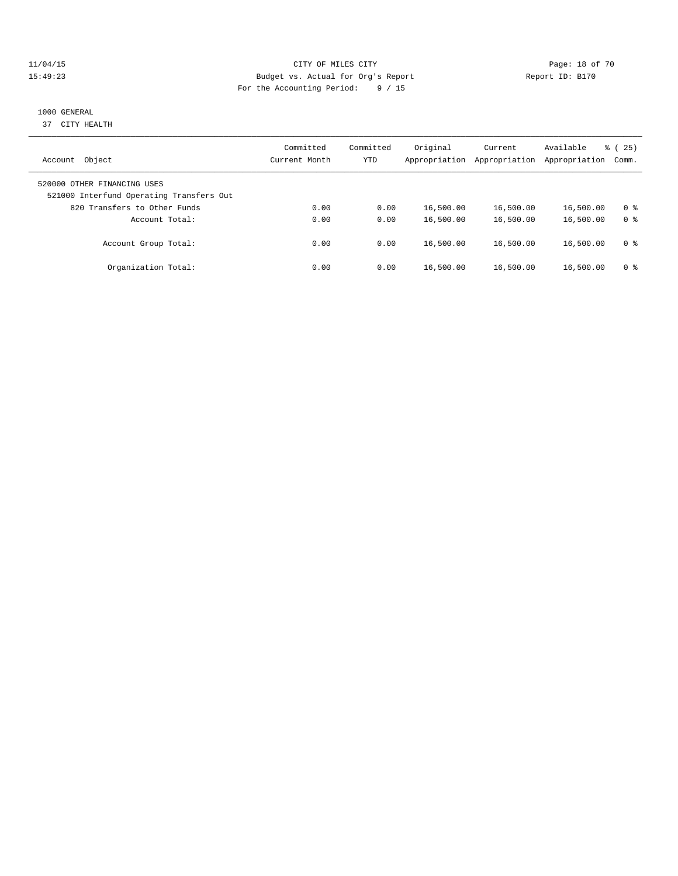### 11/04/15 **Page: 18 of 70** CITY OF MILES CITY **CITY** CITY **Page: 18 of 70** 15:49:23 Budget vs. Actual for Org's Report Report ID: B170 For the Accounting Period: 9 / 15

### 1000 GENERAL

37 CITY HEALTH

| Object<br>Account                                                       | Committed<br>Current Month | Committed<br>YTD | Original<br>Appropriation | Current<br>Appropriation | Available<br>Appropriation | % (25)<br>Comm. |
|-------------------------------------------------------------------------|----------------------------|------------------|---------------------------|--------------------------|----------------------------|-----------------|
| 520000 OTHER FINANCING USES<br>521000 Interfund Operating Transfers Out |                            |                  |                           |                          |                            |                 |
| 820 Transfers to Other Funds                                            | 0.00                       | 0.00             | 16,500.00                 | 16,500.00                | 16,500.00                  | 0 ક             |
| Account Total:                                                          | 0.00<br>0.00               | 0.00<br>0.00     | 16,500.00<br>16,500.00    | 16,500.00<br>16,500.00   | 16,500.00<br>16,500.00     | 0 <sup>8</sup>  |
| Account Group Total:<br>Organization Total:                             | 0.00                       | 0.00             | 16,500.00                 | 16,500.00                | 16,500.00                  | 0 ક<br>0 ક      |
|                                                                         |                            |                  |                           |                          |                            |                 |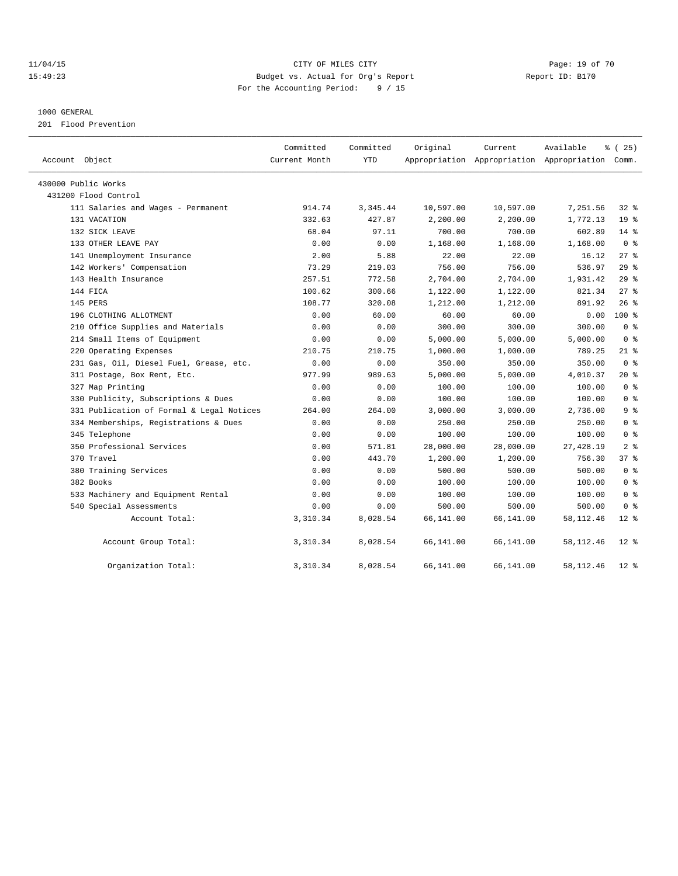### 11/04/15 **Page: 19 of 70** CITY OF MILES CITY **CITY** Page: 19 of 70 15:49:23 Budget vs. Actual for Org's Report Report ID: B170 For the Accounting Period: 9 / 15

### 1000 GENERAL

201 Flood Prevention

| Account Object                            | Committed<br>Current Month | Committed<br><b>YTD</b> | Original  | Current<br>Appropriation Appropriation Appropriation Comm. | Available  | % (25)             |
|-------------------------------------------|----------------------------|-------------------------|-----------|------------------------------------------------------------|------------|--------------------|
| 430000 Public Works                       |                            |                         |           |                                                            |            |                    |
| 431200 Flood Control                      |                            |                         |           |                                                            |            |                    |
| 111 Salaries and Wages - Permanent        | 914.74                     | 3,345.44                | 10,597.00 | 10,597.00                                                  | 7,251.56   | $32$ $%$           |
| 131 VACATION                              | 332.63                     | 427.87                  | 2,200.00  | 2,200.00                                                   | 1,772.13   | 19 <sup>°</sup>    |
| 132 SICK LEAVE                            | 68.04                      | 97.11                   | 700.00    | 700.00                                                     | 602.89     | $14$ %             |
| 133 OTHER LEAVE PAY                       | 0.00                       | 0.00                    | 1,168.00  | 1,168.00                                                   | 1,168.00   | 0 <sup>8</sup>     |
| 141 Unemployment Insurance                | 2.00                       | 5.88                    | 22.00     | 22.00                                                      | 16.12      | $27$ $%$           |
| 142 Workers' Compensation                 | 73.29                      | 219.03                  | 756.00    | 756.00                                                     | 536.97     | 29%                |
| 143 Health Insurance                      | 257.51                     | 772.58                  | 2,704.00  | 2,704.00                                                   | 1,931.42   | 29%                |
| 144 FICA                                  | 100.62                     | 300.66                  | 1,122.00  | 1,122.00                                                   | 821.34     | $27$ $%$           |
| 145 PERS                                  | 108.77                     | 320.08                  | 1,212.00  | 1,212.00                                                   | 891.92     | $26$ %             |
| 196 CLOTHING ALLOTMENT                    | 0.00                       | 60.00                   | 60.00     | 60.00                                                      | 0.00       | $100$ %            |
| 210 Office Supplies and Materials         | 0.00                       | 0.00                    | 300.00    | 300.00                                                     | 300.00     | 0 <sup>8</sup>     |
| 214 Small Items of Equipment              | 0.00                       | 0.00                    | 5,000.00  | 5,000.00                                                   | 5,000.00   | 0 <sup>8</sup>     |
| 220 Operating Expenses                    | 210.75                     | 210.75                  | 1,000.00  | 1,000.00                                                   | 789.25     | $21$ %             |
| 231 Gas, Oil, Diesel Fuel, Grease, etc.   | 0.00                       | 0.00                    | 350.00    | 350.00                                                     | 350.00     | 0 <sup>8</sup>     |
| 311 Postage, Box Rent, Etc.               | 977.99                     | 989.63                  | 5,000.00  | 5,000.00                                                   | 4,010.37   | $20*$              |
| 327 Map Printing                          | 0.00                       | 0.00                    | 100.00    | 100.00                                                     | 100.00     | 0 <sup>8</sup>     |
| 330 Publicity, Subscriptions & Dues       | 0.00                       | 0.00                    | 100.00    | 100.00                                                     | 100.00     | 0 <sup>8</sup>     |
| 331 Publication of Formal & Legal Notices | 264.00                     | 264.00                  | 3,000.00  | 3,000.00                                                   | 2,736.00   | 9 <sup>8</sup>     |
| 334 Memberships, Registrations & Dues     | 0.00                       | 0.00                    | 250.00    | 250.00                                                     | 250.00     | 0 <sup>8</sup>     |
| 345 Telephone                             | 0.00                       | 0.00                    | 100.00    | 100.00                                                     | 100.00     | 0 <sup>8</sup>     |
| 350 Professional Services                 | 0.00                       | 571.81                  | 28,000.00 | 28,000.00                                                  | 27, 428.19 | 2 <sup>8</sup>     |
| 370 Travel                                | 0.00                       | 443.70                  | 1,200.00  | 1,200.00                                                   | 756.30     | 378                |
| 380 Training Services                     | 0.00                       | 0.00                    | 500.00    | 500.00                                                     | 500.00     | 0 <sup>8</sup>     |
| 382 Books                                 | 0.00                       | 0.00                    | 100.00    | 100.00                                                     | 100.00     | 0 <sup>8</sup>     |
| 533 Machinery and Equipment Rental        | 0.00                       | 0.00                    | 100.00    | 100.00                                                     | 100.00     | 0 <sup>8</sup>     |
| 540 Special Assessments                   | 0.00                       | 0.00                    | 500.00    | 500.00                                                     | 500.00     | 0 <sup>8</sup>     |
| Account Total:                            | 3,310.34                   | 8,028.54                | 66,141.00 | 66,141.00                                                  | 58,112.46  | $12*$              |
| Account Group Total:                      | 3,310.34                   | 8,028.54                | 66,141.00 | 66,141.00                                                  | 58,112.46  | $12$ %             |
| Organization Total:                       | 3,310.34                   | 8,028.54                | 66,141.00 | 66,141.00                                                  | 58,112.46  | $12$ $\sqrt[6]{ }$ |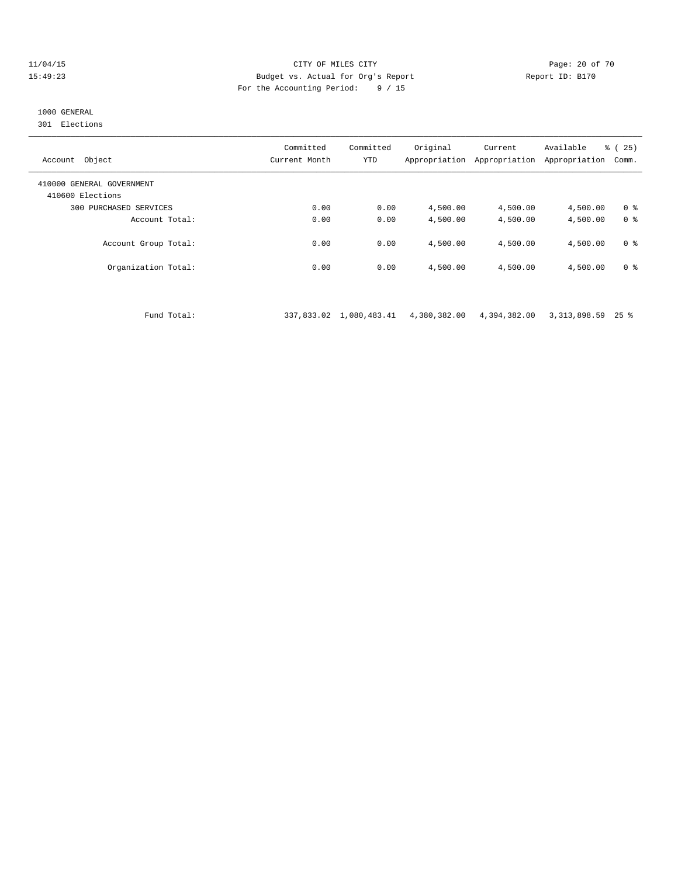### 11/04/15 **Page: 20 of 70** CITY OF MILES CITY **CITY Page: 20 of 70** 15:49:23 Budget vs. Actual for Org's Report Report ID: B170 For the Accounting Period: 9 / 15

# 1000 GENERAL

301 Elections

| Object<br>Account                             | Committed<br>Current Month | Committed<br><b>YTD</b> | Original<br>Appropriation | Current<br>Appropriation | Available<br>Appropriation | % (25)<br>Comm. |
|-----------------------------------------------|----------------------------|-------------------------|---------------------------|--------------------------|----------------------------|-----------------|
| 410000 GENERAL GOVERNMENT<br>410600 Elections |                            |                         |                           |                          |                            |                 |
| PURCHASED SERVICES<br>300                     | 0.00                       | 0.00                    | 4,500.00                  | 4,500.00                 | 4,500.00                   | 0 <sup>8</sup>  |
| Account Total:                                | 0.00                       | 0.00                    | 4,500.00                  | 4,500.00                 | 4,500.00                   | 0 <sup>8</sup>  |
| Account Group Total:                          | 0.00                       | 0.00                    | 4,500.00                  | 4,500.00                 | 4,500.00                   | 0 <sup>8</sup>  |
| Organization Total:                           | 0.00                       | 0.00                    | 4,500.00                  | 4,500.00                 | 4,500.00                   | 0 <sup>8</sup>  |

Fund Total: 337,833.02 1,080,483.41 4,380,382.00 4,394,382.00 3,313,898.59 25 %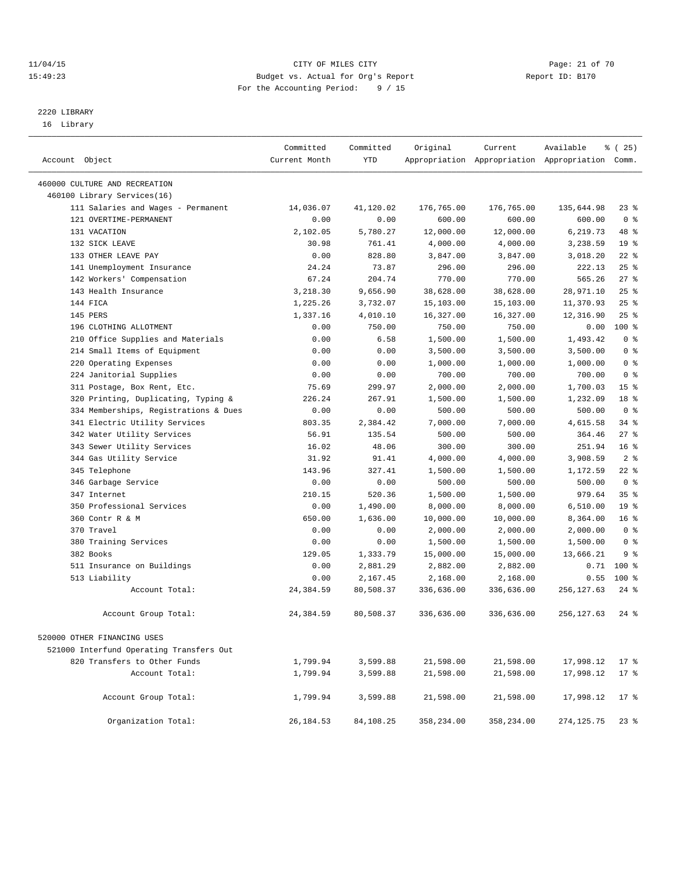### 11/04/15 Page: 21 of 70 15:49:23 Budget vs. Actual for Org's Report Report ID: B170 For the Accounting Period: 9 / 15

————————————————————————————————————————————————————————————————————————————————————————————————————————————————————————————————————

# 2220 LIBRARY

16 Library

|                                          | Committed     | Committed | Original   | Current    | Available                                       | $*(25)$            |
|------------------------------------------|---------------|-----------|------------|------------|-------------------------------------------------|--------------------|
| Account Object                           | Current Month | YTD       |            |            | Appropriation Appropriation Appropriation Comm. |                    |
| 460000 CULTURE AND RECREATION            |               |           |            |            |                                                 |                    |
| 460100 Library Services(16)              |               |           |            |            |                                                 |                    |
| 111 Salaries and Wages - Permanent       | 14,036.07     | 41,120.02 | 176,765.00 | 176,765.00 | 135,644.98                                      | $23$ $%$           |
| 121 OVERTIME-PERMANENT                   | 0.00          | 0.00      | 600.00     | 600.00     | 600.00                                          | 0 <sup>8</sup>     |
| 131 VACATION                             | 2,102.05      | 5,780.27  | 12,000.00  | 12,000.00  | 6,219.73                                        | 48 %               |
| 132 SICK LEAVE                           | 30.98         | 761.41    | 4,000.00   | 4,000.00   | 3,238.59                                        | 19 <sup>°</sup>    |
| 133 OTHER LEAVE PAY                      | 0.00          | 828.80    | 3,847.00   | 3,847.00   | 3,018.20                                        | $22$ $%$           |
| 141 Unemployment Insurance               | 24.24         | 73.87     | 296.00     | 296.00     | 222.13                                          | 25%                |
| 142 Workers' Compensation                | 67.24         | 204.74    | 770.00     | 770.00     | 565.26                                          | 27%                |
| 143 Health Insurance                     | 3,218.30      | 9,656.90  | 38,628.00  | 38,628.00  | 28,971.10                                       | 25%                |
| 144 FICA                                 | 1,225.26      | 3,732.07  | 15,103.00  | 15,103.00  | 11,370.93                                       | 25%                |
| 145 PERS                                 | 1,337.16      | 4,010.10  | 16,327.00  | 16,327.00  | 12,316.90                                       | $25$ %             |
| 196 CLOTHING ALLOTMENT                   | 0.00          | 750.00    | 750.00     | 750.00     | 0.00                                            | $100$ %            |
| 210 Office Supplies and Materials        | 0.00          | 6.58      | 1,500.00   | 1,500.00   | 1,493.42                                        | 0 <sup>8</sup>     |
| 214 Small Items of Equipment             | 0.00          | 0.00      | 3,500.00   | 3,500.00   | 3,500.00                                        | 0 <sup>8</sup>     |
| 220 Operating Expenses                   | 0.00          | 0.00      | 1,000.00   | 1,000.00   | 1,000.00                                        | 0 <sup>8</sup>     |
| 224 Janitorial Supplies                  | 0.00          | 0.00      | 700.00     | 700.00     | 700.00                                          | 0 <sup>8</sup>     |
| 311 Postage, Box Rent, Etc.              | 75.69         | 299.97    | 2,000.00   | 2,000.00   | 1,700.03                                        | 15 <sup>8</sup>    |
| 320 Printing, Duplicating, Typing &      | 226.24        | 267.91    | 1,500.00   | 1,500.00   | 1,232.09                                        | 18 <sup>8</sup>    |
| 334 Memberships, Registrations & Dues    | 0.00          | 0.00      | 500.00     | 500.00     | 500.00                                          | 0 <sup>8</sup>     |
| 341 Electric Utility Services            | 803.35        | 2,384.42  | 7,000.00   | 7,000.00   | 4,615.58                                        | 34 %               |
| 342 Water Utility Services               | 56.91         | 135.54    | 500.00     | 500.00     | 364.46                                          | 27%                |
| 343 Sewer Utility Services               | 16.02         | 48.06     | 300.00     | 300.00     | 251.94                                          | 16 <sup>8</sup>    |
| 344 Gas Utility Service                  | 31.92         | 91.41     | 4,000.00   | 4,000.00   | 3,908.59                                        | 2 <sup>°</sup>     |
| 345 Telephone                            | 143.96        | 327.41    | 1,500.00   | 1,500.00   | 1,172.59                                        | $22$ %             |
| 346 Garbage Service                      | 0.00          | 0.00      | 500.00     | 500.00     | 500.00                                          | 0 <sup>8</sup>     |
| 347 Internet                             | 210.15        | 520.36    | 1,500.00   | 1,500.00   | 979.64                                          | 35 <sup>8</sup>    |
| 350 Professional Services                | 0.00          | 1,490.00  | 8,000.00   | 8,000.00   | 6,510.00                                        | 19 <sup>°</sup>    |
| 360 Contr R & M                          | 650.00        | 1,636.00  | 10,000.00  | 10,000.00  | 8,364.00                                        | 16 <sup>8</sup>    |
| 370 Travel                               | 0.00          | 0.00      | 2,000.00   | 2,000.00   | 2,000.00                                        | 0 <sup>8</sup>     |
| 380 Training Services                    | 0.00          | 0.00      | 1,500.00   | 1,500.00   | 1,500.00                                        | 0 <sup>8</sup>     |
| 382 Books                                | 129.05        | 1,333.79  | 15,000.00  | 15,000.00  | 13,666.21                                       | 9 %                |
| 511 Insurance on Buildings               | 0.00          | 2,881.29  | 2,882.00   | 2,882.00   | 0.71                                            | $100$ %            |
| 513 Liability                            | 0.00          | 2,167.45  | 2,168.00   | 2,168.00   | 0.55                                            | 100 %              |
| Account Total:                           | 24,384.59     | 80,508.37 | 336,636.00 | 336,636.00 | 256, 127.63                                     | $24$ %             |
| Account Group Total:                     | 24,384.59     | 80,508.37 | 336,636.00 | 336,636.00 | 256,127.63                                      | $24$ $\frac{6}{3}$ |
| 520000 OTHER FINANCING USES              |               |           |            |            |                                                 |                    |
| 521000 Interfund Operating Transfers Out |               |           |            |            |                                                 |                    |
| 820 Transfers to Other Funds             | 1,799.94      | 3,599.88  | 21,598.00  | 21,598.00  | 17,998.12                                       | $17$ %             |
| Account Total:                           | 1,799.94      | 3,599.88  | 21,598.00  | 21,598.00  | 17,998.12                                       | 17 <sub>8</sub>    |
|                                          |               |           |            |            |                                                 |                    |
| Account Group Total:                     | 1,799.94      | 3,599.88  | 21,598.00  | 21,598.00  | 17,998.12                                       | $17*$              |
| Organization Total:                      | 26, 184.53    | 84,108.25 | 358,234.00 | 358,234.00 | 274, 125.75                                     | $23$ %             |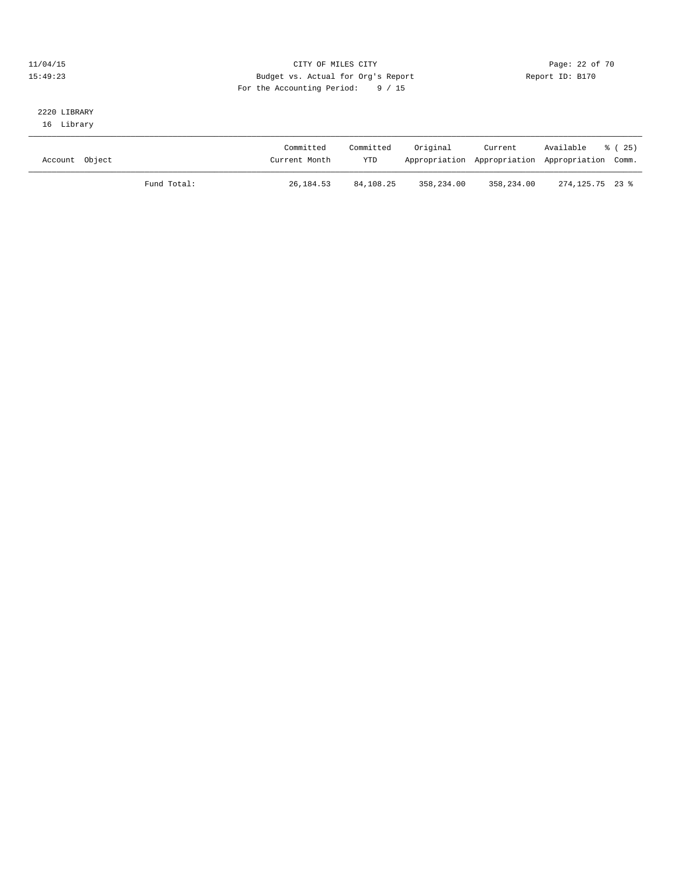### 11/04/15 Page: 22 of 70 15:49:23 Budget vs. Actual for Org's Report Report ID: B170 For the Accounting Period: 9 / 15

### 2220 LIBRARY 16 Library

| Account Object |             | Committed<br>Current Month | Committed<br>YTD | Original   | Current    | Available<br>% (25)<br>Appropriation Appropriation Appropriation Comm. |
|----------------|-------------|----------------------------|------------------|------------|------------|------------------------------------------------------------------------|
|                | Fund Total: | 26, 184.53                 | 84,108.25        | 358,234.00 | 358,234.00 | 274.125.75 23 %                                                        |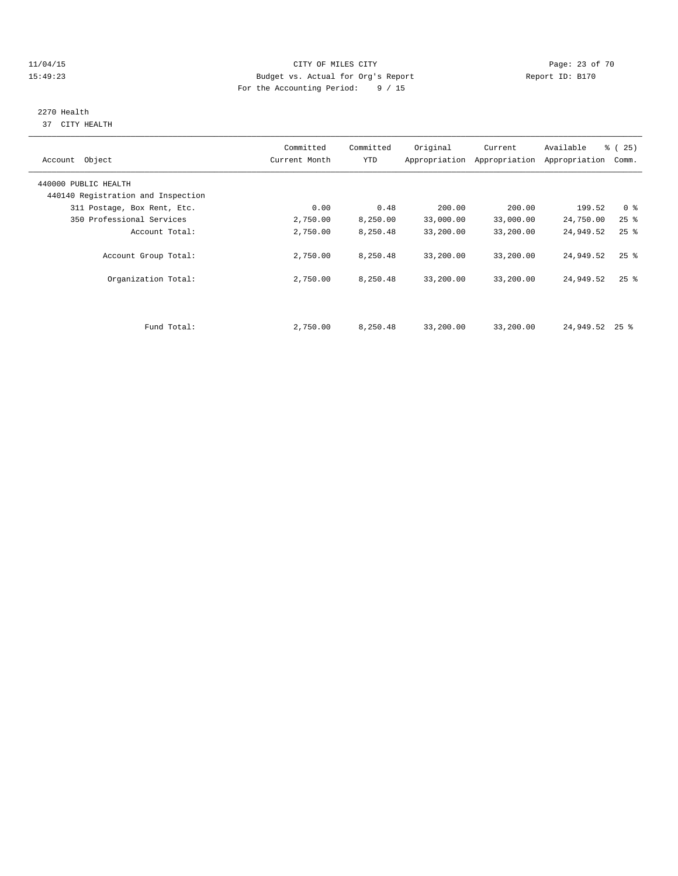### 11/04/15 Page: 23 of 70 15:49:23 Budget vs. Actual for Org's Report Report ID: B170 For the Accounting Period: 9 / 15

# 2270 Health

37 CITY HEALTH

| Account Object                     | Committed<br>Current Month | Committed<br><b>YTD</b> | Original  | Current<br>Appropriation Appropriation | Available<br>Appropriation | % (25)<br>Comm.    |
|------------------------------------|----------------------------|-------------------------|-----------|----------------------------------------|----------------------------|--------------------|
| 440000 PUBLIC HEALTH               |                            |                         |           |                                        |                            |                    |
| 440140 Registration and Inspection |                            |                         |           |                                        |                            |                    |
| 311 Postage, Box Rent, Etc.        | 0.00                       | 0.48                    | 200.00    | 200.00                                 | 199.52                     | 0 <sup>8</sup>     |
| 350 Professional Services          | 2,750.00                   | 8,250.00                | 33,000.00 | 33,000.00                              | 24,750.00                  | $25$ $%$           |
| Account Total:                     | 2,750.00                   | 8,250.48                | 33,200.00 | 33,200.00                              | 24,949.52                  | $25$ $%$           |
| Account Group Total:               | 2,750.00                   | 8,250.48                | 33,200.00 | 33,200.00                              | 24,949.52                  | $25$ $\frac{6}{5}$ |
| Organization Total:                | 2,750.00                   | 8,250.48                | 33,200.00 | 33,200.00                              | 24,949.52                  | $25$ $\frac{6}{5}$ |
|                                    |                            |                         |           |                                        |                            |                    |
| Fund Total:                        | 2,750.00                   | 8,250.48                | 33,200.00 | 33,200.00                              | 24,949.52                  | $25$ %             |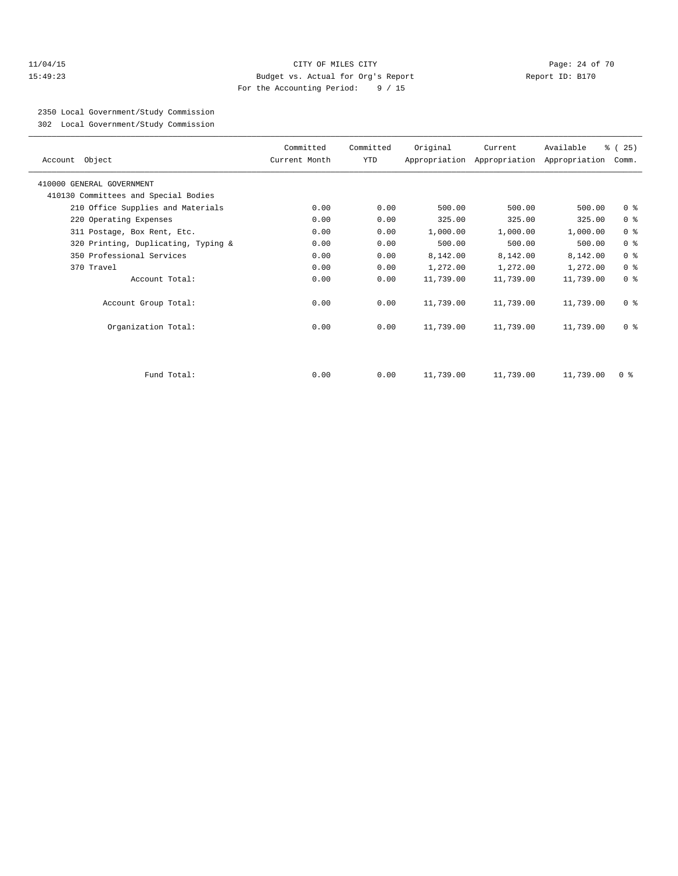### 11/04/15 **Page: 24 of 70 CITY OF MILES CITY CITY Page: 24 of 70** 15:49:23 Budget vs. Actual for Org's Report Report ID: B170 For the Accounting Period: 9 / 15

2350 Local Government/Study Commission

302 Local Government/Study Commission

| Account Object                       | Committed<br>Current Month | Committed<br>YTD | Original  | Current   | Available<br>Appropriation Appropriation Appropriation | % (25)<br>Comm. |
|--------------------------------------|----------------------------|------------------|-----------|-----------|--------------------------------------------------------|-----------------|
| 410000 GENERAL GOVERNMENT            |                            |                  |           |           |                                                        |                 |
| 410130 Committees and Special Bodies |                            |                  |           |           |                                                        |                 |
| 210 Office Supplies and Materials    | 0.00                       | 0.00             | 500.00    | 500.00    | 500.00                                                 | 0 <sup>8</sup>  |
| 220 Operating Expenses               | 0.00                       | 0.00             | 325.00    | 325.00    | 325.00                                                 | 0 <sup>°</sup>  |
| 311 Postage, Box Rent, Etc.          | 0.00                       | 0.00             | 1,000.00  | 1,000.00  | 1,000.00                                               | 0 <sup>8</sup>  |
| 320 Printing, Duplicating, Typing &  | 0.00                       | 0.00             | 500.00    | 500.00    | 500.00                                                 | 0 <sup>8</sup>  |
| 350 Professional Services            | 0.00                       | 0.00             | 8,142.00  | 8,142.00  | 8,142.00                                               | 0 <sup>8</sup>  |
| 370 Travel                           | 0.00                       | 0.00             | 1,272.00  | 1,272.00  | 1,272.00                                               | 0 <sup>8</sup>  |
| Account Total:                       | 0.00                       | 0.00             | 11,739.00 | 11,739.00 | 11,739.00                                              | 0 <sup>8</sup>  |
| Account Group Total:                 | 0.00                       | 0.00             | 11,739.00 | 11,739.00 | 11,739.00                                              | 0 <sup>8</sup>  |
| Organization Total:                  | 0.00                       | 0.00             | 11,739.00 | 11,739.00 | 11,739.00                                              | 0 <sup>8</sup>  |
|                                      |                            |                  |           |           |                                                        |                 |
| Fund Total:                          | 0.00                       | 0.00             | 11,739.00 | 11,739.00 | 11,739.00                                              | 0 <sup>8</sup>  |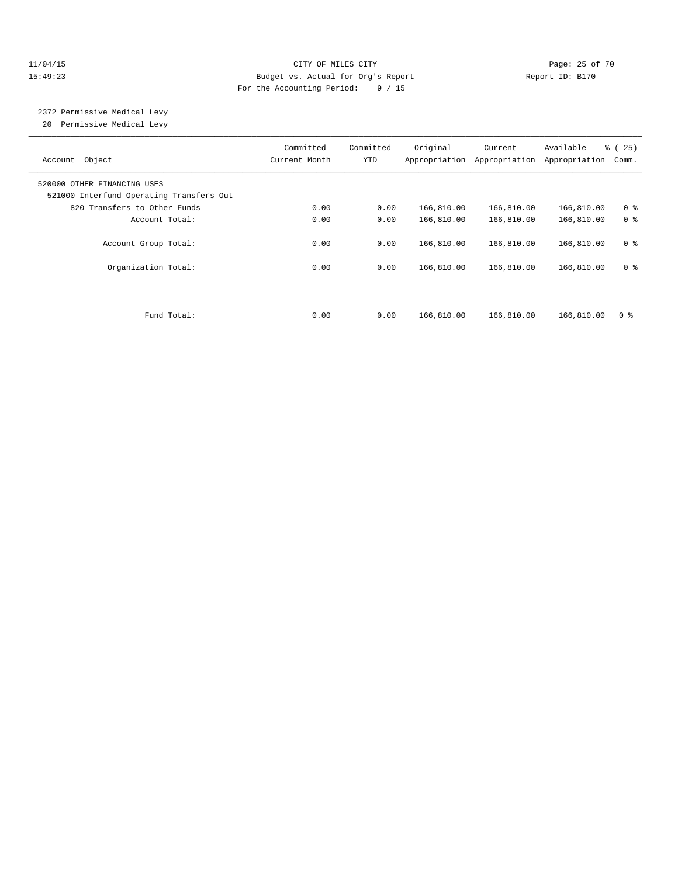### 11/04/15 Page: 25 of 70 15:49:23 Budget vs. Actual for Org's Report Report ID: B170 For the Accounting Period: 9 / 15

# 2372 Permissive Medical Levy

20 Permissive Medical Levy

| Object<br>Account                                                       | Committed<br>Current Month | Committed<br>YTD | Original<br>Appropriation | Current<br>Appropriation | Available<br>Appropriation | % (25)<br>Comm. |
|-------------------------------------------------------------------------|----------------------------|------------------|---------------------------|--------------------------|----------------------------|-----------------|
| 520000 OTHER FINANCING USES<br>521000 Interfund Operating Transfers Out |                            |                  |                           |                          |                            |                 |
| 820 Transfers to Other Funds                                            | 0.00                       | 0.00             | 166,810.00                | 166,810.00               | 166,810.00                 | 0 <sup>8</sup>  |
| Account Total:                                                          | 0.00                       | 0.00             | 166,810.00                | 166,810.00               | 166,810.00                 | 0 <sup>8</sup>  |
| Account Group Total:                                                    | 0.00                       | 0.00             | 166,810.00                | 166,810.00               | 166,810.00                 | 0 <sup>8</sup>  |
| Organization Total:                                                     | 0.00                       | 0.00             | 166,810.00                | 166,810.00               | 166,810.00                 | 0 <sup>8</sup>  |
|                                                                         |                            |                  |                           |                          |                            |                 |
| Fund Total:                                                             | 0.00                       | 0.00             | 166,810.00                | 166,810.00               | 166,810.00                 | 0 <sup>8</sup>  |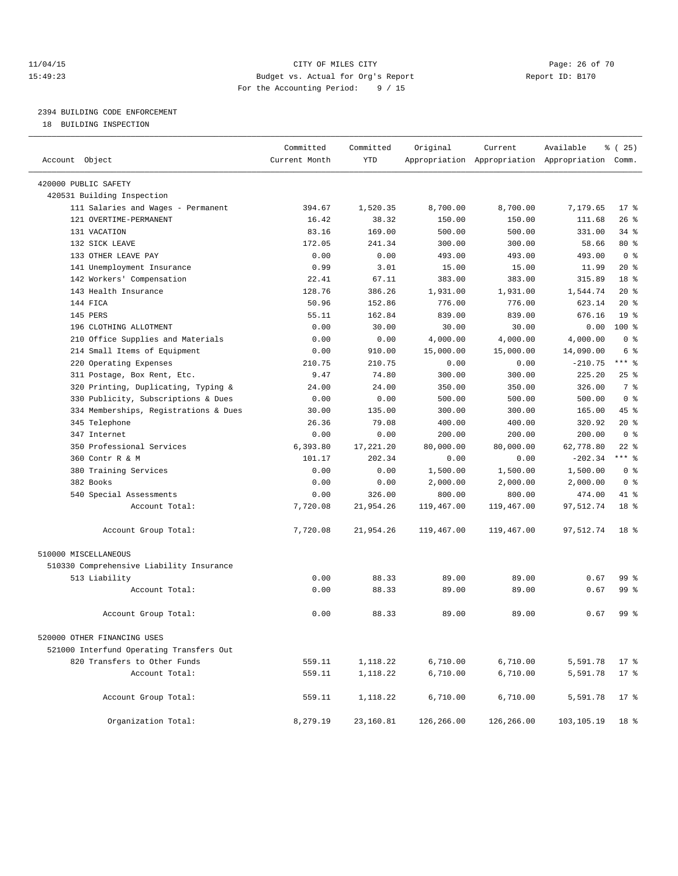### 11/04/15 **Page: 26 of 70** CITY OF MILES CITY **CITY Page: 26 of 70** 15:49:23 Budget vs. Actual for Org's Report Report ID: B170 For the Accounting Period: 9 / 15

————————————————————————————————————————————————————————————————————————————————————————————————————————————————————————————————————

# 2394 BUILDING CODE ENFORCEMENT

18 BUILDING INSPECTION

|                                          | Committed     | Committed  | Original   | Current    | Available                                       | <sub>है</sub> (25) |
|------------------------------------------|---------------|------------|------------|------------|-------------------------------------------------|--------------------|
| Account Object                           | Current Month | <b>YTD</b> |            |            | Appropriation Appropriation Appropriation Comm. |                    |
| 420000 PUBLIC SAFETY                     |               |            |            |            |                                                 |                    |
| 420531 Building Inspection               |               |            |            |            |                                                 |                    |
| 111 Salaries and Wages - Permanent       | 394.67        | 1,520.35   | 8,700.00   | 8,700.00   | 7,179.65                                        | $17*$              |
| 121 OVERTIME-PERMANENT                   | 16.42         | 38.32      | 150.00     | 150.00     | 111.68                                          | $26$ %             |
| 131 VACATION                             | 83.16         | 169.00     | 500.00     | 500.00     | 331.00                                          | $34$ $%$           |
| 132 SICK LEAVE                           | 172.05        | 241.34     | 300.00     | 300.00     | 58.66                                           | 80 %               |
| 133 OTHER LEAVE PAY                      | 0.00          | 0.00       | 493.00     | 493.00     | 493.00                                          | 0 <sup>8</sup>     |
| 141 Unemployment Insurance               | 0.99          | 3.01       | 15.00      | 15.00      | 11.99                                           | $20*$              |
| 142 Workers' Compensation                | 22.41         | 67.11      | 383.00     | 383.00     | 315.89                                          | 18 <sup>°</sup>    |
| 143 Health Insurance                     | 128.76        | 386.26     | 1,931.00   | 1,931.00   | 1,544.74                                        | $20*$              |
| 144 FICA                                 | 50.96         | 152.86     | 776.00     | 776.00     | 623.14                                          | $20*$              |
| 145 PERS                                 | 55.11         | 162.84     | 839.00     | 839.00     | 676.16                                          | 19 <sup>°</sup>    |
| 196 CLOTHING ALLOTMENT                   | 0.00          | 30.00      | 30.00      | 30.00      | 0.00                                            | $100*$             |
| 210 Office Supplies and Materials        | 0.00          | 0.00       | 4,000.00   | 4,000.00   | 4,000.00                                        | 0 <sup>8</sup>     |
| 214 Small Items of Equipment             | 0.00          | 910.00     | 15,000.00  | 15,000.00  | 14,090.00                                       | 6 %                |
| 220 Operating Expenses                   | 210.75        | 210.75     | 0.00       | 0.00       | $-210.75$                                       | $***$ $-$          |
| 311 Postage, Box Rent, Etc.              | 9.47          | 74.80      | 300.00     | 300.00     | 225.20                                          | $25$ %             |
| 320 Printing, Duplicating, Typing &      | 24.00         | 24.00      | 350.00     | 350.00     | 326.00                                          | 7 %                |
| 330 Publicity, Subscriptions & Dues      | 0.00          | 0.00       | 500.00     | 500.00     | 500.00                                          | 0 <sup>8</sup>     |
| 334 Memberships, Registrations & Dues    | 30.00         | 135.00     | 300.00     | 300.00     | 165.00                                          | 45 %               |
| 345 Telephone                            | 26.36         | 79.08      | 400.00     | 400.00     | 320.92                                          | 20%                |
| 347 Internet                             | 0.00          | 0.00       | 200.00     | 200.00     | 200.00                                          | 0 <sup>8</sup>     |
| 350 Professional Services                | 6,393.80      | 17,221.20  | 80,000.00  | 80,000.00  | 62,778.80                                       | $22$ %             |
| 360 Contr R & M                          | 101.17        | 202.34     | 0.00       | 0.00       | $-202.34$                                       | $***$ $-$          |
| 380 Training Services                    | 0.00          | 0.00       | 1,500.00   | 1,500.00   | 1,500.00                                        | 0 <sup>8</sup>     |
| 382 Books                                | 0.00          | 0.00       | 2,000.00   | 2,000.00   | 2,000.00                                        | 0 <sup>8</sup>     |
| 540 Special Assessments                  | 0.00          | 326.00     | 800.00     | 800.00     | 474.00                                          | 41 %               |
| Account Total:                           | 7,720.08      | 21,954.26  | 119,467.00 | 119,467.00 | 97,512.74                                       | 18 <sup>8</sup>    |
| Account Group Total:                     | 7,720.08      | 21,954.26  | 119,467.00 | 119,467.00 | 97,512.74                                       | 18 <sup>8</sup>    |
| 510000 MISCELLANEOUS                     |               |            |            |            |                                                 |                    |
| 510330 Comprehensive Liability Insurance |               |            |            |            |                                                 |                    |
| 513 Liability                            | 0.00          | 88.33      | 89.00      | 89.00      | 0.67                                            | 99 %               |
| Account Total:                           | 0.00          | 88.33      | 89.00      | 89.00      | 0.67                                            | 99 %               |
| Account Group Total:                     | 0.00          | 88.33      | 89.00      | 89.00      | 0.67                                            | 99 %               |
| 520000 OTHER FINANCING USES              |               |            |            |            |                                                 |                    |
| 521000 Interfund Operating Transfers Out |               |            |            |            |                                                 |                    |
| 820 Transfers to Other Funds             | 559.11        | 1,118.22   | 6,710.00   | 6,710.00   | 5,591.78                                        | $17*$              |
| Account Total:                           | 559.11        | 1,118.22   | 6,710.00   | 6,710.00   | 5,591.78                                        | $17*$              |
|                                          |               |            |            |            |                                                 |                    |
| Account Group Total:                     | 559.11        | 1,118.22   | 6,710.00   | 6,710.00   | 5,591.78                                        | $17*$              |
| Organization Total:                      | 8,279.19      | 23,160.81  | 126,266.00 | 126,266.00 | 103,105.19                                      | 18 %               |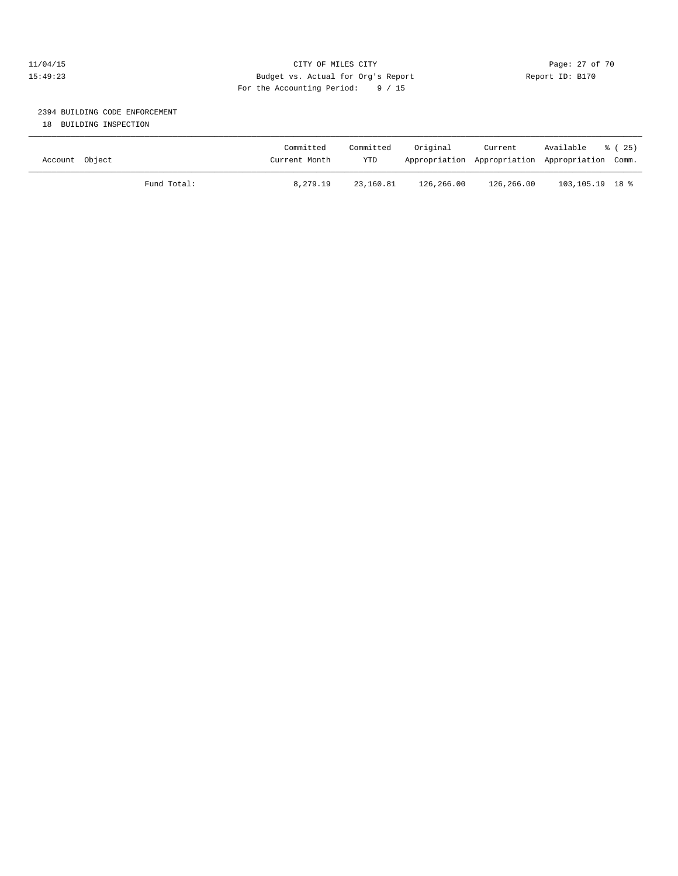### 11/04/15 **Page: 27 of 70** CITY OF MILES CITY **CITY Page: 27 of 70** 15:49:23 Budget vs. Actual for Org's Report Report ID: B170 For the Accounting Period: 9 / 15

# 2394 BUILDING CODE ENFORCEMENT

18 BUILDING INSPECTION

| Account Object |             | Committed<br>Current Month | Committed<br><b>YTD</b> | Original   | Current    | Available<br>Appropriation Appropriation Appropriation Comm. | 8 (25) |
|----------------|-------------|----------------------------|-------------------------|------------|------------|--------------------------------------------------------------|--------|
|                | Fund Total: | 8,279.19                   | 23,160.81               | 126,266.00 | 126,266.00 | 103,105.19 18 %                                              |        |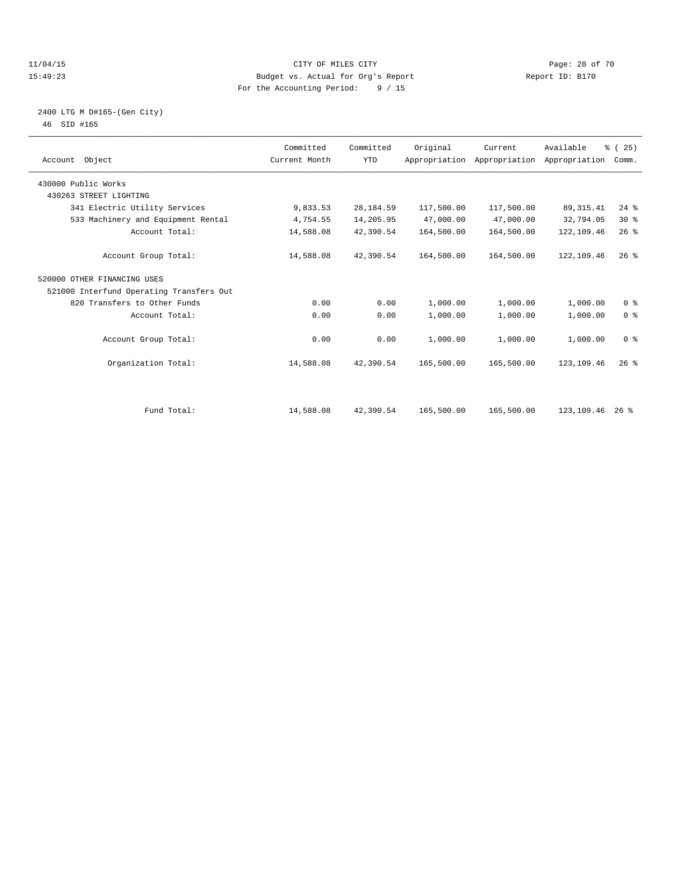### 11/04/15 **Page: 28 of 70** CITY OF MILES CITY **CITY Page: 28 of 70** 15:49:23 Budget vs. Actual for Org's Report Report ID: B170 For the Accounting Period: 9 / 15

### 2400 LTG M D#165-(Gen City) 46 SID #165

| Account Object                           | Committed<br>Current Month | Committed<br><b>YTD</b> | Original   | Current<br>Appropriation Appropriation Appropriation | Available   | % (25)<br>Comm. |  |
|------------------------------------------|----------------------------|-------------------------|------------|------------------------------------------------------|-------------|-----------------|--|
| 430000 Public Works                      |                            |                         |            |                                                      |             |                 |  |
| 430263 STREET LIGHTING                   |                            |                         |            |                                                      |             |                 |  |
| 341 Electric Utility Services            | 9,833.53                   | 28, 184.59              | 117,500.00 | 117,500.00                                           | 89, 315.41  | $24$ %          |  |
| 533 Machinery and Equipment Rental       | 4,754.55                   | 14,205.95               | 47,000.00  | 47,000.00                                            | 32,794.05   | $30*$           |  |
| Account Total:                           | 14,588.08                  | 42,390.54               | 164,500.00 | 164,500.00                                           | 122,109.46  | $26$ $%$        |  |
| Account Group Total:                     | 14,588.08                  | 42,390.54               | 164,500.00 | 164,500.00                                           | 122, 109.46 | $26$ $%$        |  |
| 520000 OTHER FINANCING USES              |                            |                         |            |                                                      |             |                 |  |
| 521000 Interfund Operating Transfers Out |                            |                         |            |                                                      |             |                 |  |
| 820 Transfers to Other Funds             | 0.00                       | 0.00                    | 1,000.00   | 1,000.00                                             | 1,000.00    | 0 <sup>8</sup>  |  |
| Account Total:                           | 0.00                       | 0.00                    | 1,000.00   | 1,000.00                                             | 1,000.00    | 0 <sup>8</sup>  |  |
| Account Group Total:                     | 0.00                       | 0.00                    | 1,000.00   | 1,000.00                                             | 1,000.00    | 0 <sup>8</sup>  |  |
| Organization Total:                      | 14,588.08                  | 42,390.54               | 165,500.00 | 165,500.00                                           | 123,109.46  | $26$ $%$        |  |
|                                          |                            |                         |            |                                                      |             |                 |  |
| Fund Total:                              | 14,588.08                  | 42,390.54               | 165,500.00 | 165,500.00                                           | 123,109.46  | $26$ %          |  |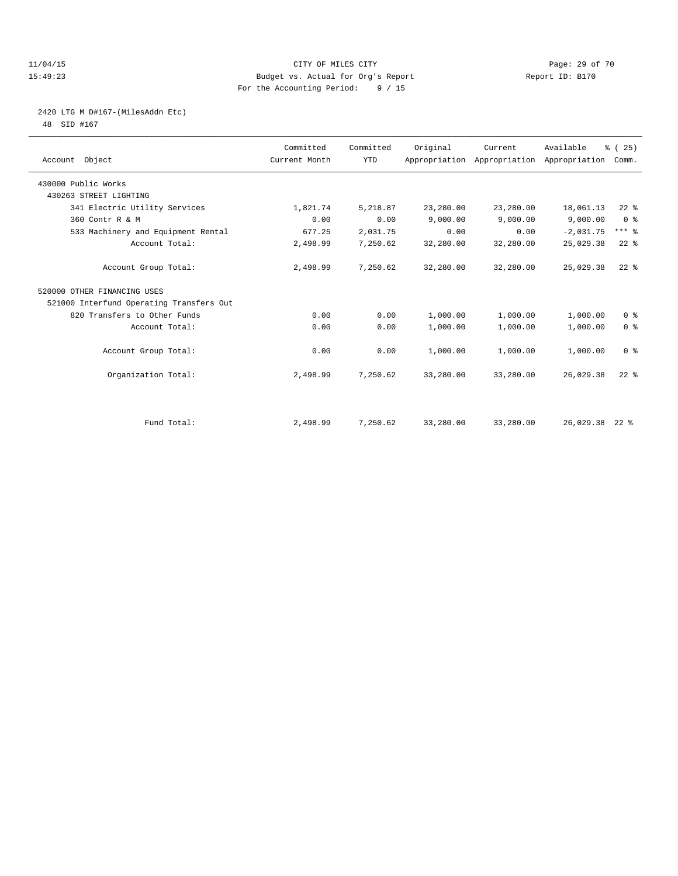### 11/04/15 **Page: 29 of 70** CITY OF MILES CITY **CITY Page: 29 of 70** 15:49:23 Budget vs. Actual for Org's Report Report ID: B170 For the Accounting Period: 9 / 15

# 2420 LTG M D#167-(MilesAddn Etc)

48 SID #167

| Account Object                           | Committed<br>Current Month | Committed<br><b>YTD</b> | Original  | Current   | Available<br>Appropriation Appropriation Appropriation | % (25)<br>Comm. |  |
|------------------------------------------|----------------------------|-------------------------|-----------|-----------|--------------------------------------------------------|-----------------|--|
|                                          |                            |                         |           |           |                                                        |                 |  |
| 430000 Public Works                      |                            |                         |           |           |                                                        |                 |  |
| 430263 STREET LIGHTING                   |                            |                         |           |           |                                                        |                 |  |
| 341 Electric Utility Services            | 1,821.74                   | 5,218.87                | 23,280.00 | 23,280.00 | 18,061.13                                              | $22$ $%$        |  |
| 360 Contr R & M                          | 0.00                       | 0.00                    | 9,000.00  | 9,000.00  | 9,000.00                                               | 0 <sup>8</sup>  |  |
| 533 Machinery and Equipment Rental       | 677.25                     | 2,031.75                | 0.00      | 0.00      | $-2,031.75$                                            | $***$ $%$       |  |
| Account Total:                           | 2,498.99                   | 7,250.62                | 32,280.00 | 32,280.00 | 25,029.38                                              | $22$ $%$        |  |
| Account Group Total:                     | 2,498.99                   | 7,250.62                | 32,280.00 | 32,280.00 | 25,029.38                                              | $22$ $%$        |  |
| 520000 OTHER FINANCING USES              |                            |                         |           |           |                                                        |                 |  |
| 521000 Interfund Operating Transfers Out |                            |                         |           |           |                                                        |                 |  |
| 820 Transfers to Other Funds             | 0.00                       | 0.00                    | 1,000.00  | 1,000.00  | 1,000.00                                               | 0 <sup>8</sup>  |  |
| Account Total:                           | 0.00                       | 0.00                    | 1,000.00  | 1,000.00  | 1,000.00                                               | 0 <sup>8</sup>  |  |
| Account Group Total:                     | 0.00                       | 0.00                    | 1,000.00  | 1,000.00  | 1,000.00                                               | 0 <sup>8</sup>  |  |
| Organization Total:                      | 2,498.99                   | 7,250.62                | 33,280.00 | 33,280.00 | 26,029.38                                              | $22$ $%$        |  |
|                                          |                            |                         |           |           |                                                        |                 |  |
| Fund Total:                              | 2,498.99                   | 7,250.62                | 33,280.00 | 33,280.00 | 26,029.38 22 %                                         |                 |  |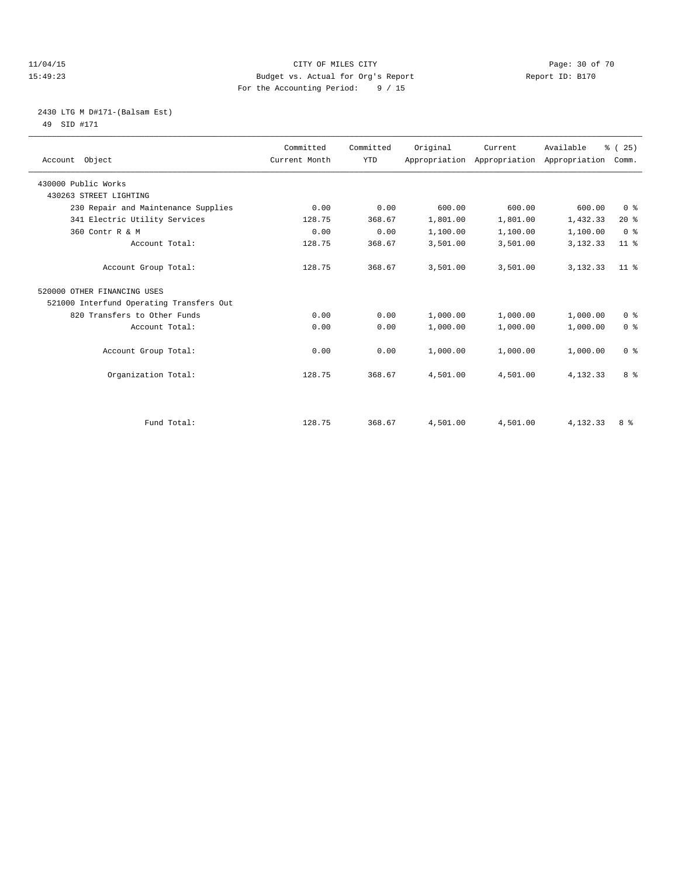### 11/04/15 **Page: 30 of 70** CITY OF MILES CITY **CITY Page: 30 of 70** 15:49:23 Budget vs. Actual for Org's Report Report ID: B170 For the Accounting Period: 9 / 15

### 2430 LTG M D#171-(Balsam Est) 49 SID #171

| Account Object                           | Committed<br>Current Month | Committed<br><b>YTD</b> | Original | Current  | Available<br>Appropriation Appropriation Appropriation | % (25)<br>Comm. |
|------------------------------------------|----------------------------|-------------------------|----------|----------|--------------------------------------------------------|-----------------|
| 430000 Public Works                      |                            |                         |          |          |                                                        |                 |
| 430263 STREET LIGHTING                   |                            |                         |          |          |                                                        |                 |
| 230 Repair and Maintenance Supplies      | 0.00                       | 0.00                    | 600.00   | 600.00   | 600.00                                                 | 0 <sup>8</sup>  |
| 341 Electric Utility Services            | 128.75                     | 368.67                  | 1,801.00 | 1,801.00 | 1,432.33                                               | 20%             |
| 360 Contr R & M                          | 0.00                       | 0.00                    | 1,100.00 | 1,100.00 | 1,100.00                                               | 0 <sup>8</sup>  |
| Account Total:                           | 128.75                     | 368.67                  | 3,501.00 | 3,501.00 | 3,132.33                                               | $11$ %          |
| Account Group Total:                     | 128.75                     | 368.67                  | 3,501.00 | 3,501.00 | 3, 132.33                                              | 11 <sup>8</sup> |
| 520000 OTHER FINANCING USES              |                            |                         |          |          |                                                        |                 |
| 521000 Interfund Operating Transfers Out |                            |                         |          |          |                                                        |                 |
| 820 Transfers to Other Funds             | 0.00                       | 0.00                    | 1,000.00 | 1,000.00 | 1,000.00                                               | 0 <sup>8</sup>  |
| Account Total:                           | 0.00                       | 0.00                    | 1,000.00 | 1,000.00 | 1,000.00                                               | 0 <sup>8</sup>  |
| Account Group Total:                     | 0.00                       | 0.00                    | 1,000.00 | 1,000.00 | 1,000.00                                               | 0 <sup>8</sup>  |
| Organization Total:                      | 128.75                     | 368.67                  | 4,501.00 | 4,501.00 | 4,132.33                                               | 8 %             |
|                                          |                            |                         |          |          |                                                        |                 |
| Fund Total:                              | 128.75                     | 368.67                  | 4,501.00 | 4,501.00 | 4,132.33                                               | 8 %             |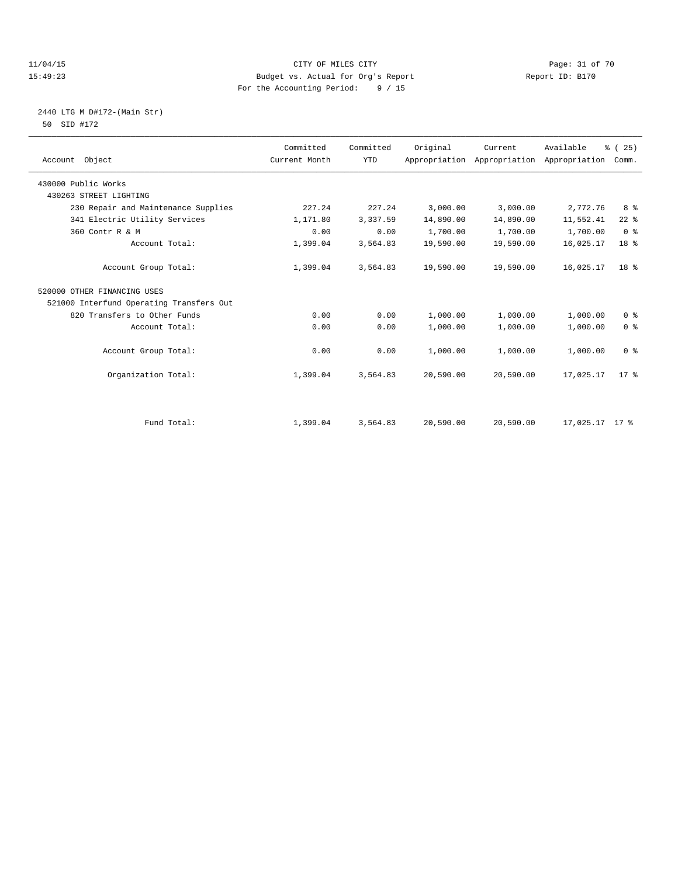### 11/04/15 Page: 31 of 70 15:49:23 Budget vs. Actual for Org's Report Report ID: B170 For the Accounting Period: 9 / 15

### 2440 LTG M D#172-(Main Str) 50 SID #172

| Account Object                           | Committed<br>Current Month | Committed<br><b>YTD</b> | Original  | Current<br>Appropriation Appropriation | Available<br>Appropriation | % (25)<br>Comm. |
|------------------------------------------|----------------------------|-------------------------|-----------|----------------------------------------|----------------------------|-----------------|
| 430000 Public Works                      |                            |                         |           |                                        |                            |                 |
| 430263 STREET LIGHTING                   |                            |                         |           |                                        |                            |                 |
| 230 Repair and Maintenance Supplies      | 227.24                     | 227.24                  | 3,000.00  | 3,000.00                               | 2,772.76                   | 8 %             |
| 341 Electric Utility Services            | 1,171.80                   | 3,337.59                | 14,890.00 | 14,890.00                              | 11,552.41                  | $22$ $%$        |
| 360 Contr R & M                          | 0.00                       | 0.00                    | 1,700.00  | 1,700.00                               | 1,700.00                   | 0 <sup>8</sup>  |
| Account Total:                           | 1,399.04                   | 3,564.83                | 19,590.00 | 19,590.00                              | 16,025.17                  | 18 <sup>8</sup> |
| Account Group Total:                     | 1,399.04                   | 3,564.83                | 19,590.00 | 19,590.00                              | 16,025.17                  | 18 <sup>8</sup> |
| 520000 OTHER FINANCING USES              |                            |                         |           |                                        |                            |                 |
| 521000 Interfund Operating Transfers Out |                            |                         |           |                                        |                            |                 |
| 820 Transfers to Other Funds             | 0.00                       | 0.00                    | 1,000.00  | 1,000.00                               | 1,000.00                   | 0 <sup>8</sup>  |
| Account Total:                           | 0.00                       | 0.00                    | 1,000.00  | 1,000.00                               | 1,000.00                   | 0 <sup>8</sup>  |
| Account Group Total:                     | 0.00                       | 0.00                    | 1,000.00  | 1,000.00                               | 1,000.00                   | 0 <sup>8</sup>  |
| Organization Total:                      | 1,399.04                   | 3,564.83                | 20,590.00 | 20,590.00                              | 17,025.17                  | $17*$           |
|                                          |                            |                         |           |                                        |                            |                 |
| Fund Total:                              | 1,399.04                   | 3,564.83                | 20,590.00 | 20,590.00                              | 17,025.17 17 %             |                 |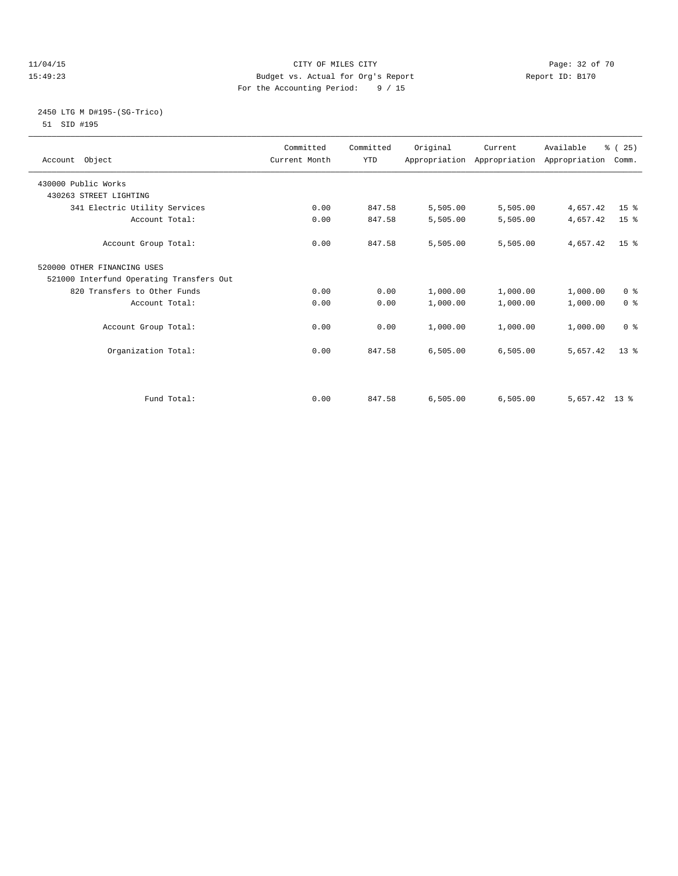### 11/04/15 **Page: 32 of 70** CITY OF MILES CITY **CITY Page: 32 of 70** 15:49:23 Budget vs. Actual for Org's Report Report ID: B170 For the Accounting Period: 9 / 15

### 2450 LTG M D#195-(SG-Trico) 51 SID #195

| Account Object                           | Committed<br>Current Month | Committed<br><b>YTD</b> | Original | Current  | Available<br>Appropriation Appropriation Appropriation | % (25)<br>Comm. |  |
|------------------------------------------|----------------------------|-------------------------|----------|----------|--------------------------------------------------------|-----------------|--|
| 430000 Public Works                      |                            |                         |          |          |                                                        |                 |  |
| 430263 STREET LIGHTING                   |                            |                         |          |          |                                                        |                 |  |
| 341 Electric Utility Services            | 0.00                       | 847.58                  | 5,505.00 | 5,505.00 | 4,657.42                                               | 15 <sup>8</sup> |  |
| Account Total:                           | 0.00                       | 847.58                  | 5,505.00 | 5,505.00 | 4,657.42                                               | 15 <sup>°</sup> |  |
| Account Group Total:                     | 0.00                       | 847.58                  | 5,505.00 | 5,505.00 | 4,657.42                                               | $15*$           |  |
| 520000 OTHER FINANCING USES              |                            |                         |          |          |                                                        |                 |  |
| 521000 Interfund Operating Transfers Out |                            |                         |          |          |                                                        |                 |  |
| 820 Transfers to Other Funds             | 0.00                       | 0.00                    | 1,000.00 | 1,000.00 | 1,000.00                                               | 0 <sup>8</sup>  |  |
| Account Total:                           | 0.00                       | 0.00                    | 1,000.00 | 1,000.00 | 1,000.00                                               | 0 <sup>8</sup>  |  |
| Account Group Total:                     | 0.00                       | 0.00                    | 1,000.00 | 1,000.00 | 1,000.00                                               | 0 <sup>8</sup>  |  |
| Organization Total:                      | 0.00                       | 847.58                  | 6,505.00 | 6,505.00 | 5,657.42                                               | $13*$           |  |
|                                          |                            |                         |          |          |                                                        |                 |  |
| Fund Total:                              | 0.00                       | 847.58                  | 6.505.00 | 6.505.00 | $5,657.42$ 13 %                                        |                 |  |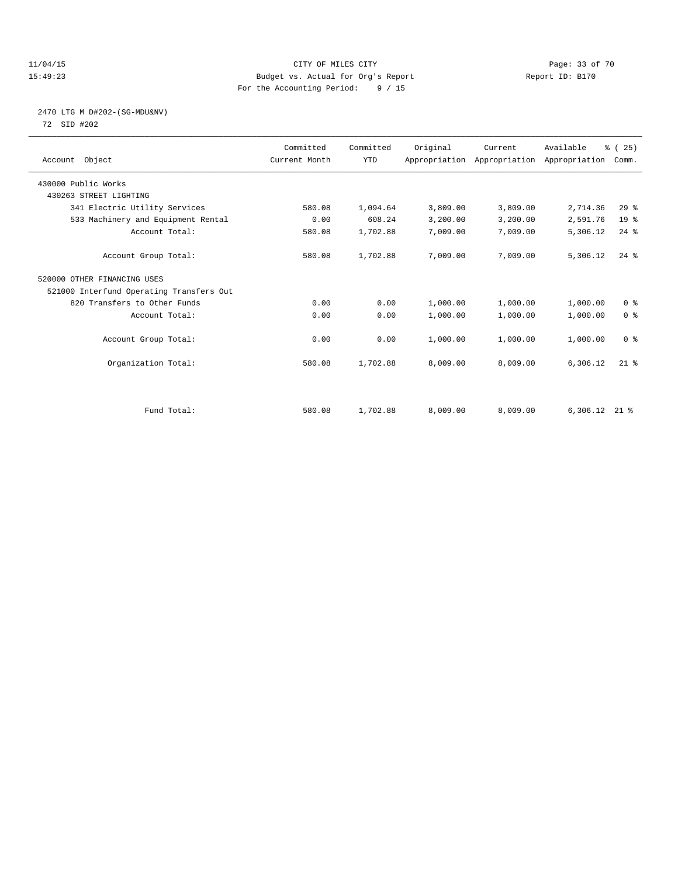### 11/04/15 Page: 33 of 70 15:49:23 Budget vs. Actual for Org's Report Report ID: B170 For the Accounting Period: 9 / 15

### 2470 LTG M D#202-(SG-MDU&NV) 72 SID #202

| Account Object                           | Committed<br>Current Month | Committed<br><b>YTD</b> | Original | Current<br>Appropriation Appropriation Appropriation | Available | % (25)<br>Comm. |  |
|------------------------------------------|----------------------------|-------------------------|----------|------------------------------------------------------|-----------|-----------------|--|
| 430000 Public Works                      |                            |                         |          |                                                      |           |                 |  |
| 430263 STREET LIGHTING                   |                            |                         |          |                                                      |           |                 |  |
| 341 Electric Utility Services            | 580.08                     | 1,094.64                | 3,809.00 | 3,809.00                                             | 2,714.36  | 29 <sup>8</sup> |  |
| 533 Machinery and Equipment Rental       | 0.00                       | 608.24                  | 3,200.00 | 3,200.00                                             | 2,591.76  | 19 <sup>°</sup> |  |
| Account Total:                           | 580.08                     | 1,702.88                | 7,009.00 | 7,009.00                                             | 5,306.12  | $24$ %          |  |
| Account Group Total:                     | 580.08                     | 1,702.88                | 7,009.00 | 7,009.00                                             | 5,306.12  | $24$ $%$        |  |
| 520000 OTHER FINANCING USES              |                            |                         |          |                                                      |           |                 |  |
| 521000 Interfund Operating Transfers Out |                            |                         |          |                                                      |           |                 |  |
| 820 Transfers to Other Funds             | 0.00                       | 0.00                    | 1,000.00 | 1,000.00                                             | 1,000.00  | 0 <sup>8</sup>  |  |
| Account Total:                           | 0.00                       | 0.00                    | 1,000.00 | 1,000.00                                             | 1,000.00  | 0 <sup>8</sup>  |  |
| Account Group Total:                     | 0.00                       | 0.00                    | 1,000.00 | 1,000.00                                             | 1,000.00  | 0 <sup>8</sup>  |  |
| Organization Total:                      | 580.08                     | 1,702.88                | 8,009.00 | 8,009.00                                             | 6,306.12  | $21$ $%$        |  |
|                                          |                            |                         |          |                                                      |           |                 |  |
| Fund Total:                              | 580.08                     | 1,702.88                | 8,009.00 | 8,009.00                                             | 6,306.12  | $21$ %          |  |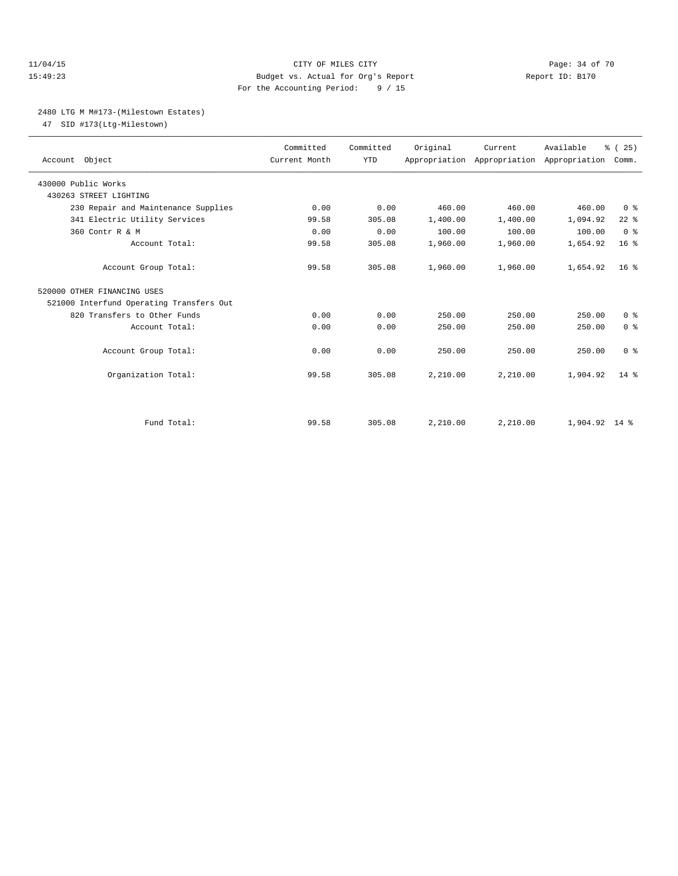### 11/04/15 **Page: 34 of 70 CITY OF MILES CITY CITY Page: 34 of 70** 15:49:23 Budget vs. Actual for Org's Report Report ID: B170 For the Accounting Period: 9 / 15

### 2480 LTG M M#173-(Milestown Estates)

47 SID #173(Ltg-Milestown)

| Account Object                           | Committed<br>Current Month | Committed<br><b>YTD</b> | Original | Current  | Available<br>Appropriation Appropriation Appropriation | % (25)<br>Comm. |
|------------------------------------------|----------------------------|-------------------------|----------|----------|--------------------------------------------------------|-----------------|
| 430000 Public Works                      |                            |                         |          |          |                                                        |                 |
| 430263 STREET LIGHTING                   |                            |                         |          |          |                                                        |                 |
| 230 Repair and Maintenance Supplies      | 0.00                       | 0.00                    | 460.00   | 460.00   | 460.00                                                 | 0 <sup>8</sup>  |
| 341 Electric Utility Services            | 99.58                      | 305.08                  | 1,400.00 | 1,400.00 | 1,094.92                                               | $22$ $%$        |
| 360 Contr R & M                          | 0.00                       | 0.00                    | 100.00   | 100.00   | 100.00                                                 | 0 <sup>8</sup>  |
| Account Total:                           | 99.58                      | 305.08                  | 1,960.00 | 1,960.00 | 1,654.92                                               | 16 <sup>8</sup> |
| Account Group Total:                     | 99.58                      | 305.08                  | 1,960.00 | 1,960.00 | 1,654.92                                               | 16 <sup>8</sup> |
| 520000 OTHER FINANCING USES              |                            |                         |          |          |                                                        |                 |
| 521000 Interfund Operating Transfers Out |                            |                         |          |          |                                                        |                 |
| 820 Transfers to Other Funds             | 0.00                       | 0.00                    | 250.00   | 250.00   | 250.00                                                 | 0 <sup>8</sup>  |
| Account Total:                           | 0.00                       | 0.00                    | 250.00   | 250.00   | 250.00                                                 | 0 <sup>8</sup>  |
| Account Group Total:                     | 0.00                       | 0.00                    | 250.00   | 250.00   | 250.00                                                 | 0 <sup>8</sup>  |
| Organization Total:                      | 99.58                      | 305.08                  | 2,210.00 | 2,210.00 | 1,904.92                                               | $14*$           |
|                                          |                            |                         |          |          |                                                        |                 |
| Fund Total:                              | 99.58                      | 305.08                  | 2,210.00 | 2,210.00 | $1.904.92$ 14 %                                        |                 |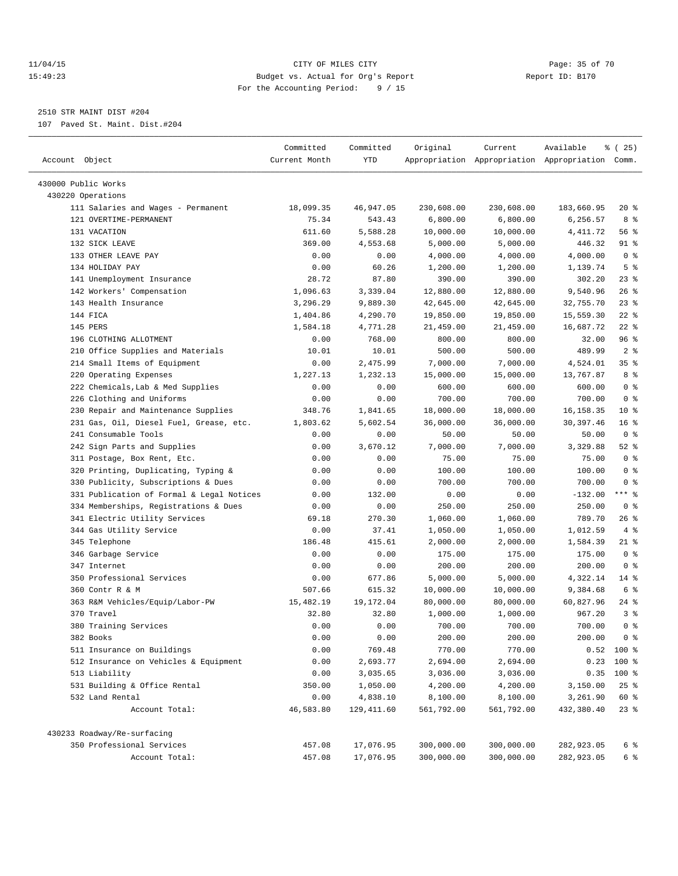### 11/04/15 **Page: 35 of 70** CITY OF MILES CITY **CITY** Page: 35 of 70 15:49:23 Budget vs. Actual for Org's Report Report ID: B170 For the Accounting Period: 9 / 15

————————————————————————————————————————————————————————————————————————————————————————————————————————————————————————————————————

# 2510 STR MAINT DIST #204

107 Paved St. Maint. Dist.#204

|                                           | Committed     | Committed   | Original   | Current            | Available                                       | ៖ (25)                 |
|-------------------------------------------|---------------|-------------|------------|--------------------|-------------------------------------------------|------------------------|
| Account Object                            | Current Month | YTD         |            |                    | Appropriation Appropriation Appropriation Comm. |                        |
| 430000 Public Works                       |               |             |            |                    |                                                 |                        |
| 430220 Operations                         |               |             |            |                    |                                                 |                        |
| 111 Salaries and Wages - Permanent        | 18,099.35     | 46,947.05   | 230,608.00 | 230,608.00         | 183,660.95                                      | $20*$                  |
| 121 OVERTIME-PERMANENT                    | 75.34         | 543.43      | 6,800.00   | 6,800.00           | 6,256.57                                        | 8 %                    |
| 131 VACATION                              | 611.60        | 5,588.28    | 10,000.00  | 10,000.00          | 4,411.72                                        | 56 %                   |
| 132 SICK LEAVE                            | 369.00        | 4,553.68    | 5,000.00   | 5,000.00           | 446.32                                          | 91 %                   |
| 133 OTHER LEAVE PAY                       | 0.00          | 0.00        | 4,000.00   | 4,000.00           | 4,000.00                                        | 0 <sup>8</sup>         |
| 134 HOLIDAY PAY                           | 0.00          | 60.26       | 1,200.00   |                    | 1,139.74                                        | 5 <sup>°</sup>         |
| 141 Unemployment Insurance                | 28.72         | 87.80       | 390.00     | 1,200.00<br>390.00 | 302.20                                          | $23$ $%$               |
| 142 Workers' Compensation                 | 1,096.63      | 3,339.04    | 12,880.00  | 12,880.00          | 9,540.96                                        | 26%                    |
| 143 Health Insurance                      | 3,296.29      | 9,889.30    |            |                    |                                                 | $23$ %                 |
| 144 FICA                                  |               |             | 42,645.00  | 42,645.00          | 32,755.70                                       | $22$ %                 |
| 145 PERS                                  | 1,404.86      | 4,290.70    | 19,850.00  | 19,850.00          | 15,559.30                                       | $22$ %                 |
|                                           | 1,584.18      | 4,771.28    | 21,459.00  | 21,459.00          | 16,687.72                                       |                        |
| 196 CLOTHING ALLOTMENT                    | 0.00          | 768.00      | 800.00     | 800.00             | 32.00                                           | 96 %                   |
| 210 Office Supplies and Materials         | 10.01         | 10.01       | 500.00     | 500.00             | 489.99                                          | 2 <sup>°</sup>         |
| 214 Small Items of Equipment              | 0.00          | 2,475.99    | 7,000.00   | 7,000.00           | 4,524.01                                        | 35 <sup>8</sup><br>8 % |
| 220 Operating Expenses                    | 1,227.13      | 1,232.13    | 15,000.00  | 15,000.00          | 13,767.87                                       |                        |
| 222 Chemicals, Lab & Med Supplies         | 0.00          | 0.00        | 600.00     | 600.00             | 600.00                                          | 0 <sup>8</sup>         |
| 226 Clothing and Uniforms                 | 0.00          | 0.00        | 700.00     | 700.00             | 700.00                                          | 0 <sup>8</sup>         |
| 230 Repair and Maintenance Supplies       | 348.76        | 1,841.65    | 18,000.00  | 18,000.00          | 16, 158. 35                                     | $10*$                  |
| 231 Gas, Oil, Diesel Fuel, Grease, etc.   | 1,803.62      | 5,602.54    | 36,000.00  | 36,000.00          | 30, 397.46                                      | 16 <sup>°</sup>        |
| 241 Consumable Tools                      | 0.00          | 0.00        | 50.00      | 50.00              | 50.00                                           | 0 <sup>8</sup>         |
| 242 Sign Parts and Supplies               | 0.00          | 3,670.12    | 7,000.00   | 7,000.00           | 3,329.88                                        | $52$ $%$               |
| 311 Postage, Box Rent, Etc.               | 0.00          | 0.00        | 75.00      | 75.00              | 75.00                                           | 0 <sup>8</sup>         |
| 320 Printing, Duplicating, Typing &       | 0.00          | 0.00        | 100.00     | 100.00             | 100.00                                          | 0 <sup>8</sup>         |
| 330 Publicity, Subscriptions & Dues       | 0.00          | 0.00        | 700.00     | 700.00             | 700.00                                          | 0 <sup>8</sup>         |
| 331 Publication of Formal & Legal Notices | 0.00          | 132.00      | 0.00       | 0.00               | $-132.00$                                       | $***$ $-$              |
| 334 Memberships, Registrations & Dues     | 0.00          | 0.00        | 250.00     | 250.00             | 250.00                                          | 0 <sup>8</sup>         |
| 341 Electric Utility Services             | 69.18         | 270.30      | 1,060.00   | 1,060.00           | 789.70                                          | 26%                    |
| 344 Gas Utility Service                   | 0.00          | 37.41       | 1,050.00   | 1,050.00           | 1,012.59                                        | 4%                     |
| 345 Telephone                             | 186.48        | 415.61      | 2,000.00   | 2,000.00           | 1,584.39                                        | $21$ %                 |
| 346 Garbage Service                       | 0.00          | 0.00        | 175.00     | 175.00             | 175.00                                          | 0 <sup>8</sup>         |
| 347 Internet                              | 0.00          | 0.00        | 200.00     | 200.00             | 200.00                                          | 0 <sup>8</sup>         |
| 350 Professional Services                 | 0.00          | 677.86      | 5,000.00   | 5,000.00           | 4,322.14                                        | $14$ %                 |
| 360 Contr R & M                           | 507.66        | 615.32      | 10,000.00  | 10,000.00          | 9,384.68                                        | 6 %                    |
| 363 R&M Vehicles/Equip/Labor-PW           | 15,482.19     | 19,172.04   | 80,000.00  | 80,000.00          | 60,827.96                                       | $24$ %                 |
| 370 Travel                                | 32.80         | 32.80       | 1,000.00   | 1,000.00           | 967.20                                          | 3%                     |
| 380 Training Services                     | 0.00          | 0.00        | 700.00     | 700.00             | 700.00                                          | 0 <sup>8</sup>         |
| 382 Books                                 | 0.00          | 0.00        | 200.00     | 200.00             | 200.00                                          | 0 <sup>8</sup>         |
| 511 Insurance on Buildings                | 0.00          | 769.48      | 770.00     | 770.00             |                                                 | $0.52$ 100 %           |
| 512 Insurance on Vehicles & Equipment     | 0.00          | 2,693.77    | 2,694.00   | 2,694.00           | 0.23                                            | 100 %                  |
| 513 Liability                             | 0.00          | 3,035.65    | 3,036.00   | 3,036.00           | 0.35                                            | 100 %                  |
| 531 Building & Office Rental              | 350.00        | 1,050.00    | 4,200.00   | 4,200.00           | 3,150.00                                        | $25$ $%$               |
| 532 Land Rental                           | 0.00          | 4,838.10    | 8,100.00   | 8,100.00           | 3,261.90                                        | 60 %                   |
| Account Total:                            | 46,583.80     | 129, 411.60 | 561,792.00 | 561,792.00         | 432,380.40                                      | $23$ $%$               |
| 430233 Roadway/Re-surfacing               |               |             |            |                    |                                                 |                        |
| 350 Professional Services                 | 457.08        | 17,076.95   | 300,000.00 | 300,000.00         | 282,923.05                                      | 6 %                    |
| Account Total:                            | 457.08        | 17,076.95   | 300,000.00 | 300,000.00         | 282,923.05                                      | 6 %                    |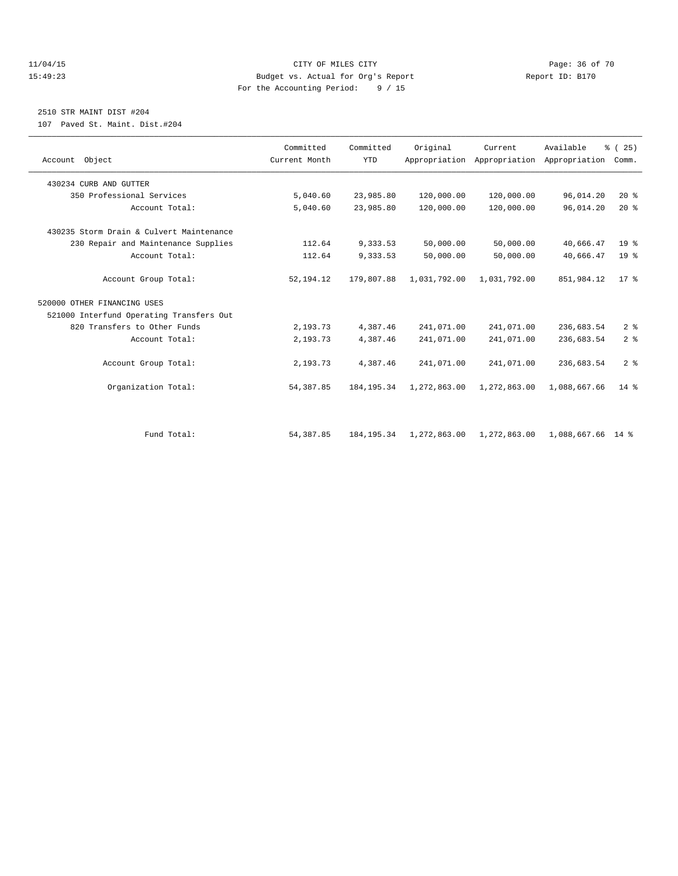### 11/04/15 **Page: 36 of 70** CITY OF MILES CITY **CITY** Page: 36 of 70 15:49:23 Budget vs. Actual for Org's Report Report ID: B170 For the Accounting Period: 9 / 15

## 2510 STR MAINT DIST #204

107 Paved St. Maint. Dist.#204

|                                          | Committed     | Committed    | Original     | Current                                   | Available         | % (25)          |
|------------------------------------------|---------------|--------------|--------------|-------------------------------------------|-------------------|-----------------|
| Account Object                           | Current Month | <b>YTD</b>   |              | Appropriation Appropriation Appropriation |                   | Comm.           |
| 430234 CURB AND GUTTER                   |               |              |              |                                           |                   |                 |
| 350 Professional Services                | 5,040.60      | 23,985.80    | 120,000.00   | 120,000.00                                | 96,014.20         | $20*$           |
| Account Total:                           | 5,040.60      | 23,985.80    | 120,000.00   | 120,000.00                                | 96,014.20         | $20*$           |
| 430235 Storm Drain & Culvert Maintenance |               |              |              |                                           |                   |                 |
| 230 Repair and Maintenance Supplies      | 112.64        | 9,333.53     | 50,000.00    | 50,000.00                                 | 40,666.47         | 19 <sup>°</sup> |
| Account Total:                           | 112.64        | 9,333.53     | 50,000.00    | 50,000.00                                 | 40,666.47         | 19 <sup>°</sup> |
| Account Group Total:                     | 52, 194. 12   | 179,807.88   | 1,031,792.00 | 1,031,792.00                              | 851,984.12        | $17*$           |
| 520000 OTHER FINANCING USES              |               |              |              |                                           |                   |                 |
| 521000 Interfund Operating Transfers Out |               |              |              |                                           |                   |                 |
| 820 Transfers to Other Funds             | 2,193.73      | 4,387.46     | 241,071.00   | 241,071.00                                | 236,683.54        | 2 <sup>°</sup>  |
| Account Total:                           | 2,193.73      | 4,387.46     | 241,071.00   | 241,071.00                                | 236,683.54        | 2 <sup>°</sup>  |
| Account Group Total:                     | 2,193.73      | 4,387.46     | 241,071.00   | 241,071.00                                | 236,683.54        | 2 <sup>8</sup>  |
| Organization Total:                      | 54, 387.85    | 184, 195.34  | 1,272,863.00 | 1,272,863.00                              | 1,088,667.66      | $14*$           |
|                                          |               |              |              |                                           |                   |                 |
| Fund Total:                              | 54, 387.85    | 184, 195. 34 | 1,272,863.00 | 1,272,863.00                              | 1,088,667.66 14 % |                 |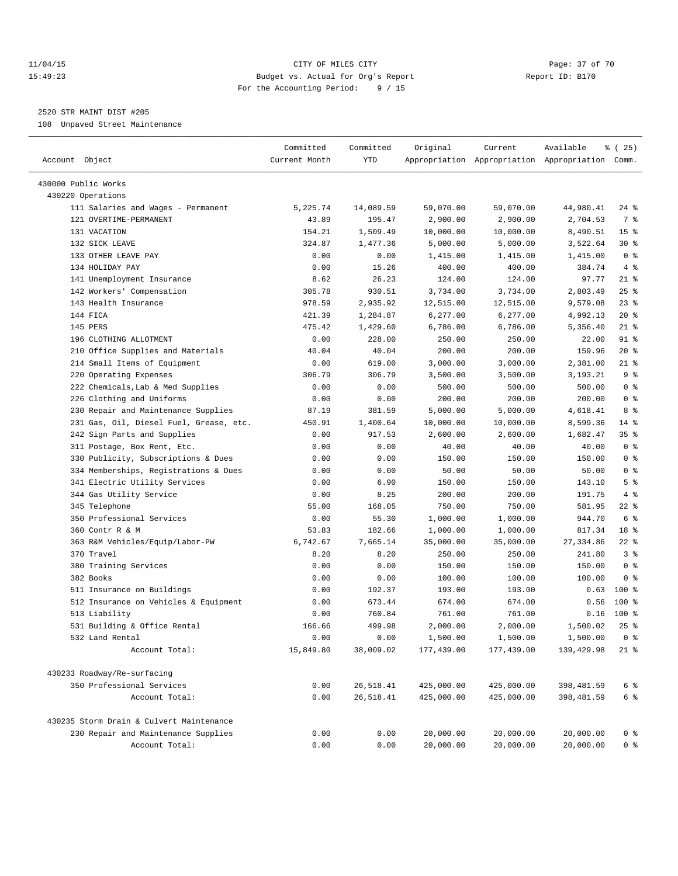### 11/04/15 **Page: 37 of 70** CITY OF MILES CITY **CITY Page: 37 of 70** 15:49:23 Budget vs. Actual for Org's Report Report ID: B170 For the Accounting Period: 9 / 15

————————————————————————————————————————————————————————————————————————————————————————————————————————————————————————————————————

## 2520 STR MAINT DIST #205

108 Unpaved Street Maintenance

|                                          | Committed     | Committed | Original   | Current                                         | Available      | $\frac{1}{6}$ ( 25) |
|------------------------------------------|---------------|-----------|------------|-------------------------------------------------|----------------|---------------------|
| Account Object                           | Current Month | YTD       |            | Appropriation Appropriation Appropriation Comm. |                |                     |
| 430000 Public Works                      |               |           |            |                                                 |                |                     |
| 430220 Operations                        |               |           |            |                                                 |                |                     |
| 111 Salaries and Wages - Permanent       | 5,225.74      | 14,089.59 | 59,070.00  | 59,070.00                                       | 44,980.41      | 24 %                |
| 121 OVERTIME-PERMANENT                   | 43.89         | 195.47    | 2,900.00   | 2,900.00                                        | 2,704.53       | 7 %                 |
| 131 VACATION                             | 154.21        | 1,509.49  | 10,000.00  | 10,000.00                                       | 8,490.51       | 15 <sup>°</sup>     |
| 132 SICK LEAVE                           | 324.87        | 1,477.36  | 5,000.00   | 5,000.00                                        | 3,522.64       | $30*$               |
| 133 OTHER LEAVE PAY                      | 0.00          | 0.00      | 1,415.00   | 1,415.00                                        | 1,415.00       | 0 <sup>8</sup>      |
| 134 HOLIDAY PAY                          | 0.00          | 15.26     | 400.00     | 400.00                                          | 384.74         | 4%                  |
| 141 Unemployment Insurance               | 8.62          | 26.23     | 124.00     | 124.00                                          | 97.77          | $21$ %              |
| 142 Workers' Compensation                | 305.78        | 930.51    | 3,734.00   | 3,734.00                                        | 2,803.49       | 25%                 |
| 143 Health Insurance                     | 978.59        | 2,935.92  | 12,515.00  | 12,515.00                                       | 9,579.08       | $23$ $%$            |
| 144 FICA                                 | 421.39        | 1,284.87  | 6,277.00   | 6,277.00                                        | 4,992.13       | $20*$               |
| 145 PERS                                 | 475.42        | 1,429.60  | 6,786.00   | 6,786.00                                        | 5,356.40       | $21$ %              |
| 196 CLOTHING ALLOTMENT                   | 0.00          | 228.00    | 250.00     | 250.00                                          | 22.00          | 91 %                |
| 210 Office Supplies and Materials        | 40.04         | 40.04     | 200.00     | 200.00                                          | 159.96         | $20*$               |
| 214 Small Items of Equipment             | 0.00          | 619.00    | 3,000.00   | 3,000.00                                        | 2,381.00       | 21 %                |
| 220 Operating Expenses                   | 306.79        | 306.79    | 3,500.00   | 3,500.00                                        | 3,193.21       | 9%                  |
| 222 Chemicals, Lab & Med Supplies        | 0.00          | 0.00      | 500.00     | 500.00                                          | 500.00         | 0 <sup>8</sup>      |
| 226 Clothing and Uniforms                | 0.00          | 0.00      | 200.00     | 200.00                                          | 200.00         | 0 <sup>8</sup>      |
| 230 Repair and Maintenance Supplies      | 87.19         | 381.59    | 5,000.00   | 5,000.00                                        | 4,618.41       | 8 %                 |
| 231 Gas, Oil, Diesel Fuel, Grease, etc.  | 450.91        | 1,400.64  | 10,000.00  | 10,000.00                                       | 8,599.36       | 14 %                |
| 242 Sign Parts and Supplies              | 0.00          | 917.53    | 2,600.00   | 2,600.00                                        | 1,682.47       | 35%                 |
| 311 Postage, Box Rent, Etc.              | 0.00          | 0.00      | 40.00      | 40.00                                           | 40.00          | 0 <sup>8</sup>      |
| 330 Publicity, Subscriptions & Dues      | 0.00          | 0.00      | 150.00     | 150.00                                          | 150.00         | 0 <sup>8</sup>      |
| 334 Memberships, Registrations & Dues    | 0.00          | 0.00      | 50.00      | 50.00                                           | 50.00          | 0 <sup>8</sup>      |
| 341 Electric Utility Services            | 0.00          | 6.90      | 150.00     | 150.00                                          | 143.10         | 5 <sup>°</sup>      |
| 344 Gas Utility Service                  | 0.00          | 8.25      | 200.00     | 200.00                                          | 191.75         | 4%                  |
| 345 Telephone                            | 55.00         | 168.05    | 750.00     | 750.00                                          | 581.95         | $22$ %              |
| 350 Professional Services                | 0.00          | 55.30     | 1,000.00   | 1,000.00                                        | 944.70         | 6 %                 |
| 360 Contr R & M                          | 53.83         | 182.66    | 1,000.00   | 1,000.00                                        | 817.34         | 18 %                |
| 363 R&M Vehicles/Equip/Labor-PW          | 6,742.67      | 7,665.14  | 35,000.00  | 35,000.00                                       | 27, 334.86     | $22$ %              |
| 370 Travel                               | 8.20          | 8.20      | 250.00     | 250.00                                          | 241.80         | 3%                  |
| 380 Training Services                    | 0.00          | 0.00      | 150.00     | 150.00                                          | 150.00         | 0 <sup>8</sup>      |
| 382 Books                                | 0.00          | 0.00      | 100.00     | 100.00                                          | 100.00         | 0 <sup>8</sup>      |
| 511 Insurance on Buildings               | 0.00          | 192.37    | 193.00     | 193.00                                          |                | $0.63$ 100 %        |
| 512 Insurance on Vehicles & Equipment    | 0.00          | 673.44    | 674.00     | 674.00                                          | 0.56           | $100$ %             |
| 513 Liability                            | 0.00          | 760.84    | 761.00     | 761.00                                          | 0.16           | $100$ %             |
| 531 Building & Office Rental             | 166.66        | 499.98    | 2,000.00   | 2,000.00                                        | 1,500.02       | $25$ $%$            |
| 532 Land Rental                          | 0.00          | 0.00      | 1,500.00   | 1,500.00                                        | $1,500.00$ 0 % |                     |
| Account Total:                           | 15,849.80     | 38,009.02 | 177,439.00 | 177,439.00                                      | 139,429.98     | 21 %                |
| 430233 Roadway/Re-surfacing              |               |           |            |                                                 |                |                     |
| 350 Professional Services                | 0.00          | 26,518.41 | 425,000.00 | 425,000.00                                      | 398, 481.59    | 6 %                 |
| Account Total:                           | 0.00          | 26,518.41 | 425,000.00 | 425,000.00                                      | 398,481.59     | 6 %                 |
| 430235 Storm Drain & Culvert Maintenance |               |           |            |                                                 |                |                     |
| 230 Repair and Maintenance Supplies      | 0.00          | 0.00      | 20,000.00  | 20,000.00                                       | 20,000.00      | 0 %                 |
| Account Total:                           | 0.00          | 0.00      | 20,000.00  | 20,000.00                                       | 20,000.00      | 0 <sup>8</sup>      |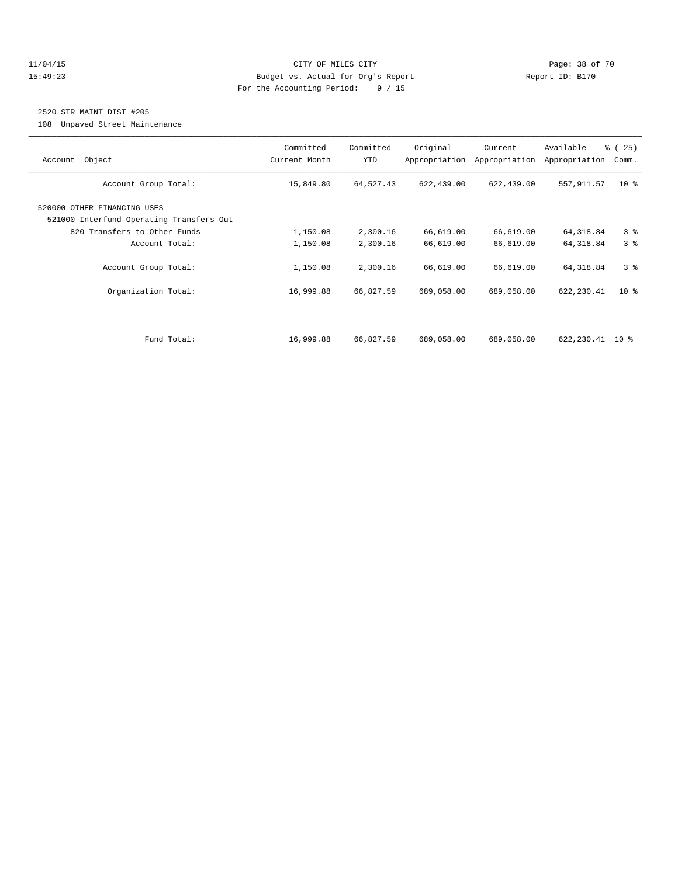### 11/04/15 **Page: 38 of 70** CITY OF MILES CITY **CITY Page: 38 of 70** 15:49:23 Budget vs. Actual for Org's Report Report ID: B170 For the Accounting Period: 9 / 15

# 2520 STR MAINT DIST #205

108 Unpaved Street Maintenance

| Object<br>Account                                                       | Committed<br>Current Month | Committed<br><b>YTD</b> | Original<br>Appropriation | Current<br>Appropriation | Available<br>Appropriation | % (25)<br>Comm. |
|-------------------------------------------------------------------------|----------------------------|-------------------------|---------------------------|--------------------------|----------------------------|-----------------|
| Account Group Total:                                                    | 15,849.80                  | 64,527.43               | 622,439.00                | 622,439.00               | 557, 911.57                | $10*$           |
| 520000 OTHER FINANCING USES<br>521000 Interfund Operating Transfers Out |                            |                         |                           |                          |                            |                 |
| 820 Transfers to Other Funds                                            | 1,150.08                   | 2,300.16                | 66,619.00                 | 66,619.00                | 64, 318.84                 | 3 <sup>8</sup>  |
| Account Total:                                                          | 1,150.08                   | 2,300.16                | 66,619.00                 | 66,619.00                | 64, 318.84                 | 3 <sup>8</sup>  |
| Account Group Total:                                                    | 1,150.08                   | 2,300.16                | 66,619.00                 | 66,619.00                | 64, 318.84                 | 3 <sup>8</sup>  |
| Organization Total:                                                     | 16,999.88                  | 66,827.59               | 689,058.00                | 689,058.00               | 622,230.41                 | $10*$           |
|                                                                         |                            |                         |                           |                          |                            |                 |
| Fund Total:                                                             | 16,999.88                  | 66,827.59               | 689,058.00                | 689,058.00               | 622,230.41 10 %            |                 |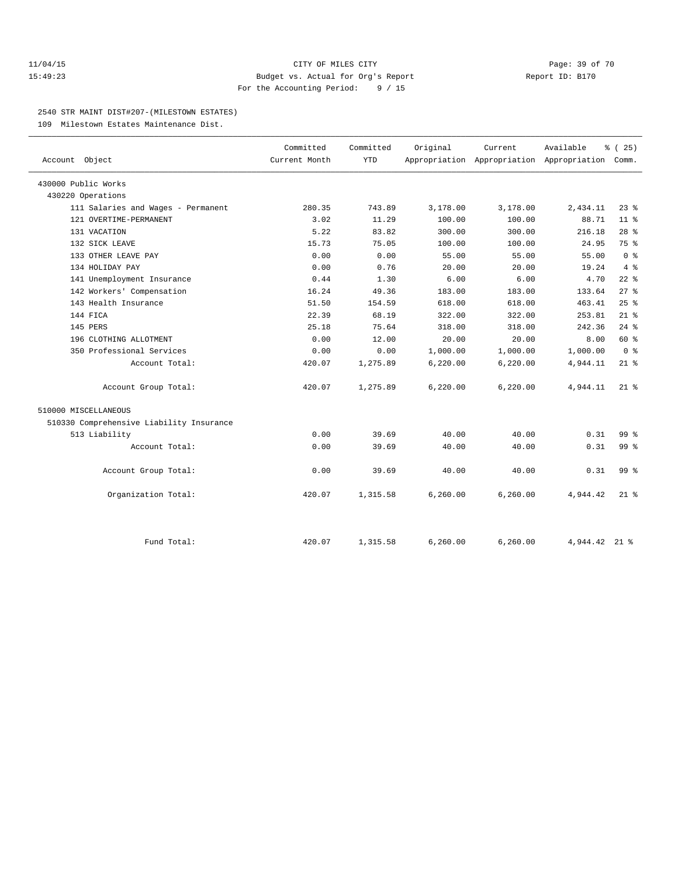### 11/04/15 **Page: 39 of 70** CITY OF MILES CITY **CITY Page: 39 of 70** 15:49:23 Budget vs. Actual for Org's Report Report ID: B170 For the Accounting Period: 9 / 15

### 2540 STR MAINT DIST#207-(MILESTOWN ESTATES)

109 Milestown Estates Maintenance Dist.

| Account Object                           | Committed<br>Current Month | Committed<br><b>YTD</b> | Original  | Current<br>Appropriation Appropriation Appropriation Comm. | Available     | % (25)          |
|------------------------------------------|----------------------------|-------------------------|-----------|------------------------------------------------------------|---------------|-----------------|
| 430000 Public Works                      |                            |                         |           |                                                            |               |                 |
| 430220 Operations                        |                            |                         |           |                                                            |               |                 |
| 111 Salaries and Wages - Permanent       | 280.35                     | 743.89                  | 3,178.00  | 3,178.00                                                   | 2,434.11      | $23$ $%$        |
| 121 OVERTIME-PERMANENT                   | 3.02                       | 11.29                   | 100.00    | 100.00                                                     | 88.71         | 11 <sup>8</sup> |
| 131 VACATION                             | 5.22                       | 83.82                   | 300.00    | 300.00                                                     | 216.18        | 28 <sup>8</sup> |
| 132 SICK LEAVE                           | 15.73                      | 75.05                   | 100.00    | 100.00                                                     | 24.95         | 75 %            |
| 133 OTHER LEAVE PAY                      | 0.00                       | 0.00                    | 55.00     | 55.00                                                      | 55.00         | 0 <sup>8</sup>  |
| 134 HOLIDAY PAY                          | 0.00                       | 0.76                    | 20.00     | 20.00                                                      | 19.24         | 4%              |
| 141 Unemployment Insurance               | 0.44                       | 1.30                    | 6.00      | 6.00                                                       | 4.70          | $22$ %          |
| 142 Workers' Compensation                | 16.24                      | 49.36                   | 183.00    | 183.00                                                     | 133.64        | $27$ $%$        |
| 143 Health Insurance                     | 51.50                      | 154.59                  | 618.00    | 618.00                                                     | 463.41        | 25%             |
| 144 FICA                                 | 22.39                      | 68.19                   | 322.00    | 322.00                                                     | 253.81        | $21$ %          |
| 145 PERS                                 | 25.18                      | 75.64                   | 318.00    | 318.00                                                     | 242.36        | $24$ %          |
| 196 CLOTHING ALLOTMENT                   | 0.00                       | 12.00                   | 20.00     | 20.00                                                      | 8.00          | 60 %            |
| 350 Professional Services                | 0.00                       | 0.00                    | 1,000.00  | 1,000.00                                                   | 1,000.00      | 0 <sup>8</sup>  |
| Account Total:                           | 420.07                     | 1,275.89                | 6, 220.00 | 6,220.00                                                   | 4,944.11      | $21$ %          |
| Account Group Total:                     | 420.07                     | 1,275.89                | 6, 220.00 | 6, 220.00                                                  | 4,944.11      | $21*$           |
| 510000 MISCELLANEOUS                     |                            |                         |           |                                                            |               |                 |
| 510330 Comprehensive Liability Insurance |                            |                         |           |                                                            |               |                 |
| 513 Liability                            | 0.00                       | 39.69                   | 40.00     | 40.00                                                      | 0.31          | $99*$           |
| Account Total:                           | 0.00                       | 39.69                   | 40.00     | 40.00                                                      | 0.31          | 99 <sub>8</sub> |
| Account Group Total:                     | 0.00                       | 39.69                   | 40.00     | 40.00                                                      | 0.31          | $99*$           |
| Organization Total:                      | 420.07                     | 1,315.58                | 6, 260.00 | 6,260.00                                                   | 4,944.42      | $21*$           |
| Fund Total:                              | 420.07                     | 1,315.58                | 6,260.00  | 6, 260.00                                                  | 4,944.42 21 % |                 |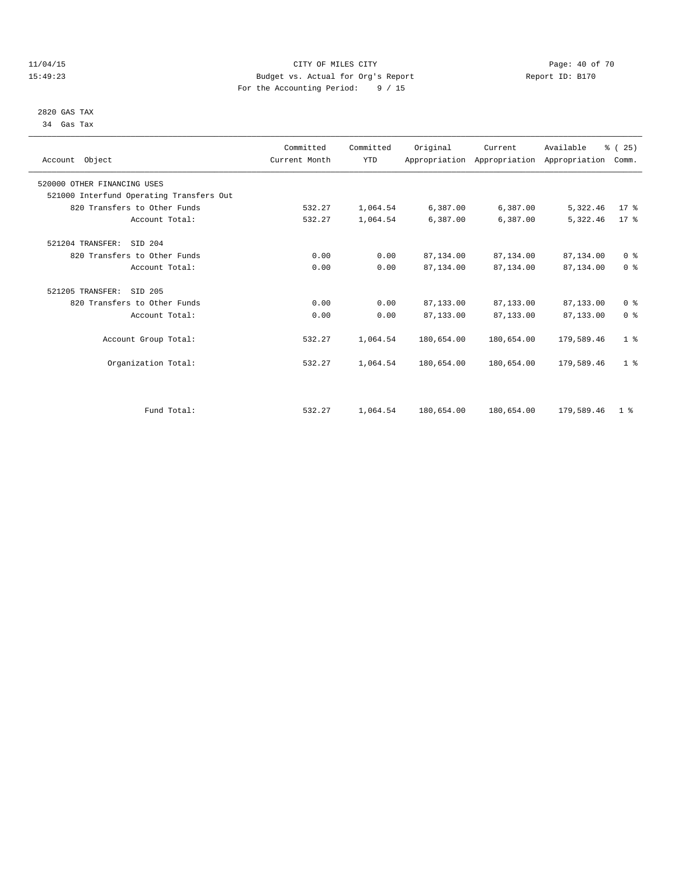### 11/04/15 **Page: 40 of 70 CITY OF MILES CITY CITY Page: 40 of 70** 15:49:23 Budget vs. Actual for Org's Report Report ID: B170 For the Accounting Period: 9 / 15

### 2820 GAS TAX 34 Gas Tax

| Account Object                           | Committed<br>Current Month | Committed<br><b>YTD</b> | Original   | Current    | Available<br>Appropriation Appropriation Appropriation | % (25)<br>Comm. |  |
|------------------------------------------|----------------------------|-------------------------|------------|------------|--------------------------------------------------------|-----------------|--|
| 520000 OTHER FINANCING USES              |                            |                         |            |            |                                                        |                 |  |
| 521000 Interfund Operating Transfers Out |                            |                         |            |            |                                                        |                 |  |
| 820 Transfers to Other Funds             | 532.27                     | 1,064.54                | 6,387.00   | 6,387.00   | 5,322.46                                               | 17.8            |  |
| Account Total:                           | 532.27                     | 1,064.54                | 6,387.00   | 6,387.00   | 5,322.46                                               | $17*$           |  |
| 521204 TRANSFER:<br>SID 204              |                            |                         |            |            |                                                        |                 |  |
| 820 Transfers to Other Funds             | 0.00                       | 0.00                    | 87,134.00  | 87,134.00  | 87,134.00                                              | 0 <sup>8</sup>  |  |
| Account Total:                           | 0.00                       | 0.00                    | 87,134.00  | 87,134.00  | 87,134.00                                              | 0 <sup>8</sup>  |  |
| 521205 TRANSFER:<br>SID 205              |                            |                         |            |            |                                                        |                 |  |
| 820 Transfers to Other Funds             | 0.00                       | 0.00                    | 87,133.00  | 87,133.00  | 87,133.00                                              | 0 <sup>8</sup>  |  |
| Account Total:                           | 0.00                       | 0.00                    | 87,133.00  | 87,133.00  | 87,133.00                                              | 0 <sup>8</sup>  |  |
| Account Group Total:                     | 532.27                     | 1,064.54                | 180,654.00 | 180,654.00 | 179,589.46                                             | 1 <sup>8</sup>  |  |
| Organization Total:                      | 532.27                     | 1,064.54                | 180,654.00 | 180,654.00 | 179,589.46                                             | 1 <sup>8</sup>  |  |
|                                          |                            |                         |            |            |                                                        |                 |  |
| Fund Total:                              | 532.27                     | 1,064.54                | 180,654.00 | 180,654.00 | 179,589.46                                             | 1 <sup>8</sup>  |  |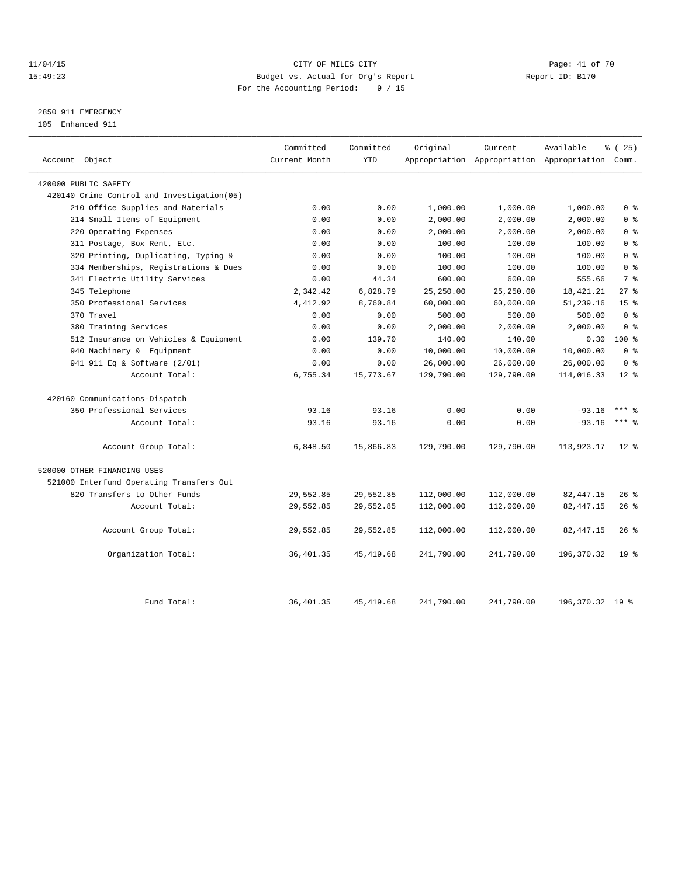### 11/04/15 **Page: 41 of 70 CITY OF MILES CITY CITY Page: 41 of 70** 15:49:23 Budget vs. Actual for Org's Report Report ID: B170 For the Accounting Period: 9 / 15

# 2850 911 EMERGENCY

105 Enhanced 911

| Account Object                             | Committed<br>Current Month | Committed<br><b>YTD</b> | Original   | Current    | Available<br>Appropriation Appropriation Appropriation Comm. | % (25)          |
|--------------------------------------------|----------------------------|-------------------------|------------|------------|--------------------------------------------------------------|-----------------|
| 420000 PUBLIC SAFETY                       |                            |                         |            |            |                                                              |                 |
| 420140 Crime Control and Investigation(05) |                            |                         |            |            |                                                              |                 |
| 210 Office Supplies and Materials          | 0.00                       | 0.00                    | 1,000.00   | 1,000.00   | 1,000.00                                                     | 0 <sup>8</sup>  |
| 214 Small Items of Equipment               | 0.00                       | 0.00                    | 2,000.00   | 2,000.00   | 2,000.00                                                     | 0 <sup>8</sup>  |
| 220 Operating Expenses                     | 0.00                       | 0.00                    | 2,000.00   | 2,000.00   | 2,000.00                                                     | 0 <sup>8</sup>  |
| 311 Postage, Box Rent, Etc.                | 0.00                       | 0.00                    | 100.00     | 100.00     | 100.00                                                       | 0 <sup>8</sup>  |
| 320 Printing, Duplicating, Typing &        | 0.00                       | 0.00                    | 100.00     | 100.00     | 100.00                                                       | 0 <sup>8</sup>  |
| 334 Memberships, Registrations & Dues      | 0.00                       | 0.00                    | 100.00     | 100.00     | 100.00                                                       | 0 <sup>8</sup>  |
| 341 Electric Utility Services              | 0.00                       | 44.34                   | 600.00     | 600.00     | 555.66                                                       | 7 <sup>8</sup>  |
| 345 Telephone                              | 2,342.42                   | 6,828.79                | 25,250.00  | 25,250.00  | 18, 421. 21                                                  | $27$ $%$        |
| 350 Professional Services                  | 4,412.92                   | 8,760.84                | 60,000.00  | 60,000.00  | 51,239.16                                                    | 15 <sup>°</sup> |
| 370 Travel                                 | 0.00                       | 0.00                    | 500.00     | 500.00     | 500.00                                                       | 0 <sup>8</sup>  |
| 380 Training Services                      | 0.00                       | 0.00                    | 2,000.00   | 2,000.00   | 2,000.00                                                     | 0 <sup>8</sup>  |
| 512 Insurance on Vehicles & Equipment      | 0.00                       | 139.70                  | 140.00     | 140.00     | 0.30                                                         | 100 %           |
| 940 Machinery & Equipment                  | 0.00                       | 0.00                    | 10,000.00  | 10,000.00  | 10,000.00                                                    | 0 <sup>8</sup>  |
| 941 911 Eq & Software (2/01)               | 0.00                       | 0.00                    | 26,000.00  | 26,000.00  | 26,000.00                                                    | 0 <sup>8</sup>  |
| Account Total:                             | 6,755.34                   | 15,773.67               | 129,790.00 | 129,790.00 | 114,016.33                                                   | $12*$           |
| 420160 Communications-Dispatch             |                            |                         |            |            |                                                              |                 |
| 350 Professional Services                  | 93.16                      | 93.16                   | 0.00       | 0.00       | $-93.16$                                                     | $***$ 2         |
| Account Total:                             | 93.16                      | 93.16                   | 0.00       | 0.00       | $-93.16$                                                     | $***$ $_{8}$    |
| Account Group Total:                       | 6,848.50                   | 15,866.83               | 129,790.00 | 129,790.00 | 113,923.17                                                   | $12*$           |
| 520000 OTHER FINANCING USES                |                            |                         |            |            |                                                              |                 |
| 521000 Interfund Operating Transfers Out   |                            |                         |            |            |                                                              |                 |
| 820 Transfers to Other Funds               | 29,552.85                  | 29,552.85               | 112,000.00 | 112,000.00 | 82, 447.15                                                   | 26%             |
| Account Total:                             | 29,552.85                  | 29,552.85               | 112,000.00 | 112,000.00 | 82, 447.15                                                   | $26*$           |
| Account Group Total:                       | 29,552.85                  | 29,552.85               | 112,000.00 | 112,000.00 | 82, 447.15                                                   | 26%             |
| Organization Total:                        | 36,401.35                  | 45, 419.68              | 241,790.00 | 241,790.00 | 196,370.32                                                   | 19 <sup>8</sup> |
| Fund Total:                                | 36, 401.35                 | 45, 419.68              | 241,790.00 | 241,790.00 | 196,370.32 19 %                                              |                 |
|                                            |                            |                         |            |            |                                                              |                 |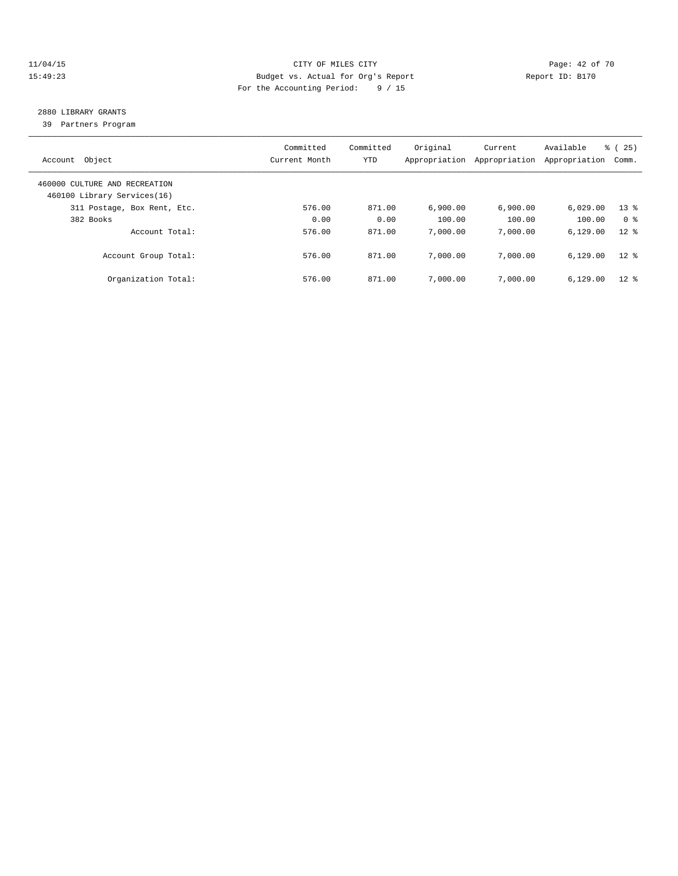### 11/04/15 **Page: 42 of 70 CITY OF MILES CITY CITY Page: 42 of 70** 15:49:23 Budget vs. Actual for Org's Report Report ID: B170 For the Accounting Period: 9 / 15

# 2880 LIBRARY GRANTS

39 Partners Program

| Object<br>Account                                            | Committed<br>Current Month | Committed<br><b>YTD</b> | Original<br>Appropriation | Current<br>Appropriation | Available<br>Appropriation | 25)<br>ී (<br>Comm. |
|--------------------------------------------------------------|----------------------------|-------------------------|---------------------------|--------------------------|----------------------------|---------------------|
| 460000 CULTURE AND RECREATION<br>460100 Library Services(16) |                            |                         |                           |                          |                            |                     |
| 311 Postage, Box Rent, Etc.                                  | 576.00                     | 871.00                  | 6.900.00                  | 6.900.00                 | 6,029.00                   | $13*$               |
| 382 Books                                                    | 0.00                       | 0.00                    | 100.00                    | 100.00                   | 100.00                     | 0 <sup>8</sup>      |
| Account Total:                                               | 576.00                     | 871.00                  | 7,000.00                  | 7,000.00                 | 6.129.00                   | $12*$               |
| Account Group Total:                                         | 576.00                     | 871.00                  | 7,000.00                  | 7,000.00                 | 6.129.00                   | $12*$               |
| Organization Total:                                          | 576.00                     | 871.00                  | 7,000.00                  | 7,000.00                 | 6.129.00                   | $12*$               |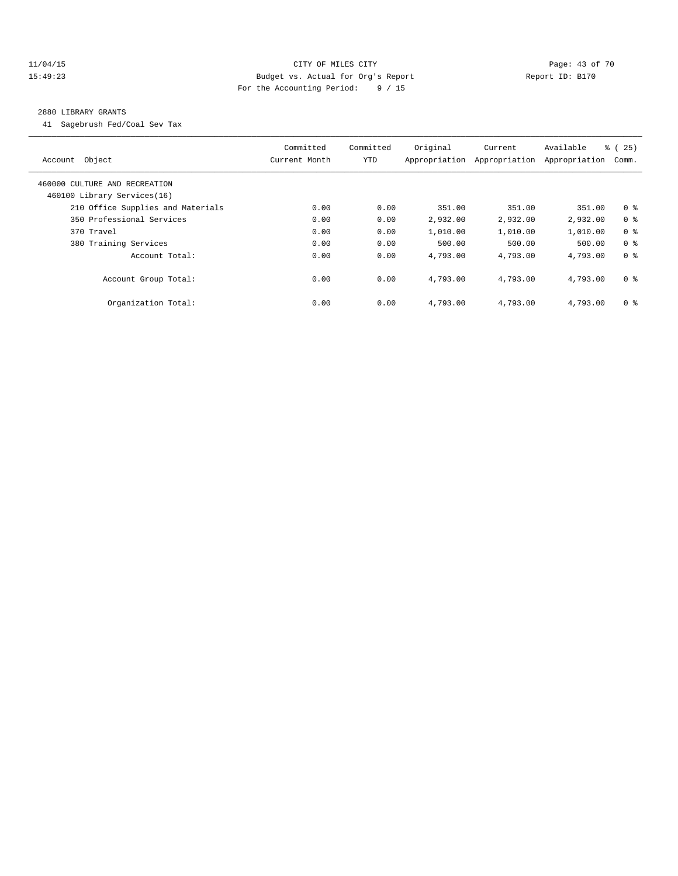### 11/04/15 **Page: 43 of 70 CITY OF MILES CITY CITY Page: 43 of 70** 15:49:23 Budget vs. Actual for Org's Report Report ID: B170 For the Accounting Period: 9 / 15

#### 2880 LIBRARY GRANTS

41 Sagebrush Fed/Coal Sev Tax

| Account Object                                               | Committed<br>Current Month | Committed<br>YTD | Original<br>Appropriation | Current<br>Appropriation | Available<br>Appropriation | % (25)<br>Comm. |
|--------------------------------------------------------------|----------------------------|------------------|---------------------------|--------------------------|----------------------------|-----------------|
| 460000 CULTURE AND RECREATION<br>460100 Library Services(16) |                            |                  |                           |                          |                            |                 |
| 210 Office Supplies and Materials                            | 0.00                       | 0.00             | 351.00                    | 351.00                   | 351.00                     | 0 <sup>8</sup>  |
| 350 Professional Services                                    | 0.00                       | 0.00             | 2,932.00                  | 2,932.00                 | 2,932.00                   | 0 <sup>8</sup>  |
| 370 Travel                                                   | 0.00                       | 0.00             | 1,010.00                  | 1,010.00                 | 1,010.00                   | 0 <sup>8</sup>  |
| 380 Training Services                                        | 0.00                       | 0.00             | 500.00                    | 500.00                   | 500.00                     | 0 <sup>8</sup>  |
| Account Total:                                               | 0.00                       | 0.00             | 4,793.00                  | 4,793.00                 | 4,793.00                   | 0 <sup>8</sup>  |
| Account Group Total:                                         | 0.00                       | 0.00             | 4,793.00                  | 4,793.00                 | 4,793.00                   | 0 <sup>8</sup>  |
| Organization Total:                                          | 0.00                       | 0.00             | 4,793.00                  | 4,793.00                 | 4,793.00                   | 0 <sup>8</sup>  |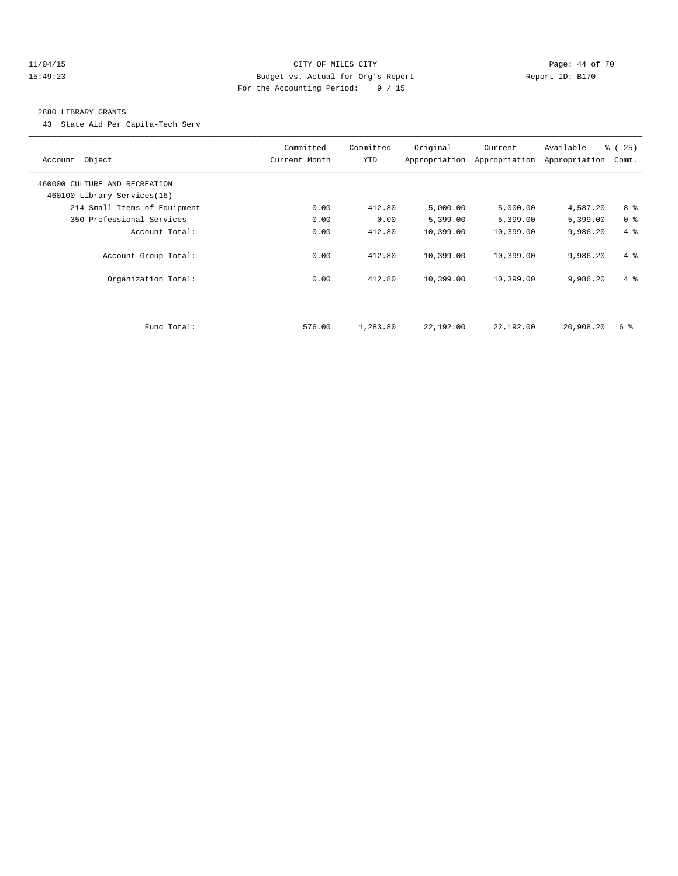### 11/04/15 **Page: 44 of 70 CITY OF MILES CITY CITY Page: 44 of 70** 15:49:23 Budget vs. Actual for Org's Report Report ID: B170 For the Accounting Period: 9 / 15

#### 2880 LIBRARY GRANTS

43 State Aid Per Capita-Tech Serv

| Account Object                | Committed<br>Current Month | Committed<br><b>YTD</b> | Original  | Current<br>Appropriation Appropriation | Available<br>Appropriation | % (25)<br>Comm. |
|-------------------------------|----------------------------|-------------------------|-----------|----------------------------------------|----------------------------|-----------------|
| 460000 CULTURE AND RECREATION |                            |                         |           |                                        |                            |                 |
| 460100 Library Services(16)   |                            |                         |           |                                        |                            |                 |
| 214 Small Items of Equipment  | 0.00                       | 412.80                  | 5,000.00  | 5,000.00                               | 4,587.20                   | 8 %             |
| 350 Professional Services     | 0.00                       | 0.00                    | 5,399.00  | 5,399.00                               | 5,399.00                   | 0 <sup>8</sup>  |
| Account Total:                | 0.00                       | 412.80                  | 10,399.00 | 10,399.00                              | 9,986.20                   | 4%              |
| Account Group Total:          | 0.00                       | 412.80                  | 10,399.00 | 10,399.00                              | 9,986.20                   | $4 \text{ }$    |
| Organization Total:           | 0.00                       | 412.80                  | 10,399.00 | 10,399.00                              | 9,986.20                   | $4 \text{ }$    |
|                               |                            |                         |           |                                        |                            |                 |
| Fund Total:                   | 576.00                     | 1,283.80                | 22,192.00 | 22,192.00                              | 20,908.20                  | 6 %             |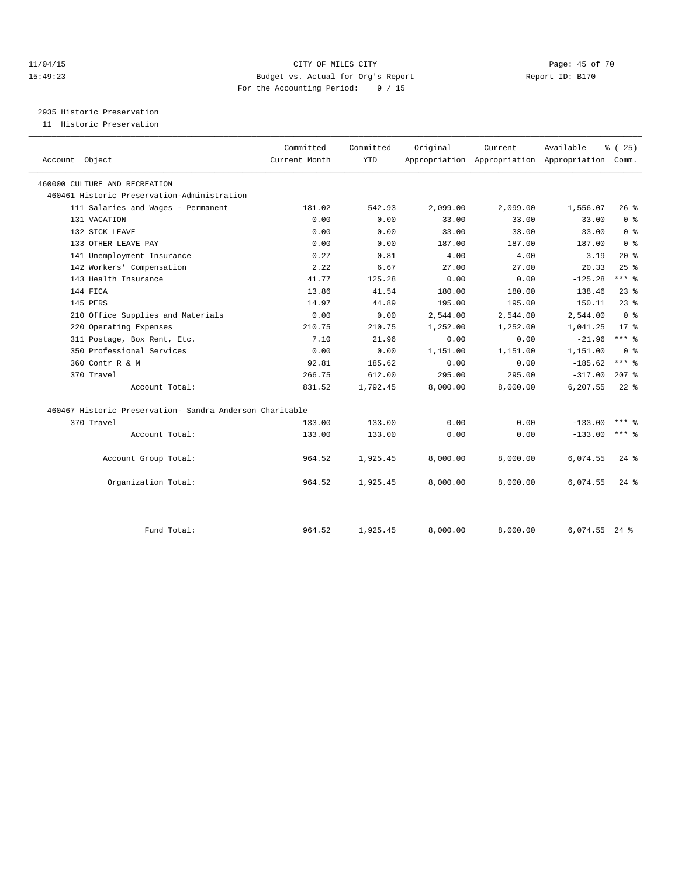### 11/04/15 **Page: 45 of 70 CITY OF MILES CITY CITY Page: 45 of 70** 15:49:23 Budget vs. Actual for Org's Report Report ID: B170 For the Accounting Period: 9 / 15

2935 Historic Preservation

11 Historic Preservation

|                                                          | Committed     | Committed  | Original | Current  | Available                                 | % (25)              |  |
|----------------------------------------------------------|---------------|------------|----------|----------|-------------------------------------------|---------------------|--|
| Account Object                                           | Current Month | <b>YTD</b> |          |          | Appropriation Appropriation Appropriation | Comm.               |  |
| 460000 CULTURE AND RECREATION                            |               |            |          |          |                                           |                     |  |
| 460461 Historic Preservation-Administration              |               |            |          |          |                                           |                     |  |
| 111 Salaries and Wages - Permanent                       | 181.02        | 542.93     | 2,099.00 | 2,099.00 | 1,556.07                                  | $26*$               |  |
| 131 VACATION                                             | 0.00          | 0.00       | 33.00    | 33.00    | 33.00                                     | 0 <sup>8</sup>      |  |
| 132 SICK LEAVE                                           | 0.00          | 0.00       | 33.00    | 33.00    | 33.00                                     | 0 <sup>8</sup>      |  |
| 133 OTHER LEAVE PAY                                      | 0.00          | 0.00       | 187.00   | 187.00   | 187.00                                    | 0 <sup>8</sup>      |  |
| 141 Unemployment Insurance                               | 0.27          | 0.81       | 4.00     | 4.00     | 3.19                                      | $20*$               |  |
| 142 Workers' Compensation                                | 2.22          | 6.67       | 27.00    | 27.00    | 20.33                                     | 25%                 |  |
| 143 Health Insurance                                     | 41.77         | 125.28     | 0.00     | 0.00     | $-125.28$                                 | $***$ 8             |  |
| 144 FICA                                                 | 13.86         | 41.54      | 180.00   | 180.00   | 138.46                                    | $23$ $%$            |  |
| 145 PERS                                                 | 14.97         | 44.89      | 195.00   | 195.00   | 150.11                                    | $23$ $%$            |  |
| 210 Office Supplies and Materials                        | 0.00          | 0.00       | 2,544.00 | 2,544.00 | 2,544.00                                  | 0 <sup>8</sup>      |  |
| 220 Operating Expenses                                   | 210.75        | 210.75     | 1,252.00 | 1,252.00 | 1,041.25                                  | $17*$               |  |
| 311 Postage, Box Rent, Etc.                              | 7.10          | 21.96      | 0.00     | 0.00     | $-21.96$                                  | $***$ 8             |  |
| 350 Professional Services                                | 0.00          | 0.00       | 1,151.00 | 1,151.00 | 1,151.00                                  | 0 <sup>8</sup>      |  |
| 360 Contr R & M                                          | 92.81         | 185.62     | 0.00     | 0.00     | $-185.62$                                 | $***$ $_{8}$        |  |
| 370 Travel                                               | 266.75        | 612.00     | 295.00   | 295.00   | $-317.00$                                 | $207$ %             |  |
| Account Total:                                           | 831.52        | 1,792.45   | 8,000.00 | 8,000.00 | 6,207.55                                  | $22$ %              |  |
| 460467 Historic Preservation- Sandra Anderson Charitable |               |            |          |          |                                           |                     |  |
| 370 Travel                                               | 133.00        | 133.00     | 0.00     | 0.00     | $-133.00$                                 | $***$ $\frac{6}{5}$ |  |
| Account Total:                                           | 133.00        | 133.00     | 0.00     | 0.00     | $-133.00$                                 | *** 응               |  |
| Account Group Total:                                     | 964.52        | 1,925.45   | 8,000.00 | 8,000.00 | 6,074.55                                  | $24$ $\frac{6}{5}$  |  |
|                                                          |               |            |          |          |                                           |                     |  |
| Organization Total:                                      | 964.52        | 1,925.45   | 8,000.00 | 8,000.00 | 6,074.55                                  | $24$ $\frac{6}{5}$  |  |
|                                                          |               |            |          |          |                                           |                     |  |
| Fund Total:                                              | 964.52        | 1,925.45   | 8,000.00 | 8,000.00 | $6,074.55$ 24 %                           |                     |  |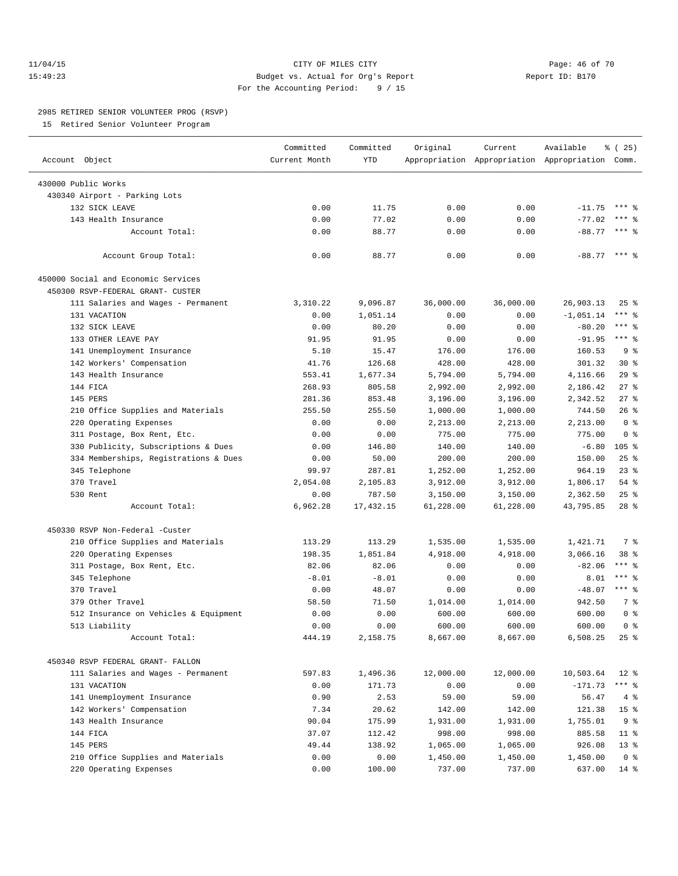### 11/04/15 **Page: 46 of 70** CITY OF MILES CITY **Page: 46 of 70** 15:49:23 Budget vs. Actual for Org's Report Report ID: B170 For the Accounting Period: 9 / 15

————————————————————————————————————————————————————————————————————————————————————————————————————————————————————————————————————

#### 2985 RETIRED SENIOR VOLUNTEER PROG (RSVP)

15 Retired Senior Volunteer Program

|                                       | Committed     | Committed  | Original  | Current   | Available                                       | $\frac{1}{6}$ ( 25) |
|---------------------------------------|---------------|------------|-----------|-----------|-------------------------------------------------|---------------------|
| Account Object                        | Current Month | <b>YTD</b> |           |           | Appropriation Appropriation Appropriation Comm. |                     |
| 430000 Public Works                   |               |            |           |           |                                                 |                     |
| 430340 Airport - Parking Lots         |               |            |           |           |                                                 |                     |
| 132 SICK LEAVE                        | 0.00          | 11.75      | 0.00      | 0.00      | $-11.75$                                        | $***$ %             |
| 143 Health Insurance                  | 0.00          | 77.02      | 0.00      | 0.00      | $-77.02$                                        | *** 응               |
| Account Total:                        | 0.00          | 88.77      | 0.00      | 0.00      | $-88.77$                                        | *** 음               |
|                                       |               |            |           |           |                                                 |                     |
| Account Group Total:                  | 0.00          | 88.77      | 0.00      | 0.00      | $-88.77$ *** $%$                                |                     |
| 450000 Social and Economic Services   |               |            |           |           |                                                 |                     |
| 450300 RSVP-FEDERAL GRANT- CUSTER     |               |            |           |           |                                                 |                     |
| 111 Salaries and Wages - Permanent    | 3,310.22      | 9,096.87   | 36,000.00 | 36,000.00 | 26,903.13                                       | $25$ $%$            |
| 131 VACATION                          | 0.00          | 1,051.14   | 0.00      | 0.00      | $-1,051.14$                                     | *** 응               |
| 132 SICK LEAVE                        | 0.00          | 80.20      | 0.00      | 0.00      | $-80.20$                                        | $***$ $-$           |
| 133 OTHER LEAVE PAY                   | 91.95         | 91.95      | 0.00      | 0.00      | $-91.95$                                        | $***$ $-$           |
| 141 Unemployment Insurance            | 5.10          | 15.47      | 176.00    | 176.00    | 160.53                                          | 9%                  |
| 142 Workers' Compensation             | 41.76         | 126.68     | 428.00    | 428.00    | 301.32                                          | $30*$               |
| 143 Health Insurance                  | 553.41        | 1,677.34   | 5,794.00  | 5,794.00  | 4,116.66                                        | 29%                 |
| 144 FICA                              | 268.93        | 805.58     | 2,992.00  | 2,992.00  | 2,186.42                                        | $27$ %              |
| 145 PERS                              | 281.36        | 853.48     | 3,196.00  | 3,196.00  | 2,342.52                                        | $27$ %              |
| 210 Office Supplies and Materials     | 255.50        | 255.50     | 1,000.00  | 1,000.00  | 744.50                                          | $26$ %              |
| 220 Operating Expenses                | 0.00          | 0.00       | 2,213.00  | 2,213.00  | 2,213.00                                        | 0 <sup>8</sup>      |
| 311 Postage, Box Rent, Etc.           | 0.00          | 0.00       | 775.00    | 775.00    | 775.00                                          | 0 <sup>8</sup>      |
| 330 Publicity, Subscriptions & Dues   | 0.00          | 146.80     | 140.00    | 140.00    | $-6.80$                                         | 105 <sub>8</sub>    |
| 334 Memberships, Registrations & Dues | 0.00          | 50.00      | 200.00    | 200.00    | 150.00                                          | $25$ $%$            |
| 345 Telephone                         | 99.97         | 287.81     | 1,252.00  | 1,252.00  | 964.19                                          | $23$ $%$            |
| 370 Travel                            | 2,054.08      | 2,105.83   | 3,912.00  | 3,912.00  | 1,806.17                                        | 54 %                |
| 530 Rent                              | 0.00          | 787.50     | 3,150.00  | 3,150.00  | 2,362.50                                        | $25$ $%$            |
| Account Total:                        | 6,962.28      | 17,432.15  | 61,228.00 | 61,228.00 | 43,795.85                                       | $28$ %              |
|                                       |               |            |           |           |                                                 |                     |
| 450330 RSVP Non-Federal -Custer       |               |            |           |           |                                                 |                     |
| 210 Office Supplies and Materials     | 113.29        | 113.29     | 1,535.00  | 1,535.00  | 1,421.71                                        | 7 %                 |
| 220 Operating Expenses                | 198.35        | 1,851.84   | 4,918.00  | 4,918.00  | 3,066.16                                        | 38 %                |
| 311 Postage, Box Rent, Etc.           | 82.06         | 82.06      | 0.00      | 0.00      | $-82.06$                                        | $***$ $-$           |
| 345 Telephone                         | $-8.01$       | $-8.01$    | 0.00      | 0.00      | 8.01                                            | $***$ $-$           |
| 370 Travel                            | 0.00          | 48.07      | 0.00      | 0.00      | $-48.07$                                        | $***$ $-$           |
| 379 Other Travel                      | 58.50         | 71.50      | 1,014.00  | 1,014.00  | 942.50                                          | 7 %                 |
| 512 Insurance on Vehicles & Equipment | 0.00          | 0.00       | 600.00    | 600.00    | 600.00                                          | 0 <sup>8</sup>      |
| 513 Liability                         | 0.00          | 0.00       | 600.00    | 600.00    | 600.00                                          | 0 <sup>8</sup>      |
| Account Total:                        | 444.19        | 2,158.75   | 8,667.00  | 8,667.00  | 6,508.25                                        | $25$ %              |
| 450340 RSVP FEDERAL GRANT- FALLON     |               |            |           |           |                                                 |                     |
| 111 Salaries and Wages - Permanent    | 597.83        | 1,496.36   | 12,000.00 | 12,000.00 | 10,503.64                                       | $12*$               |
| 131 VACATION                          | 0.00          | 171.73     | 0.00      | 0.00      | $-171.73$                                       | $***$ $-$           |
| 141 Unemployment Insurance            | 0.90          | 2.53       | 59.00     | 59.00     | 56.47                                           | 4%                  |
| 142 Workers' Compensation             | 7.34          | 20.62      | 142.00    | 142.00    | 121.38                                          | 15 <sup>°</sup>     |
| 143 Health Insurance                  | 90.04         | 175.99     | 1,931.00  | 1,931.00  | 1,755.01                                        | 9 <sub>8</sub>      |
| 144 FICA                              | 37.07         | 112.42     | 998.00    | 998.00    | 885.58                                          | $11$ %              |
| 145 PERS                              | 49.44         | 138.92     | 1,065.00  | 1,065.00  | 926.08                                          | $13*$               |
| 210 Office Supplies and Materials     | 0.00          | 0.00       | 1,450.00  | 1,450.00  | 1,450.00                                        | 0 <sup>8</sup>      |
| 220 Operating Expenses                | 0.00          | 100.00     | 737.00    | 737.00    | 637.00                                          | 14 %                |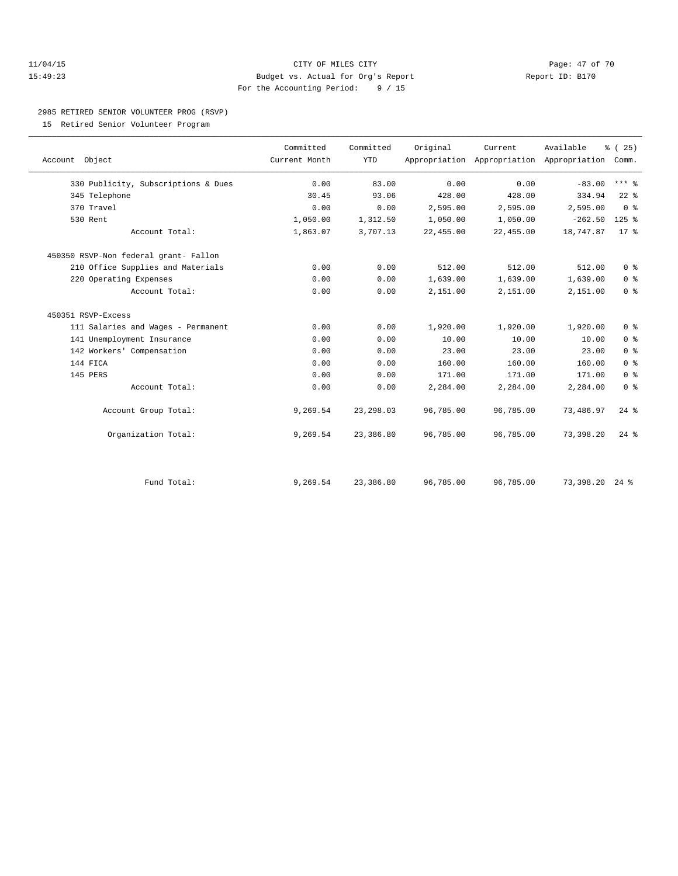### 11/04/15 **Page: 47 of 70** CITY OF MILES CITY **Page: 47 of 70** 15:49:23 Budget vs. Actual for Org's Report Report ID: B170 For the Accounting Period: 9 / 15

### 2985 RETIRED SENIOR VOLUNTEER PROG (RSVP)

15 Retired Senior Volunteer Program

| Account Object                        | Committed<br>Current Month | Committed<br><b>YTD</b> | Original  | Current<br>Appropriation Appropriation Appropriation | Available | % (25)<br>Comm.    |  |
|---------------------------------------|----------------------------|-------------------------|-----------|------------------------------------------------------|-----------|--------------------|--|
| 330 Publicity, Subscriptions & Dues   | 0.00                       | 83.00                   | 0.00      | 0.00                                                 | $-83.00$  | $***$ $_{8}$       |  |
| 345 Telephone                         | 30.45                      | 93.06                   | 428.00    | 428.00                                               | 334.94    | $22$ %             |  |
| 370 Travel                            | 0.00                       | 0.00                    | 2,595.00  | 2,595.00                                             | 2,595.00  | 0 <sup>8</sup>     |  |
| 530 Rent                              | 1,050.00                   | 1,312.50                | 1,050.00  | 1,050.00                                             | $-262.50$ | $125$ %            |  |
| Account Total:                        | 1,863.07                   | 3,707.13                | 22,455.00 | 22,455.00                                            | 18,747.87 | $17*$              |  |
| 450350 RSVP-Non federal grant- Fallon |                            |                         |           |                                                      |           |                    |  |
| 210 Office Supplies and Materials     | 0.00                       | 0.00                    | 512.00    | 512.00                                               | 512.00    | 0 <sup>8</sup>     |  |
| 220 Operating Expenses                | 0.00                       | 0.00                    | 1,639.00  | 1,639.00                                             | 1,639.00  | 0 <sup>8</sup>     |  |
| Account Total:                        | 0.00                       | 0.00                    | 2,151.00  | 2,151.00                                             | 2,151.00  | 0 <sup>°</sup>     |  |
| 450351 RSVP-Excess                    |                            |                         |           |                                                      |           |                    |  |
| 111 Salaries and Wages - Permanent    | 0.00                       | 0.00                    | 1,920.00  | 1,920.00                                             | 1,920.00  | 0 <sup>8</sup>     |  |
| 141 Unemployment Insurance            | 0.00                       | 0.00                    | 10.00     | 10.00                                                | 10.00     | 0 <sup>8</sup>     |  |
| 142 Workers' Compensation             | 0.00                       | 0.00                    | 23.00     | 23.00                                                | 23.00     | 0 <sup>8</sup>     |  |
| 144 FICA                              | 0.00                       | 0.00                    | 160.00    | 160.00                                               | 160.00    | 0 <sup>8</sup>     |  |
| 145 PERS                              | 0.00                       | 0.00                    | 171.00    | 171.00                                               | 171.00    | 0 <sup>8</sup>     |  |
| Account Total:                        | 0.00                       | 0.00                    | 2,284.00  | 2,284.00                                             | 2,284.00  | 0 <sup>8</sup>     |  |
| Account Group Total:                  | 9,269.54                   | 23, 298.03              | 96,785.00 | 96,785.00                                            | 73,486.97 | $24$ $%$           |  |
| Organization Total:                   | 9,269.54                   | 23,386.80               | 96,785.00 | 96,785.00                                            | 73,398.20 | $24$ $%$           |  |
| Fund Total:                           | 9,269.54                   | 23,386.80               | 96,785.00 | 96,785.00                                            | 73,398.20 | $24$ $\frac{6}{3}$ |  |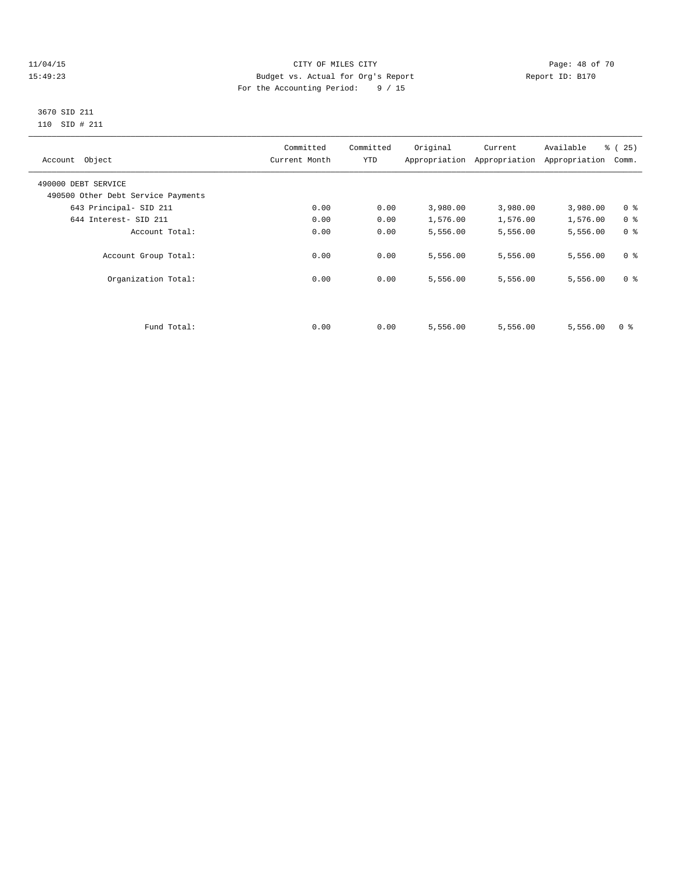### 11/04/15 Page: 48 of 70 15:49:23 Budget vs. Actual for Org's Report Report ID: B170 For the Accounting Period: 9 / 15

 3670 SID 211 110 SID # 211

| Account Object                     | Committed<br>Current Month | Committed<br>YTD | Original | Current<br>Appropriation Appropriation | Available<br>Appropriation | % (25)<br>Comm. |
|------------------------------------|----------------------------|------------------|----------|----------------------------------------|----------------------------|-----------------|
| 490000 DEBT SERVICE                |                            |                  |          |                                        |                            |                 |
| 490500 Other Debt Service Payments |                            |                  |          |                                        |                            |                 |
| 643 Principal- SID 211             | 0.00                       | 0.00             | 3,980.00 | 3,980.00                               | 3,980.00                   | 0 <sup>8</sup>  |
| 644 Interest- SID 211              | 0.00                       | 0.00             | 1,576.00 | 1,576.00                               | 1,576.00                   | 0 <sup>8</sup>  |
| Account Total:                     | 0.00                       | 0.00             | 5,556.00 | 5,556.00                               | 5,556.00                   | 0 <sup>8</sup>  |
| Account Group Total:               | 0.00                       | 0.00             | 5,556.00 | 5,556.00                               | 5,556.00                   | 0 <sup>8</sup>  |
| Organization Total:                | 0.00                       | 0.00             | 5,556.00 | 5,556.00                               | 5,556.00                   | 0 <sup>8</sup>  |
|                                    |                            |                  |          |                                        |                            |                 |
| Fund Total:                        | 0.00                       | 0.00             | 5,556.00 | 5,556.00                               | 5,556.00                   | 0 %             |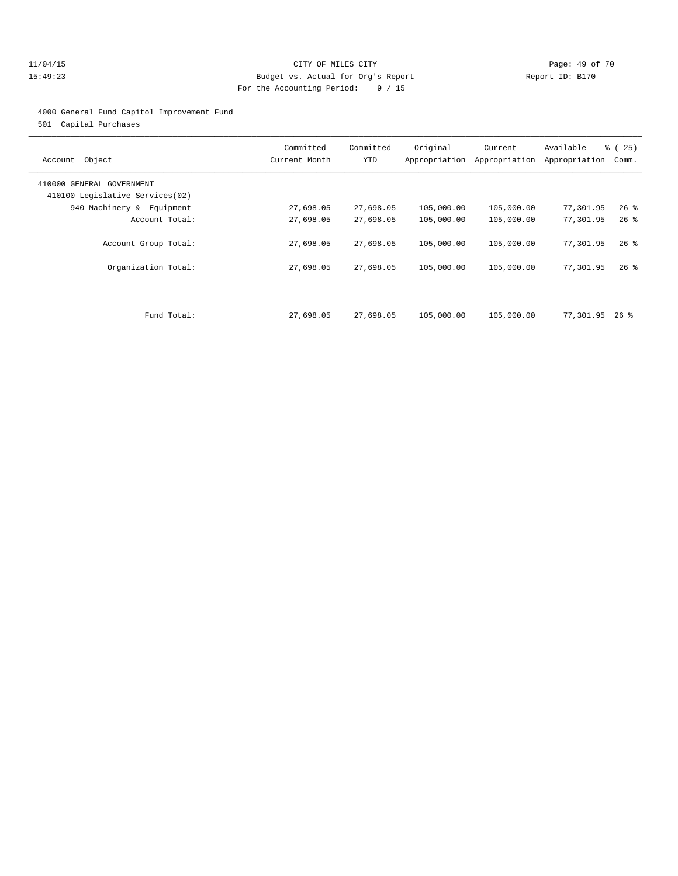### 11/04/15 **Page: 49 of 70** CITY OF MILES CITY **Page: 49 of 70** 15:49:23 Budget vs. Actual for Org's Report Report ID: B170 For the Accounting Period: 9 / 15

### 4000 General Fund Capitol Improvement Fund

501 Capital Purchases

| Object<br>Account                                            | Committed<br>Current Month | Committed<br>YTD       | Original<br>Appropriation | Current<br>Appropriation | Available<br>Appropriation | % (25)<br>Comm.  |
|--------------------------------------------------------------|----------------------------|------------------------|---------------------------|--------------------------|----------------------------|------------------|
| 410000 GENERAL GOVERNMENT<br>410100 Legislative Services(02) |                            |                        |                           |                          |                            |                  |
| 940 Machinery & Equipment                                    | 27,698.05                  | 27,698.05              | 105,000.00                | 105,000.00               | 77,301.95                  | $26$ %           |
| Account Total:                                               | 27,698.05                  | 27,698.05              | 105,000.00                | 105,000.00               | 77,301.95                  | $26$ %           |
| Account Group Total:<br>Organization Total:                  | 27,698.05<br>27,698.05     | 27,698.05<br>27,698.05 | 105,000.00<br>105,000.00  | 105,000.00<br>105,000.00 | 77,301.95<br>77,301.95     | $26$ %<br>$26$ % |
| Fund Total:                                                  | 27,698.05                  | 27,698.05              | 105,000.00                | 105,000.00               | 77,301.95                  | $26$ %           |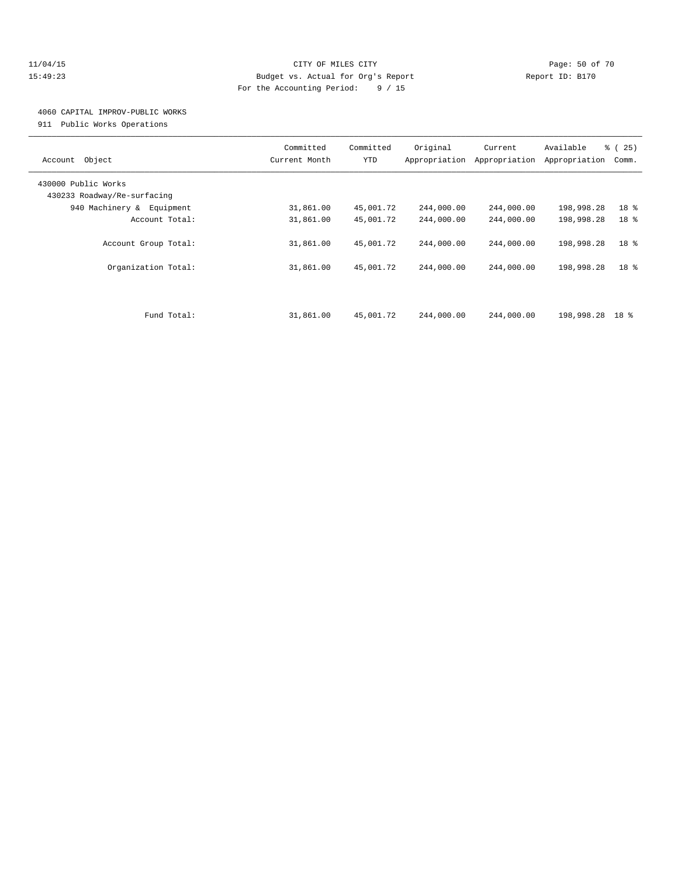### 11/04/15 **Page: 50 of 70** CITY OF MILES CITY **CITY Page: 50 of 70** 15:49:23 Budget vs. Actual for Org's Report Report ID: B170 For the Accounting Period: 9 / 15

### 4060 CAPITAL IMPROV-PUBLIC WORKS

911 Public Works Operations

| Object<br>Account                                  | Committed<br>Current Month | Committed<br>YTD       | Original<br>Appropriation | Current<br>Appropriation | Available<br>Appropriation | <b>%</b> (<br>25)<br>Comm.         |
|----------------------------------------------------|----------------------------|------------------------|---------------------------|--------------------------|----------------------------|------------------------------------|
| 430000 Public Works<br>430233 Roadway/Re-surfacing |                            |                        |                           |                          |                            |                                    |
| 940 Machinery & Equipment                          | 31,861.00                  | 45,001.72              | 244,000.00                | 244,000.00               | 198,998.28                 | 18 <sup>8</sup>                    |
| Account Total:                                     | 31,861.00                  | 45,001.72              | 244,000.00                | 244,000.00               | 198,998.28                 | 18 <sup>°</sup>                    |
| Account Group Total:<br>Organization Total:        | 31,861.00<br>31,861.00     | 45,001.72<br>45,001.72 | 244,000.00<br>244,000.00  | 244,000.00<br>244,000.00 | 198,998.28<br>198,998.28   | 18 <sup>8</sup><br>18 <sup>8</sup> |
| Fund Total:                                        | 31,861.00                  | 45,001.72              | 244,000.00                | 244,000.00               | 198,998.28                 | 18 <sup>8</sup>                    |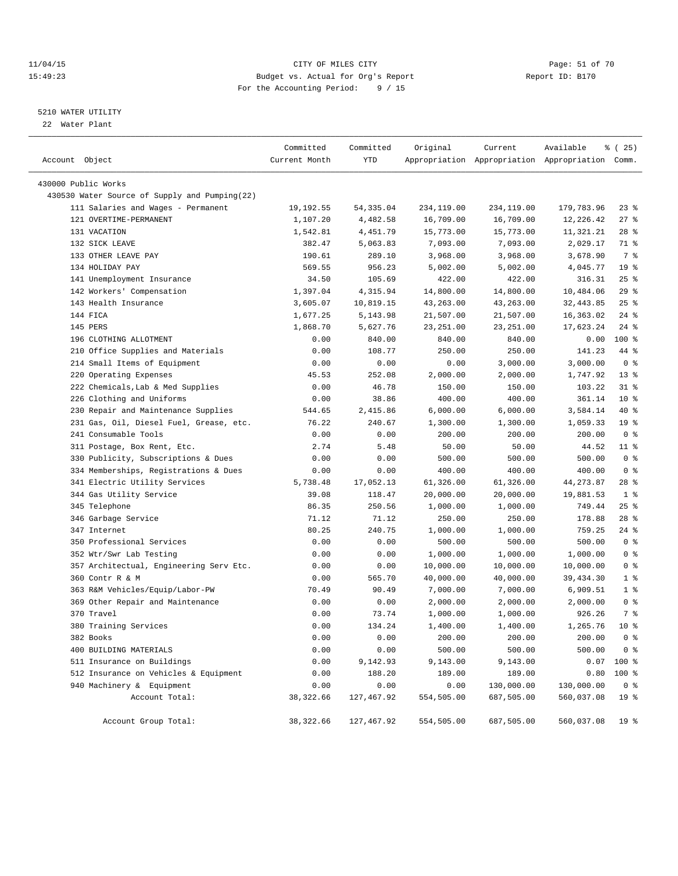### 11/04/15 Page: 51 of 70 15:49:23 Budget vs. Actual for Org's Report Report ID: B170 For the Accounting Period: 9 / 15

————————————————————————————————————————————————————————————————————————————————————————————————————————————————————————————————————

### 5210 WATER UTILITY

22 Water Plant

|                                               | Committed     | Committed   | Original   | Current    | Available                                       | % (25)          |
|-----------------------------------------------|---------------|-------------|------------|------------|-------------------------------------------------|-----------------|
| Account Object                                | Current Month | YTD         |            |            | Appropriation Appropriation Appropriation Comm. |                 |
| 430000 Public Works                           |               |             |            |            |                                                 |                 |
| 430530 Water Source of Supply and Pumping(22) |               |             |            |            |                                                 |                 |
| 111 Salaries and Wages - Permanent            | 19,192.55     | 54,335.04   | 234,119.00 | 234,119.00 | 179,783.96                                      | $23$ $%$        |
| 121 OVERTIME-PERMANENT                        | 1,107.20      | 4,482.58    | 16,709.00  | 16,709.00  | 12,226.42                                       | $27$ %          |
| 131 VACATION                                  | 1,542.81      | 4,451.79    | 15,773.00  | 15,773.00  | 11,321.21                                       | $28$ $%$        |
| 132 SICK LEAVE                                | 382.47        | 5,063.83    | 7,093.00   | 7,093.00   | 2,029.17                                        | 71 %            |
| 133 OTHER LEAVE PAY                           | 190.61        | 289.10      | 3,968.00   | 3,968.00   | 3,678.90                                        | 7 %             |
| 134 HOLIDAY PAY                               | 569.55        | 956.23      | 5,002.00   | 5,002.00   | 4,045.77                                        | 19 <sup>°</sup> |
| 141 Unemployment Insurance                    | 34.50         | 105.69      | 422.00     | 422.00     | 316.31                                          | $25$ $%$        |
| 142 Workers' Compensation                     | 1,397.04      | 4,315.94    | 14,800.00  | 14,800.00  | 10,484.06                                       | 29%             |
| 143 Health Insurance                          | 3,605.07      | 10,819.15   | 43,263.00  | 43,263.00  | 32, 443.85                                      | $25$ $%$        |
| 144 FICA                                      | 1,677.25      | 5,143.98    | 21,507.00  | 21,507.00  | 16,363.02                                       | $24$ %          |
| 145 PERS                                      | 1,868.70      | 5,627.76    | 23, 251.00 | 23, 251.00 | 17,623.24                                       | $24$ %          |
| 196 CLOTHING ALLOTMENT                        | 0.00          | 840.00      | 840.00     | 840.00     | 0.00                                            | 100 %           |
| 210 Office Supplies and Materials             | 0.00          | 108.77      | 250.00     | 250.00     | 141.23                                          | 44 %            |
| 214 Small Items of Equipment                  | 0.00          | 0.00        | 0.00       | 3,000.00   | 3,000.00                                        | 0 <sup>8</sup>  |
| 220 Operating Expenses                        | 45.53         | 252.08      | 2,000.00   | 2,000.00   | 1,747.92                                        | $13*$           |
| 222 Chemicals, Lab & Med Supplies             | 0.00          | 46.78       | 150.00     | 150.00     | 103.22                                          | $31$ %          |
| 226 Clothing and Uniforms                     | 0.00          | 38.86       | 400.00     | 400.00     | 361.14                                          | $10*$           |
| 230 Repair and Maintenance Supplies           | 544.65        | 2,415.86    | 6,000.00   | 6,000.00   | 3,584.14                                        | 40 %            |
| 231 Gas, Oil, Diesel Fuel, Grease, etc.       | 76.22         | 240.67      | 1,300.00   | 1,300.00   | 1,059.33                                        | 19 <sup>°</sup> |
| 241 Consumable Tools                          | 0.00          | 0.00        | 200.00     | 200.00     | 200.00                                          | 0 <sup>8</sup>  |
| 311 Postage, Box Rent, Etc.                   | 2.74          | 5.48        | 50.00      | 50.00      | 44.52                                           | $11$ %          |
| 330 Publicity, Subscriptions & Dues           | 0.00          | 0.00        | 500.00     | 500.00     | 500.00                                          | 0 <sup>8</sup>  |
| 334 Memberships, Registrations & Dues         | 0.00          | 0.00        | 400.00     | 400.00     | 400.00                                          | 0 <sup>8</sup>  |
| 341 Electric Utility Services                 | 5,738.48      | 17,052.13   | 61,326.00  | 61,326.00  | 44, 273.87                                      | $28$ %          |
| 344 Gas Utility Service                       | 39.08         | 118.47      | 20,000.00  | 20,000.00  | 19,881.53                                       | 1 <sup>8</sup>  |
| 345 Telephone                                 | 86.35         | 250.56      | 1,000.00   | 1,000.00   | 749.44                                          | $25$ $%$        |
| 346 Garbage Service                           | 71.12         | 71.12       | 250.00     | 250.00     | 178.88                                          | $28$ %          |
| 347 Internet                                  | 80.25         | 240.75      | 1,000.00   | 1,000.00   | 759.25                                          | 24 %            |
| 350 Professional Services                     | 0.00          | 0.00        | 500.00     | 500.00     | 500.00                                          | 0 <sup>8</sup>  |
| 352 Wtr/Swr Lab Testing                       | 0.00          | 0.00        | 1,000.00   | 1,000.00   | 1,000.00                                        | 0 <sup>8</sup>  |
| 357 Architectual, Engineering Serv Etc.       | 0.00          | 0.00        | 10,000.00  | 10,000.00  | 10,000.00                                       | 0 <sup>8</sup>  |
| 360 Contr R & M                               | 0.00          | 565.70      | 40,000.00  | 40,000.00  | 39, 434.30                                      | 1 <sup>°</sup>  |
| 363 R&M Vehicles/Equip/Labor-PW               | 70.49         | 90.49       | 7,000.00   | 7,000.00   | 6,909.51                                        | $1$ %           |
| 369 Other Repair and Maintenance              | 0.00          | 0.00        | 2,000.00   | 2,000.00   | 2,000.00                                        | 0 <sup>8</sup>  |
| 370 Travel                                    | 0.00          | 73.74       | 1,000.00   | 1,000.00   | 926.26                                          | 7 %             |
| 380 Training Services                         | 0.00          | 134.24      | 1,400.00   | 1,400.00   | 1,265.76                                        | $10*$           |
| 382 Books                                     | 0.00          | 0.00        | 200.00     | 200.00     | 200.00                                          | 0 <sup>8</sup>  |
| 400 BUILDING MATERIALS                        | 0.00          | 0.00        | 500.00     | 500.00     | 500.00                                          | 0 <sup>8</sup>  |
| 511 Insurance on Buildings                    | 0.00          | 9,142.93    | 9,143.00   | 9,143.00   |                                                 | $0.07$ 100 %    |
| 512 Insurance on Vehicles & Equipment         | 0.00          | 188.20      | 189.00     | 189.00     | 0.80                                            | 100 %           |
| 940 Machinery & Equipment                     | 0.00          | 0.00        | 0.00       | 130,000.00 | 130,000.00                                      | 0 <sub>8</sub>  |
| Account Total:                                | 38, 322.66    | 127,467.92  | 554,505.00 | 687,505.00 | 560,037.08                                      | 19 <sup>°</sup> |
| Account Group Total:                          | 38, 322.66    | 127, 467.92 | 554,505.00 | 687,505.00 | 560,037.08                                      | 19 <sup>°</sup> |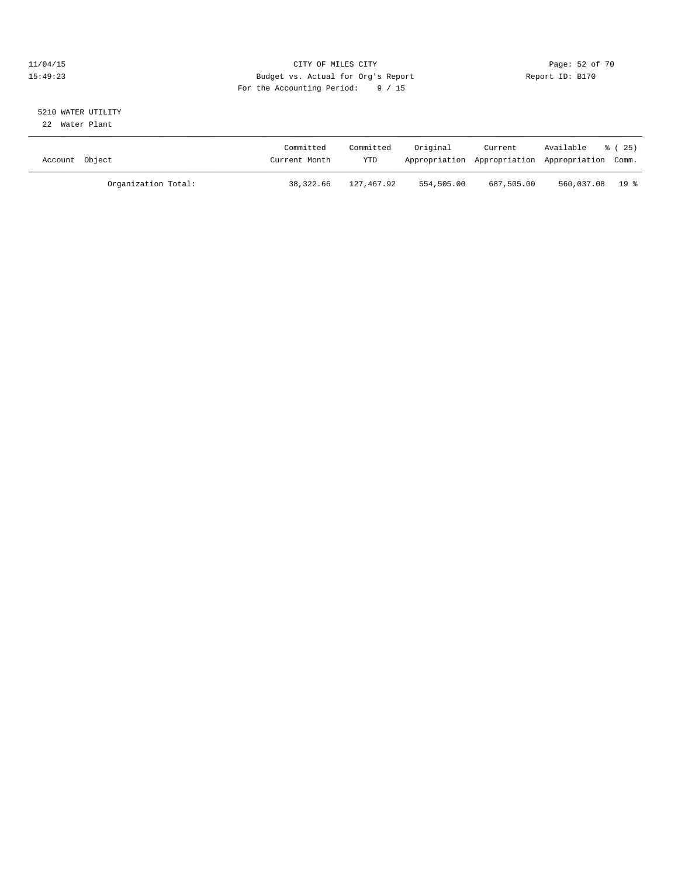### 11/04/15 **Page: 52 of 70** CITY OF MILES CITY **CITY Page: 52 of 70** 15:49:23 Budget vs. Actual for Org's Report Report ID: B170 For the Accounting Period: 9 / 15

# 5210 WATER UTILITY

22 Water Plant

| Account Object      | Committed<br>Current Month | Committed<br>YTD | Original   | Current    | Available<br>Appropriation Appropriation Appropriation Comm. | ៖ (25) |
|---------------------|----------------------------|------------------|------------|------------|--------------------------------------------------------------|--------|
| Organization Total: | 38,322.66                  | 127,467.92       | 554,505.00 | 687,505.00 | 560,037.08 19 %                                              |        |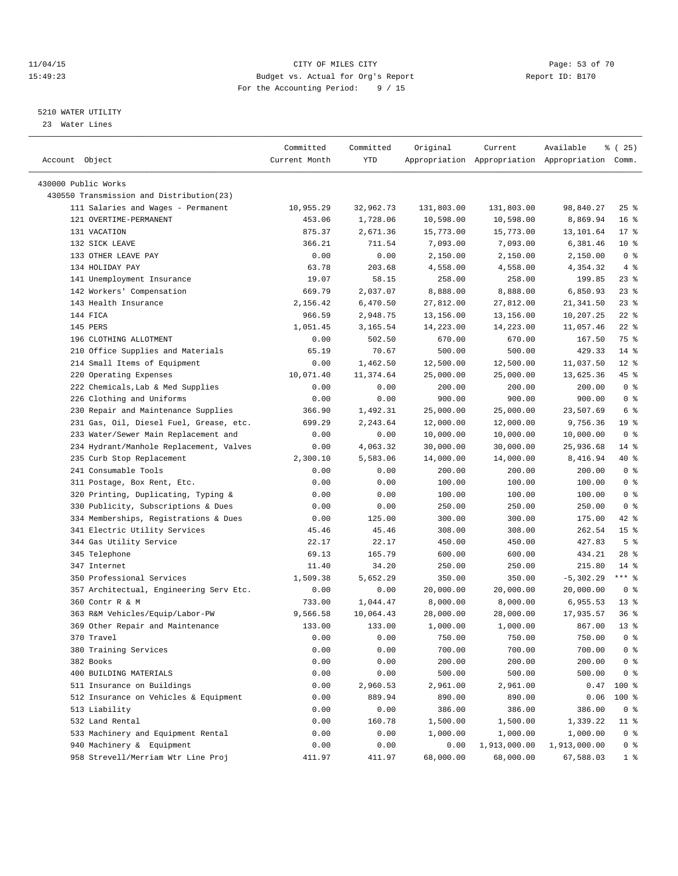### 11/04/15 Page: 53 of 70 15:49:23 Budget vs. Actual for Org's Report Report ID: B170 For the Accounting Period: 9 / 15

————————————————————————————————————————————————————————————————————————————————————————————————————————————————————————————————————

### 5210 WATER UTILITY

23 Water Lines

|                                                              | Committed     | Committed | Original   | Current                                         | Available    | % (25)             |
|--------------------------------------------------------------|---------------|-----------|------------|-------------------------------------------------|--------------|--------------------|
| Account Object                                               | Current Month | YTD       |            | Appropriation Appropriation Appropriation Comm. |              |                    |
|                                                              |               |           |            |                                                 |              |                    |
| 430000 Public Works                                          |               |           |            |                                                 |              |                    |
| 430550 Transmission and Distribution(23)                     |               |           |            |                                                 |              |                    |
| 111 Salaries and Wages - Permanent<br>121 OVERTIME-PERMANENT | 10,955.29     | 32,962.73 | 131,803.00 | 131,803.00                                      | 98,840.27    | $25$ $\frac{6}{5}$ |
|                                                              | 453.06        | 1,728.06  | 10,598.00  | 10,598.00                                       | 8,869.94     | 16 <sup>8</sup>    |
| 131 VACATION                                                 | 875.37        | 2,671.36  | 15,773.00  | 15,773.00                                       | 13,101.64    | 17 <sub>8</sub>    |
| 132 SICK LEAVE                                               | 366.21        | 711.54    | 7,093.00   | 7,093.00                                        | 6,381.46     | $10*$              |
| 133 OTHER LEAVE PAY                                          | 0.00          | 0.00      | 2,150.00   | 2,150.00                                        | 2,150.00     | 0 <sup>8</sup>     |
| 134 HOLIDAY PAY                                              | 63.78         | 203.68    | 4,558.00   | 4,558.00                                        | 4,354.32     | 4%                 |
| 141 Unemployment Insurance                                   | 19.07         | 58.15     | 258.00     | 258.00                                          | 199.85       | $23$ %             |
| 142 Workers' Compensation                                    | 669.79        | 2,037.07  | 8,888.00   | 8,888.00                                        | 6,850.93     | $23$ %             |
| 143 Health Insurance                                         | 2,156.42      | 6,470.50  | 27,812.00  | 27,812.00                                       | 21,341.50    | $23$ $%$           |
| 144 FICA                                                     | 966.59        | 2,948.75  | 13,156.00  | 13,156.00                                       | 10,207.25    | $22$ %             |
| 145 PERS                                                     | 1,051.45      | 3,165.54  | 14,223.00  | 14,223.00                                       | 11,057.46    | $22$ %             |
| 196 CLOTHING ALLOTMENT                                       | 0.00          | 502.50    | 670.00     | 670.00                                          | 167.50       | 75 %               |
| 210 Office Supplies and Materials                            | 65.19         | 70.67     | 500.00     | 500.00                                          | 429.33       | $14*$              |
| 214 Small Items of Equipment                                 | 0.00          | 1,462.50  | 12,500.00  | 12,500.00                                       | 11,037.50    | $12*$              |
| 220 Operating Expenses                                       | 10,071.40     | 11,374.64 | 25,000.00  | 25,000.00                                       | 13,625.36    | 45 %               |
| 222 Chemicals, Lab & Med Supplies                            | 0.00          | 0.00      | 200.00     | 200.00                                          | 200.00       | 0 <sup>8</sup>     |
| 226 Clothing and Uniforms                                    | 0.00          | 0.00      | 900.00     | 900.00                                          | 900.00       | 0 <sup>8</sup>     |
| 230 Repair and Maintenance Supplies                          | 366.90        | 1,492.31  | 25,000.00  | 25,000.00                                       | 23,507.69    | 6 <sup>°</sup>     |
| 231 Gas, Oil, Diesel Fuel, Grease, etc.                      | 699.29        | 2,243.64  | 12,000.00  | 12,000.00                                       | 9,756.36     | 19 <sup>°</sup>    |
| 233 Water/Sewer Main Replacement and                         | 0.00          | 0.00      | 10,000.00  | 10,000.00                                       | 10,000.00    | 0 <sup>8</sup>     |
| 234 Hydrant/Manhole Replacement, Valves                      | 0.00          | 4,063.32  | 30,000.00  | 30,000.00                                       | 25,936.68    | 14 %               |
| 235 Curb Stop Replacement                                    | 2,300.10      | 5,583.06  | 14,000.00  | 14,000.00                                       | 8,416.94     | 40 %               |
| 241 Consumable Tools                                         | 0.00          | 0.00      | 200.00     | 200.00                                          | 200.00       | 0 <sup>8</sup>     |
| 311 Postage, Box Rent, Etc.                                  | 0.00          | 0.00      | 100.00     | 100.00                                          | 100.00       | 0 <sup>8</sup>     |
| 320 Printing, Duplicating, Typing &                          | 0.00          | 0.00      | 100.00     | 100.00                                          | 100.00       | 0 <sup>8</sup>     |
| 330 Publicity, Subscriptions & Dues                          | 0.00          | 0.00      | 250.00     | 250.00                                          | 250.00       | 0 <sup>8</sup>     |
| 334 Memberships, Registrations & Dues                        | 0.00          | 125.00    | 300.00     | 300.00                                          | 175.00       | $42$ %             |
| 341 Electric Utility Services                                | 45.46         | 45.46     | 308.00     | 308.00                                          | 262.54       | 15 <sup>8</sup>    |
| 344 Gas Utility Service                                      | 22.17         | 22.17     | 450.00     | 450.00                                          | 427.83       | 5 <sup>°</sup>     |
| 345 Telephone                                                | 69.13         | 165.79    | 600.00     | 600.00                                          | 434.21       | $28$ %             |
| 347 Internet                                                 | 11.40         | 34.20     | 250.00     | 250.00                                          | 215.80       | 14 %               |
| 350 Professional Services                                    | 1,509.38      | 5,652.29  | 350.00     | 350.00                                          | $-5,302.29$  | $***$ $-$          |
| 357 Architectual, Engineering Serv Etc.                      | 0.00          | 0.00      | 20,000.00  | 20,000.00                                       | 20,000.00    | 0 <sup>8</sup>     |
| 360 Contr R & M                                              | 733.00        | 1,044.47  | 8,000.00   | 8,000.00                                        | 6,955.53     | 13 <sup>°</sup>    |
| 363 R&M Vehicles/Equip/Labor-PW                              | 9,566.58      | 10,064.43 | 28,000.00  | 28,000.00                                       | 17,935.57    | 36%                |
| 369 Other Repair and Maintenance                             | 133.00        | 133.00    | 1,000.00   | 1,000.00                                        | 867.00       | $13*$              |
| 370 Travel                                                   | 0.00          | 0.00      | 750.00     | 750.00                                          | 750.00       | 0 <sup>8</sup>     |
| 380 Training Services                                        | 0.00          | 0.00      | 700.00     | 700.00                                          | 700.00       | 0 <sup>8</sup>     |
| 382 Books                                                    | 0.00          | 0.00      | 200.00     | 200.00                                          | 200.00       | 0 <sup>8</sup>     |
| 400 BUILDING MATERIALS                                       | 0.00          | 0.00      | 500.00     | 500.00                                          | 500.00       | 0 <sup>8</sup>     |
| 511 Insurance on Buildings                                   | 0.00          | 2,960.53  | 2,961.00   | 2,961.00                                        | 0.47         | 100 %              |
| 512 Insurance on Vehicles & Equipment                        | 0.00          | 889.94    | 890.00     | 890.00                                          | 0.06         | 100 %              |
| 513 Liability                                                | 0.00          | 0.00      | 386.00     | 386.00                                          | 386.00       | 0 <sup>8</sup>     |
| 532 Land Rental                                              | 0.00          | 160.78    | 1,500.00   | 1,500.00                                        | 1,339.22     | $11$ %             |
| 533 Machinery and Equipment Rental                           | 0.00          | 0.00      | 1,000.00   | 1,000.00                                        | 1,000.00     | 0 <sup>8</sup>     |
| 940 Machinery & Equipment                                    | 0.00          | 0.00      | 0.00       | 1,913,000.00                                    | 1,913,000.00 | 0 <sup>8</sup>     |
| 958 Strevell/Merriam Wtr Line Proj                           | 411.97        | 411.97    | 68,000.00  | 68,000.00                                       | 67,588.03    | 1 <sup>8</sup>     |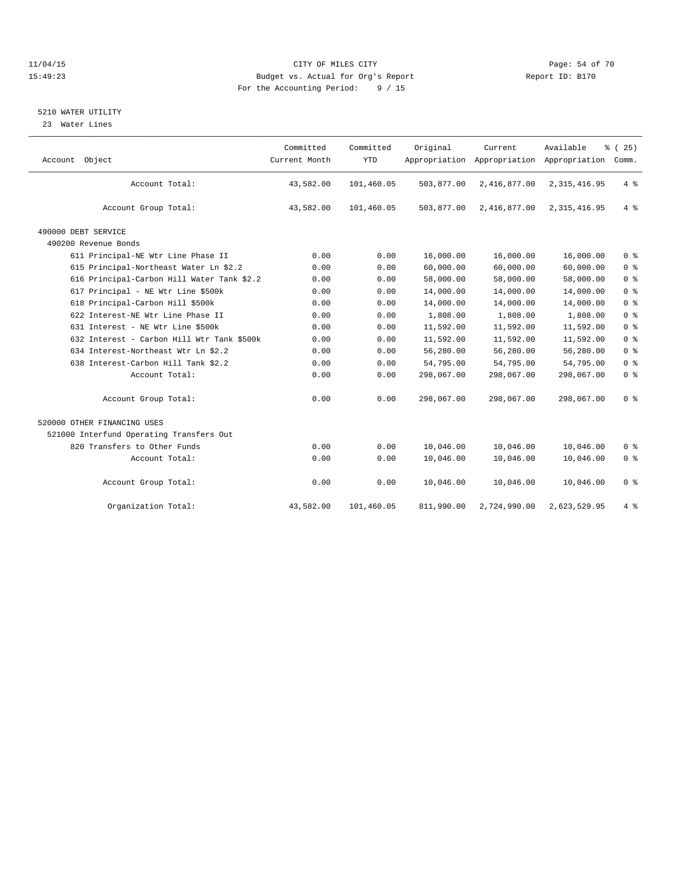### 11/04/15 Page: 54 of 70 15:49:23 Budget vs. Actual for Org's Report Report ID: B170 For the Accounting Period: 9 / 15

### 5210 WATER UTILITY

23 Water Lines

| Account Object                             | Committed<br>Current Month | Committed<br><b>YTD</b> | Original<br>Appropriation | Current<br>Appropriation | Available<br>Appropriation | % (25)<br>Comm. |
|--------------------------------------------|----------------------------|-------------------------|---------------------------|--------------------------|----------------------------|-----------------|
| Account Total:                             | 43,582.00                  | 101,460.05              | 503,877.00                | 2,416,877.00             | 2, 315, 416.95             | 4%              |
| Account Group Total:                       | 43,582.00                  | 101,460.05              | 503,877.00                | 2,416,877.00             | 2, 315, 416.95             | 4%              |
| 490000 DEBT SERVICE                        |                            |                         |                           |                          |                            |                 |
| 490200 Revenue Bonds                       |                            |                         |                           |                          |                            |                 |
| 611 Principal-NE Wtr Line Phase II         | 0.00                       | 0.00                    | 16,000.00                 | 16,000.00                | 16,000.00                  | 0 <sup>8</sup>  |
| 615 Principal-Northeast Water Ln \$2.2     | 0.00                       | 0.00                    | 60,000.00                 | 60,000.00                | 60,000.00                  | 0 <sup>°</sup>  |
| 616 Principal-Carbon Hill Water Tank \$2.2 | 0.00                       | 0.00                    | 58,000.00                 | 58,000.00                | 58,000.00                  | 0 <sup>8</sup>  |
| 617 Principal - NE Wtr Line \$500k         | 0.00                       | 0.00                    | 14,000.00                 | 14,000.00                | 14,000.00                  | 0 <sup>°</sup>  |
| 618 Principal-Carbon Hill \$500k           | 0.00                       | 0.00                    | 14,000.00                 | 14,000.00                | 14,000.00                  | 0 <sup>8</sup>  |
| 622 Interest-NE Wtr Line Phase II          | 0.00                       | 0.00                    | 1,808.00                  | 1,808.00                 | 1,808.00                   | 0 <sup>8</sup>  |
| 631 Interest - NE Wtr Line \$500k          | 0.00                       | 0.00                    | 11,592.00                 | 11,592.00                | 11,592.00                  | 0 <sup>8</sup>  |
| 632 Interest - Carbon Hill Wtr Tank \$500k | 0.00                       | 0.00                    | 11,592.00                 | 11,592.00                | 11,592.00                  | 0 <sup>8</sup>  |
| 634 Interest-Northeast Wtr Ln \$2.2        | 0.00                       | 0.00                    | 56,280.00                 | 56,280.00                | 56,280.00                  | 0 <sup>8</sup>  |
| 638 Interest-Carbon Hill Tank \$2.2        | 0.00                       | 0.00                    | 54,795.00                 | 54,795.00                | 54,795.00                  | 0 <sup>8</sup>  |
| Account Total:                             | 0.00                       | 0.00                    | 298,067.00                | 298,067.00               | 298,067.00                 | 0 <sup>8</sup>  |
| Account Group Total:                       | 0.00                       | 0.00                    | 298,067.00                | 298,067.00               | 298,067.00                 | 0 <sup>8</sup>  |
| 520000 OTHER FINANCING USES                |                            |                         |                           |                          |                            |                 |
| 521000 Interfund Operating Transfers Out   |                            |                         |                           |                          |                            |                 |
| 820 Transfers to Other Funds               | 0.00                       | 0.00                    | 10,046.00                 | 10,046.00                | 10,046.00                  | 0 <sup>8</sup>  |
| Account Total:                             | 0.00                       | 0.00                    | 10,046.00                 | 10,046.00                | 10,046.00                  | 0 <sup>8</sup>  |
| Account Group Total:                       | 0.00                       | 0.00                    | 10,046.00                 | 10,046.00                | 10,046.00                  | 0 <sup>8</sup>  |
| Organization Total:                        | 43,582.00                  | 101,460.05              | 811,990.00                | 2,724,990.00             | 2,623,529.95               | 4%              |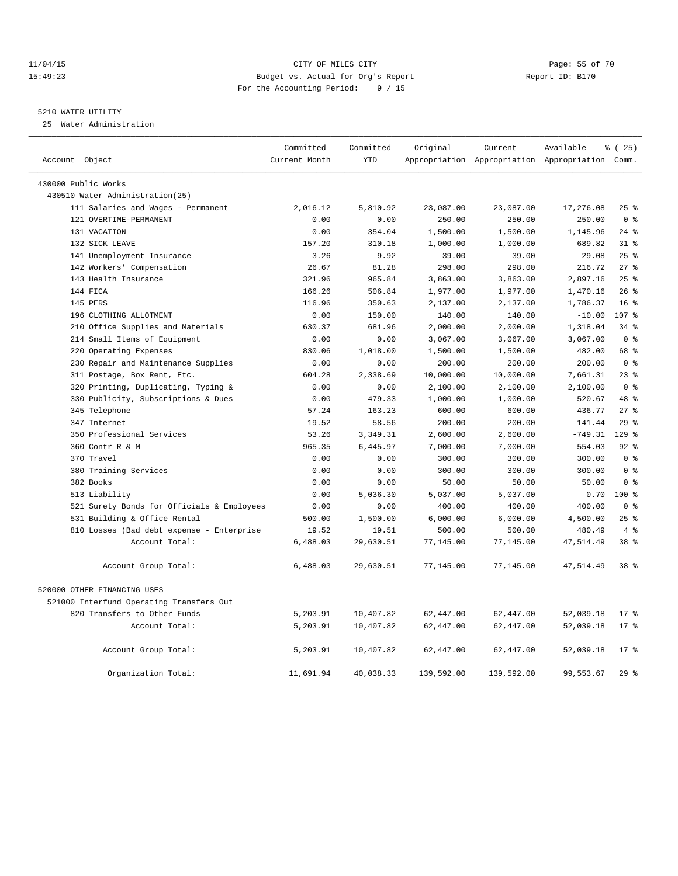### 11/04/15 Page: 55 of 70 15:49:23 Budget vs. Actual for Org's Report Report ID: B170 For the Accounting Period: 9 / 15

### 5210 WATER UTILITY

25 Water Administration

| Account Object                             | Committed<br>Current Month | Committed<br><b>YTD</b> | Original   | Current    | Available<br>Appropriation Appropriation Appropriation Comm. | % (25)          |
|--------------------------------------------|----------------------------|-------------------------|------------|------------|--------------------------------------------------------------|-----------------|
|                                            |                            |                         |            |            |                                                              |                 |
| 430000 Public Works                        |                            |                         |            |            |                                                              |                 |
| 430510 Water Administration(25)            |                            |                         |            |            |                                                              |                 |
| 111 Salaries and Wages - Permanent         | 2,016.12                   | 5,810.92                | 23,087.00  | 23,087.00  | 17,276.08                                                    | 25%             |
| 121 OVERTIME-PERMANENT                     | 0.00                       | 0.00                    | 250.00     | 250.00     | 250.00                                                       | 0 <sup>8</sup>  |
| 131 VACATION                               | 0.00                       | 354.04                  | 1,500.00   | 1,500.00   | 1,145.96                                                     | $24$ %          |
| 132 SICK LEAVE                             | 157.20                     | 310.18                  | 1,000.00   | 1,000.00   | 689.82                                                       | $31$ %          |
| 141 Unemployment Insurance                 | 3.26                       | 9.92                    | 39.00      | 39.00      | 29.08                                                        | 25%             |
| 142 Workers' Compensation                  | 26.67                      | 81.28                   | 298.00     | 298.00     | 216.72                                                       | $27$ $%$        |
| 143 Health Insurance                       | 321.96                     | 965.84                  | 3,863.00   | 3,863.00   | 2,897.16                                                     | 25%             |
| 144 FICA                                   | 166.26                     | 506.84                  | 1,977.00   | 1,977.00   | 1,470.16                                                     | 26%             |
| 145 PERS                                   | 116.96                     | 350.63                  | 2,137.00   | 2,137.00   | 1,786.37                                                     | 16 <sup>8</sup> |
| 196 CLOTHING ALLOTMENT                     | 0.00                       | 150.00                  | 140.00     | 140.00     | $-10.00$                                                     | 107 %           |
| 210 Office Supplies and Materials          | 630.37                     | 681.96                  | 2,000.00   | 2,000.00   | 1,318.04                                                     | $34$ $%$        |
| 214 Small Items of Equipment               | 0.00                       | 0.00                    | 3,067.00   | 3,067.00   | 3,067.00                                                     | 0 <sup>8</sup>  |
| 220 Operating Expenses                     | 830.06                     | 1,018.00                | 1,500.00   | 1,500.00   | 482.00                                                       | 68 %            |
| 230 Repair and Maintenance Supplies        | 0.00                       | 0.00                    | 200.00     | 200.00     | 200.00                                                       | 0 <sup>°</sup>  |
| 311 Postage, Box Rent, Etc.                | 604.28                     | 2,338.69                | 10,000.00  | 10,000.00  | 7,661.31                                                     | $23$ $%$        |
| 320 Printing, Duplicating, Typing &        | 0.00                       | 0.00                    | 2,100.00   | 2,100.00   | 2,100.00                                                     | 0 <sup>8</sup>  |
| 330 Publicity, Subscriptions & Dues        | 0.00                       | 479.33                  | 1,000.00   | 1,000.00   | 520.67                                                       | 48 %            |
| 345 Telephone                              | 57.24                      | 163.23                  | 600.00     | 600.00     | 436.77                                                       | $27$ %          |
| 347 Internet                               | 19.52                      | 58.56                   | 200.00     | 200.00     | 141.44                                                       | 29%             |
| 350 Professional Services                  | 53.26                      | 3,349.31                | 2,600.00   | 2,600.00   | $-749.31$                                                    | $129$ $%$       |
| 360 Contr R & M                            | 965.35                     | 6,445.97                | 7,000.00   | 7,000.00   | 554.03                                                       | $92$ $%$        |
| 370 Travel                                 | 0.00                       | 0.00                    | 300.00     | 300.00     | 300.00                                                       | 0 <sup>8</sup>  |
| 380 Training Services                      | 0.00                       | 0.00                    | 300.00     | 300.00     | 300.00                                                       | 0 <sup>8</sup>  |
| 382 Books                                  | 0.00                       | 0.00                    | 50.00      | 50.00      | 50.00                                                        | 0 <sup>8</sup>  |
| 513 Liability                              | 0.00                       | 5,036.30                | 5,037.00   | 5,037.00   | 0.70                                                         | $100*$          |
| 521 Surety Bonds for Officials & Employees | 0.00                       | 0.00                    | 400.00     | 400.00     | 400.00                                                       | 0 <sup>8</sup>  |
| 531 Building & Office Rental               | 500.00                     | 1,500.00                | 6,000.00   | 6,000.00   | 4,500.00                                                     | $25$ $%$        |
| 810 Losses (Bad debt expense - Enterprise  | 19.52                      | 19.51                   | 500.00     | 500.00     | 480.49                                                       | 4%              |
| Account Total:                             | 6,488.03                   | 29,630.51               | 77,145.00  | 77,145.00  | 47,514.49                                                    | 38 %            |
|                                            |                            |                         |            |            |                                                              |                 |
| Account Group Total:                       | 6,488.03                   | 29,630.51               | 77,145.00  | 77,145.00  | 47,514.49                                                    | 38 %            |
|                                            |                            |                         |            |            |                                                              |                 |
| 520000 OTHER FINANCING USES                |                            |                         |            |            |                                                              |                 |
| 521000 Interfund Operating Transfers Out   |                            |                         |            |            |                                                              |                 |
| 820 Transfers to Other Funds               | 5,203.91                   | 10,407.82               | 62,447.00  | 62,447.00  | 52,039.18                                                    | $17*$           |
| Account Total:                             | 5,203.91                   | 10,407.82               | 62,447.00  | 62,447.00  | 52,039.18                                                    | $17*$           |
| Account Group Total:                       | 5,203.91                   | 10,407.82               | 62,447.00  | 62,447.00  | 52,039.18                                                    | $17*$           |
| Organization Total:                        | 11,691.94                  | 40,038.33               | 139,592.00 | 139,592.00 | 99,553.67                                                    | 29%             |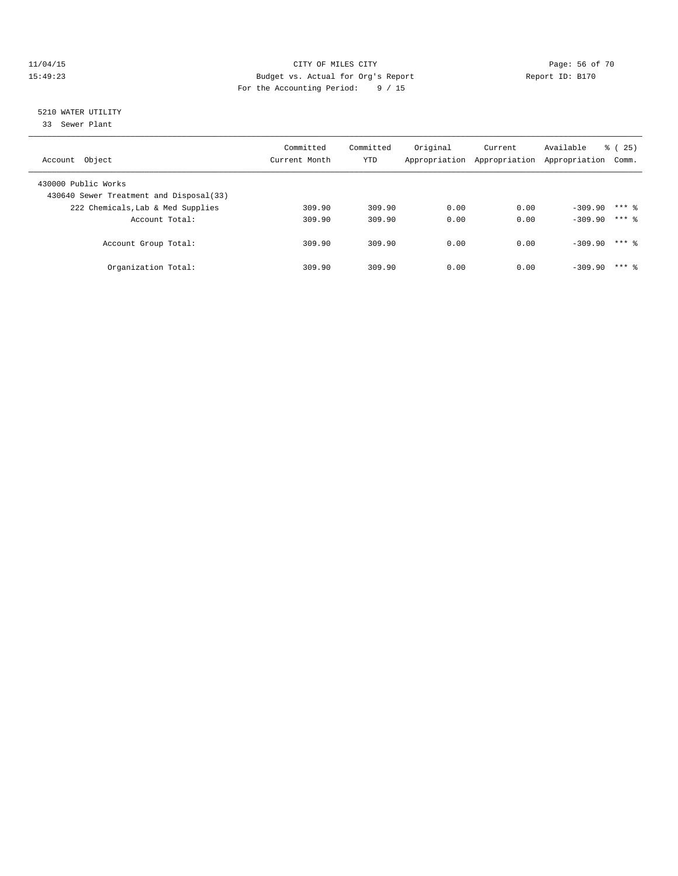### 11/04/15 **Page: 56 of 70** CITY OF MILES CITY **CITY** Page: 56 of 70 15:49:23 Budget vs. Actual for Org's Report Report ID: B170 For the Accounting Period: 9 / 15

# 5210 WATER UTILITY

33 Sewer Plant

| Account Object                                                 | Committed<br>Current Month | Committed<br>YTD | Original | Current<br>Appropriation Appropriation | Available<br>Appropriation | % (25)<br>Comm. |
|----------------------------------------------------------------|----------------------------|------------------|----------|----------------------------------------|----------------------------|-----------------|
| 430000 Public Works<br>430640 Sewer Treatment and Disposal(33) |                            |                  |          |                                        |                            |                 |
| 222 Chemicals, Lab & Med Supplies                              | 309.90                     | 309.90           | 0.00     | 0.00                                   | $-309.90$                  | $***$ 2         |
| Account Total:                                                 | 309.90                     | 309.90           | 0.00     | 0.00                                   | $-309.90$                  | $***$ 2         |
| Account Group Total:                                           | 309.90                     | 309.90           | 0.00     | 0.00                                   | $-309.90$                  | $***$ 2         |
| Organization Total:                                            | 309.90                     | 309.90           | 0.00     | 0.00                                   | $-309.90$                  | $***$ 2         |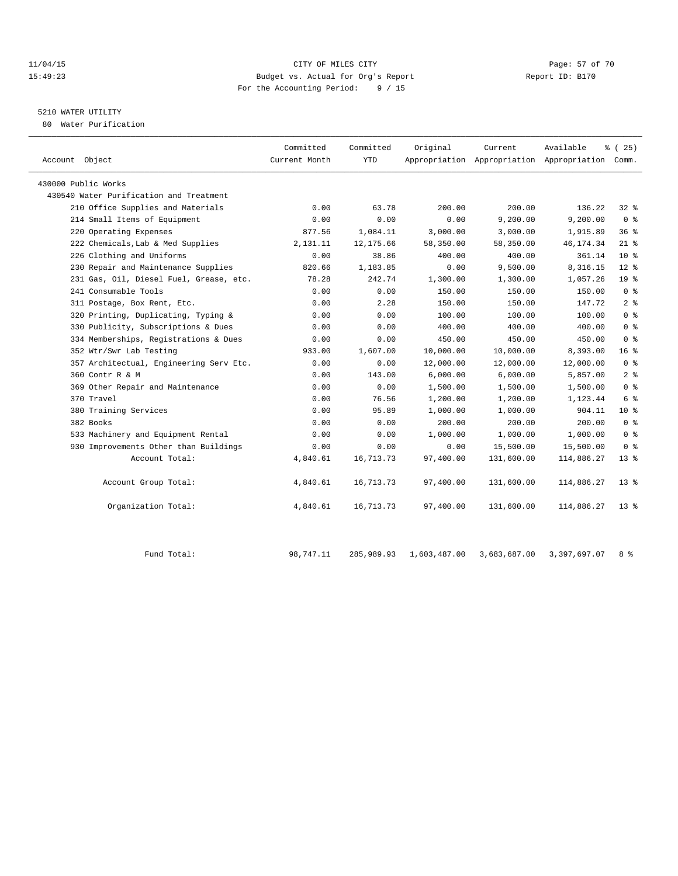### 11/04/15 Page: 57 of 70 15:49:23 Budget vs. Actual for Org's Report Report ID: B170 For the Accounting Period: 9 / 15

# 5210 WATER UTILITY

80 Water Purification

| Account Object                          | Committed<br>Current Month | Committed<br><b>YTD</b> | Original     | Current      | Available<br>Appropriation Appropriation Appropriation Comm. | % (25)          |
|-----------------------------------------|----------------------------|-------------------------|--------------|--------------|--------------------------------------------------------------|-----------------|
|                                         |                            |                         |              |              |                                                              |                 |
| 430000 Public Works                     |                            |                         |              |              |                                                              |                 |
| 430540 Water Purification and Treatment |                            |                         |              |              |                                                              |                 |
| 210 Office Supplies and Materials       | 0.00                       | 63.78                   | 200.00       | 200.00       | 136.22                                                       | $32$ $%$        |
| 214 Small Items of Equipment            | 0.00                       | 0.00                    | 0.00         | 9,200.00     | 9,200.00                                                     | 0 <sup>8</sup>  |
| 220 Operating Expenses                  | 877.56                     | 1,084.11                | 3,000.00     | 3,000.00     | 1,915.89                                                     | 36%             |
| 222 Chemicals, Lab & Med Supplies       | 2,131.11                   | 12, 175.66              | 58,350.00    | 58,350.00    | 46, 174.34                                                   | $21$ %          |
| 226 Clothing and Uniforms               | 0.00                       | 38.86                   | 400.00       | 400.00       | 361.14                                                       | $10*$           |
| 230 Repair and Maintenance Supplies     | 820.66                     | 1,183.85                | 0.00         | 9,500.00     | 8,316.15                                                     | $12*$           |
| 231 Gas, Oil, Diesel Fuel, Grease, etc. | 78.28                      | 242.74                  | 1,300.00     | 1,300.00     | 1,057.26                                                     | 19 <sup>°</sup> |
| 241 Consumable Tools                    | 0.00                       | 0.00                    | 150.00       | 150.00       | 150.00                                                       | 0 <sup>8</sup>  |
| 311 Postage, Box Rent, Etc.             | 0.00                       | 2.28                    | 150.00       | 150.00       | 147.72                                                       | 2 <sup>8</sup>  |
| 320 Printing, Duplicating, Typing &     | 0.00                       | 0.00                    | 100.00       | 100.00       | 100.00                                                       | 0 <sup>8</sup>  |
| 330 Publicity, Subscriptions & Dues     | 0.00                       | 0.00                    | 400.00       | 400.00       | 400.00                                                       | 0 <sup>8</sup>  |
| 334 Memberships, Registrations & Dues   | 0.00                       | 0.00                    | 450.00       | 450.00       | 450.00                                                       | 0 <sup>8</sup>  |
| 352 Wtr/Swr Lab Testing                 | 933.00                     | 1,607.00                | 10,000.00    | 10,000.00    | 8,393.00                                                     | 16 <sup>°</sup> |
| 357 Architectual, Engineering Serv Etc. | 0.00                       | 0.00                    | 12,000.00    | 12,000.00    | 12,000.00                                                    | 0 <sup>8</sup>  |
| 360 Contr R & M                         | 0.00                       | 143.00                  | 6,000.00     | 6,000.00     | 5,857.00                                                     | 2 <sup>°</sup>  |
| 369 Other Repair and Maintenance        | 0.00                       | 0.00                    | 1,500.00     | 1,500.00     | 1,500.00                                                     | 0 <sup>8</sup>  |
| 370 Travel                              | 0.00                       | 76.56                   | 1,200.00     | 1,200.00     | 1,123.44                                                     | 6 %             |
| 380 Training Services                   | 0.00                       | 95.89                   | 1,000.00     | 1,000.00     | 904.11                                                       | 10 <sup>°</sup> |
| 382 Books                               | 0.00                       | 0.00                    | 200.00       | 200.00       | 200.00                                                       | 0 <sup>8</sup>  |
| 533 Machinery and Equipment Rental      | 0.00                       | 0.00                    | 1,000.00     | 1,000.00     | 1,000.00                                                     | 0 <sup>8</sup>  |
| 930 Improvements Other than Buildings   | 0.00                       | 0.00                    | 0.00         | 15,500.00    | 15,500.00                                                    | 0 <sup>8</sup>  |
| Account Total:                          | 4,840.61                   | 16,713.73               | 97,400.00    | 131,600.00   | 114,886.27                                                   | $13*$           |
| Account Group Total:                    | 4,840.61                   | 16,713.73               | 97,400.00    | 131,600.00   | 114,886.27                                                   | $13*$           |
| Organization Total:                     | 4,840.61                   | 16,713.73               | 97,400.00    | 131,600.00   | 114,886.27                                                   | $13*$           |
| Fund Total:                             | 98,747.11                  | 285,989.93              | 1,603,487.00 | 3,683,687.00 | 3,397,697.07                                                 | 8 %             |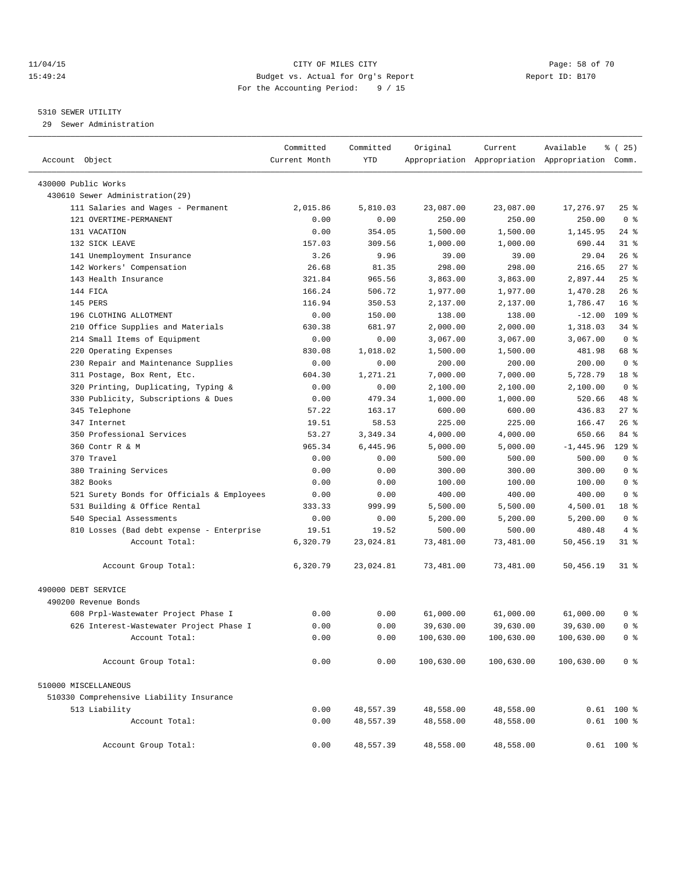### 11/04/15 Page: 58 of 70 15:49:24 Budget vs. Actual for Org's Report Report ID: B170 For the Accounting Period: 9 / 15

————————————————————————————————————————————————————————————————————————————————————————————————————————————————————————————————————

### 5310 SEWER UTILITY

29 Sewer Administration

|                                            | Committed     | Committed | Original   | Current    | Available                                       | $\frac{1}{6}$ ( 25) |  |
|--------------------------------------------|---------------|-----------|------------|------------|-------------------------------------------------|---------------------|--|
| Account Object                             | Current Month | YTD       |            |            | Appropriation Appropriation Appropriation Comm. |                     |  |
| 430000 Public Works                        |               |           |            |            |                                                 |                     |  |
| 430610 Sewer Administration(29)            |               |           |            |            |                                                 |                     |  |
| 111 Salaries and Wages - Permanent         | 2,015.86      | 5,810.03  | 23,087.00  | 23,087.00  | 17,276.97                                       | $25$ $%$            |  |
| 121 OVERTIME-PERMANENT                     | 0.00          | 0.00      | 250.00     | 250.00     | 250.00                                          | 0 <sup>8</sup>      |  |
| 131 VACATION                               | 0.00          | 354.05    | 1,500.00   | 1,500.00   | 1,145.95                                        | 24 %                |  |
| 132 SICK LEAVE                             | 157.03        | 309.56    | 1,000.00   | 1,000.00   | 690.44                                          | $31$ %              |  |
| 141 Unemployment Insurance                 | 3.26          | 9.96      | 39.00      | 39.00      | 29.04                                           | $26$ %              |  |
| 142 Workers' Compensation                  | 26.68         | 81.35     | 298.00     | 298.00     | 216.65                                          | $27$ %              |  |
| 143 Health Insurance                       | 321.84        | 965.56    | 3,863.00   | 3,863.00   | 2,897.44                                        | $25$ $%$            |  |
| 144 FICA                                   | 166.24        | 506.72    | 1,977.00   | 1,977.00   | 1,470.28                                        | $26$ %              |  |
| 145 PERS                                   | 116.94        | 350.53    | 2,137.00   | 2,137.00   | 1,786.47                                        | 16 <sup>8</sup>     |  |
| 196 CLOTHING ALLOTMENT                     | 0.00          | 150.00    | 138.00     | 138.00     | $-12.00$                                        | 109 %               |  |
| 210 Office Supplies and Materials          | 630.38        | 681.97    | 2,000.00   | 2,000.00   | 1,318.03                                        | $34$ $%$            |  |
| 214 Small Items of Equipment               | 0.00          | 0.00      | 3,067.00   | 3,067.00   | 3,067.00                                        | 0 <sup>8</sup>      |  |
| 220 Operating Expenses                     | 830.08        | 1,018.02  | 1,500.00   | 1,500.00   | 481.98                                          | 68 %                |  |
| 230 Repair and Maintenance Supplies        | 0.00          | 0.00      | 200.00     | 200.00     | 200.00                                          | 0 <sup>8</sup>      |  |
| 311 Postage, Box Rent, Etc.                | 604.30        | 1,271.21  | 7,000.00   | 7,000.00   | 5,728.79                                        | 18 <sup>8</sup>     |  |
| 320 Printing, Duplicating, Typing &        | 0.00          | 0.00      | 2,100.00   | 2,100.00   | 2,100.00                                        | 0 <sup>8</sup>      |  |
| 330 Publicity, Subscriptions & Dues        | 0.00          | 479.34    | 1,000.00   | 1,000.00   | 520.66                                          | 48 %                |  |
| 345 Telephone                              | 57.22         | 163.17    | 600.00     | 600.00     | 436.83                                          | $27$ %              |  |
| 347 Internet                               | 19.51         | 58.53     | 225.00     | 225.00     | 166.47                                          | $26$ %              |  |
| 350 Professional Services                  | 53.27         | 3,349.34  | 4,000.00   | 4,000.00   | 650.66                                          | 84 %                |  |
| 360 Contr R & M                            | 965.34        | 6,445.96  | 5,000.00   | 5,000.00   | $-1,445.96$                                     | $129$ %             |  |
| 370 Travel                                 | 0.00          | 0.00      | 500.00     | 500.00     | 500.00                                          | 0 <sup>8</sup>      |  |
| 380 Training Services                      | 0.00          | 0.00      | 300.00     | 300.00     | 300.00                                          | 0 <sup>8</sup>      |  |
| 382 Books                                  | 0.00          | 0.00      | 100.00     | 100.00     | 100.00                                          | 0 <sup>8</sup>      |  |
| 521 Surety Bonds for Officials & Employees | 0.00          | 0.00      | 400.00     | 400.00     | 400.00                                          | 0 <sup>8</sup>      |  |
| 531 Building & Office Rental               | 333.33        | 999.99    | 5,500.00   | 5,500.00   | 4,500.01                                        | 18 <sup>°</sup>     |  |
| 540 Special Assessments                    | 0.00          | 0.00      | 5,200.00   | 5,200.00   | 5,200.00                                        | 0 <sup>8</sup>      |  |
| 810 Losses (Bad debt expense - Enterprise  | 19.51         | 19.52     | 500.00     | 500.00     | 480.48                                          | 4%                  |  |
| Account Total:                             | 6,320.79      | 23,024.81 | 73,481.00  | 73,481.00  | 50,456.19                                       | $31$ %              |  |
|                                            |               |           |            |            |                                                 |                     |  |
| Account Group Total:                       | 6,320.79      | 23,024.81 | 73,481.00  | 73,481.00  | 50,456.19                                       | 31 %                |  |
| 490000 DEBT SERVICE                        |               |           |            |            |                                                 |                     |  |
| 490200 Revenue Bonds                       |               |           |            |            |                                                 |                     |  |
| 608 Prpl-Wastewater Project Phase I        | 0.00          | 0.00      | 61,000.00  | 61,000.00  | 61,000.00                                       | 0 %                 |  |
| 626 Interest-Wastewater Project Phase I    | 0.00          | 0.00      | 39,630.00  | 39,630.00  | 39,630.00                                       | 0 <sup>8</sup>      |  |
| Account Total:                             | 0.00          | 0.00      | 100,630.00 | 100,630.00 | 100,630.00                                      | 0 <sup>8</sup>      |  |
| Account Group Total:                       | 0.00          | 0.00      | 100,630.00 | 100,630.00 | 100,630.00                                      | 0 <sup>8</sup>      |  |
|                                            |               |           |            |            |                                                 |                     |  |
| 510000 MISCELLANEOUS                       |               |           |            |            |                                                 |                     |  |
| 510330 Comprehensive Liability Insurance   |               |           |            |            |                                                 |                     |  |
| 513 Liability                              | 0.00          | 48,557.39 | 48,558.00  | 48,558.00  |                                                 | $0.61$ 100 %        |  |
| Account Total:                             | 0.00          | 48,557.39 | 48,558.00  | 48,558.00  |                                                 | $0.61$ 100 %        |  |
| Account Group Total:                       | 0.00          | 48,557.39 | 48,558.00  | 48,558.00  |                                                 | $0.61$ 100 %        |  |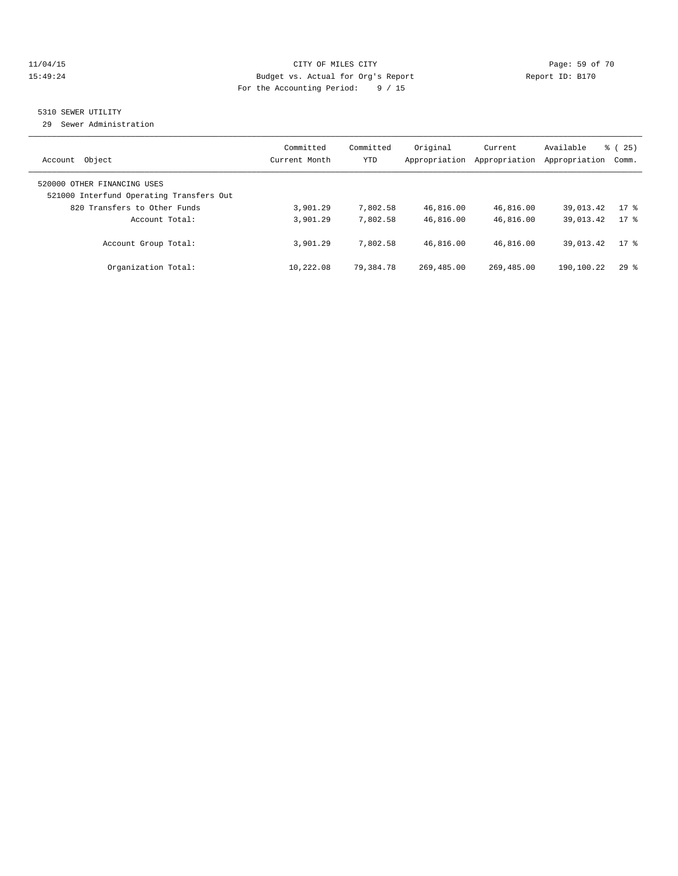### 11/04/15 Page: 59 of 70 15:49:24 Budget vs. Actual for Org's Report Report ID: B170 For the Accounting Period: 9 / 15

## 5310 SEWER UTILITY

29 Sewer Administration

| Object<br>Account                                                                                       | Committed<br>Current Month | Committed<br><b>YTD</b> | Original<br>Appropriation | Current<br>Appropriation | Available<br>Appropriation | % (25)<br>Comm. |
|---------------------------------------------------------------------------------------------------------|----------------------------|-------------------------|---------------------------|--------------------------|----------------------------|-----------------|
| 520000 OTHER FINANCING USES<br>521000 Interfund Operating Transfers Out<br>820 Transfers to Other Funds | 3,901.29                   | 7,802.58                | 46,816.00                 | 46,816.00                | 39,013.42                  | $17$ %          |
| Account Total:                                                                                          | 3,901.29                   | 7,802.58                | 46,816.00                 | 46,816.00                | 39,013.42                  | $17$ %          |
| Account Group Total:                                                                                    | 3,901.29                   | 7,802.58                | 46,816.00                 | 46,816.00                | 39,013.42                  | $17*$           |
| Organization Total:                                                                                     | 10,222.08                  | 79,384.78               | 269,485.00                | 269,485.00               | 190,100.22                 | 298             |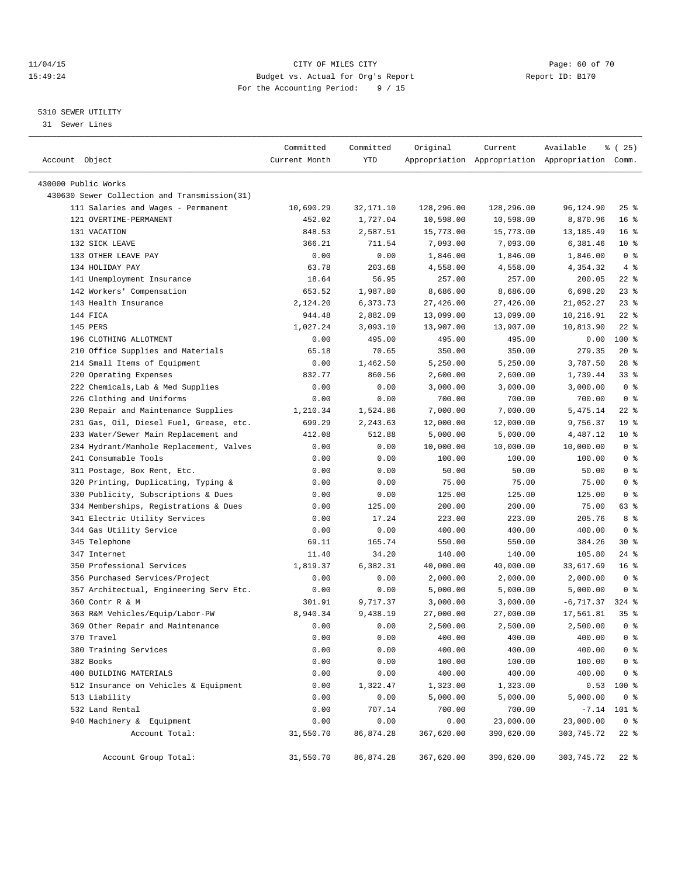### 11/04/15 **Page: 60 of 70** CITY OF MILES CITY **CITY Page: 60 of 70** 15:49:24 Budget vs. Actual for Org's Report Report ID: B170 For the Accounting Period: 9 / 15

————————————————————————————————————————————————————————————————————————————————————————————————————————————————————————————————————

### 5310 SEWER UTILITY

31 Sewer Lines

|                                                                                    | Committed        | Committed            | Original              | Current               | Available                                       | % (25)                             |
|------------------------------------------------------------------------------------|------------------|----------------------|-----------------------|-----------------------|-------------------------------------------------|------------------------------------|
| Account Object                                                                     | Current Month    | YTD                  |                       |                       | Appropriation Appropriation Appropriation Comm. |                                    |
|                                                                                    |                  |                      |                       |                       |                                                 |                                    |
| 430000 Public Works                                                                |                  |                      |                       |                       |                                                 |                                    |
| 430630 Sewer Collection and Transmission(31)<br>111 Salaries and Wages - Permanent |                  |                      |                       |                       |                                                 |                                    |
| 121 OVERTIME-PERMANENT                                                             | 10,690.29        | 32,171.10            | 128,296.00            | 128,296.00            | 96,124.90                                       | $25$ $\frac{6}{5}$                 |
|                                                                                    | 452.02           | 1,727.04             | 10,598.00             | 10,598.00             | 8,870.96                                        | 16 <sup>8</sup>                    |
| 131 VACATION<br>132 SICK LEAVE                                                     | 848.53<br>366.21 | 2,587.51<br>711.54   | 15,773.00<br>7,093.00 | 15,773.00<br>7,093.00 | 13,185.49<br>6,381.46                           | 16 <sup>8</sup><br>$10*$           |
| 133 OTHER LEAVE PAY                                                                | 0.00             | 0.00                 | 1,846.00              | 1,846.00              | 1,846.00                                        | 0 <sup>8</sup>                     |
| 134 HOLIDAY PAY                                                                    | 63.78            | 203.68               | 4,558.00              | 4,558.00              | 4,354.32                                        | $4\degree$                         |
| 141 Unemployment Insurance                                                         | 18.64            | 56.95                | 257.00                | 257.00                | 200.05                                          | $22$ %                             |
| 142 Workers' Compensation                                                          | 653.52           | 1,987.80             | 8,686.00              | 8,686.00              | 6,698.20                                        | $23$ $%$                           |
|                                                                                    | 2,124.20         | 6,373.73             |                       |                       |                                                 | $23$ $%$                           |
| 143 Health Insurance<br>144 FICA                                                   | 944.48           |                      | 27,426.00             | 27,426.00             | 21,052.27                                       | $22$ %                             |
| 145 PERS                                                                           |                  | 2,882.09             | 13,099.00             | 13,099.00             | 10,216.91<br>10,813.90                          | $22$ %                             |
| 196 CLOTHING ALLOTMENT                                                             | 1,027.24         | 3,093.10<br>495.00   | 13,907.00<br>495.00   | 13,907.00             |                                                 | 100 %                              |
|                                                                                    | 0.00             |                      |                       | 495.00                | 0.00                                            | $20*$                              |
| 210 Office Supplies and Materials                                                  | 65.18            | 70.65                | 350.00                | 350.00                | 279.35<br>3,787.50                              |                                    |
| 214 Small Items of Equipment<br>220 Operating Expenses                             | 0.00<br>832.77   | 1,462.50             | 5,250.00              | 5,250.00              |                                                 | $28$ %<br>$33$ $%$                 |
|                                                                                    |                  | 860.56               | 2,600.00              | 2,600.00              | 1,739.44                                        | 0 <sup>8</sup>                     |
| 222 Chemicals, Lab & Med Supplies                                                  | 0.00             | 0.00                 | 3,000.00              | 3,000.00              | 3,000.00                                        | 0 <sup>8</sup>                     |
| 226 Clothing and Uniforms                                                          | 0.00             | 0.00                 | 700.00<br>7,000.00    | 700.00<br>7,000.00    | 700.00                                          |                                    |
| 230 Repair and Maintenance Supplies                                                | 1,210.34         | 1,524.86<br>2,243.63 |                       |                       | 5,475.14                                        | $22$ %                             |
| 231 Gas, Oil, Diesel Fuel, Grease, etc.<br>233 Water/Sewer Main Replacement and    | 699.29           |                      | 12,000.00             | 12,000.00             | 9,756.37                                        | 19 <sup>°</sup><br>10 <sup>8</sup> |
|                                                                                    | 412.08           | 512.88               | 5,000.00              | 5,000.00              | 4,487.12                                        |                                    |
| 234 Hydrant/Manhole Replacement, Valves                                            | 0.00             | 0.00                 | 10,000.00             | 10,000.00             | 10,000.00                                       | 0 <sup>8</sup>                     |
| 241 Consumable Tools                                                               | 0.00             | 0.00                 | 100.00                | 100.00                | 100.00                                          | 0 <sup>8</sup>                     |
| 311 Postage, Box Rent, Etc.                                                        | 0.00             | 0.00                 | 50.00                 | 50.00                 | 50.00                                           | 0 <sup>8</sup>                     |
| 320 Printing, Duplicating, Typing &                                                | 0.00             | 0.00                 | 75.00                 | 75.00                 | 75.00                                           | 0 <sup>8</sup>                     |
| 330 Publicity, Subscriptions & Dues                                                | 0.00             | 0.00                 | 125.00                | 125.00                | 125.00                                          | 0 <sup>8</sup>                     |
| 334 Memberships, Registrations & Dues                                              | 0.00             | 125.00               | 200.00                | 200.00                | 75.00                                           | 63 %                               |
| 341 Electric Utility Services                                                      | 0.00             | 17.24                | 223.00                | 223.00                | 205.76                                          | 8 %                                |
| 344 Gas Utility Service                                                            | 0.00             | 0.00                 | 400.00                | 400.00                | 400.00                                          | 0 <sup>8</sup>                     |
| 345 Telephone                                                                      | 69.11            | 165.74               | 550.00                | 550.00                | 384.26                                          | $30*$                              |
| 347 Internet                                                                       | 11.40            | 34.20                | 140.00                | 140.00                | 105.80                                          | 24 %                               |
| 350 Professional Services                                                          | 1,819.37         | 6,382.31             | 40,000.00             | 40,000.00             | 33,617.69                                       | 16 <sup>8</sup>                    |
| 356 Purchased Services/Project                                                     | 0.00             | 0.00                 | 2,000.00              | 2,000.00              | 2,000.00                                        | 0 <sup>8</sup>                     |
| 357 Architectual, Engineering Serv Etc.                                            | 0.00             | 0.00                 | 5,000.00              | 5,000.00              | 5,000.00                                        | 0 <sup>8</sup><br>$324$ $%$        |
| 360 Contr R & M                                                                    | 301.91           | 9,717.37             | 3,000.00              | 3,000.00              | $-6,717.37$                                     |                                    |
| 363 R&M Vehicles/Equip/Labor-PW                                                    | 8,940.34         | 9,438.19             | 27,000.00             | 27,000.00             | 17,561.81                                       | 35%                                |
| 369 Other Repair and Maintenance                                                   | 0.00             | 0.00                 | 2,500.00              | 2,500.00              | 2,500.00                                        | 0 <sup>8</sup>                     |
| 370 Travel                                                                         | 0.00             | 0.00                 | 400.00                | 400.00                | 400.00                                          | 0 <sup>8</sup>                     |
| 380 Training Services                                                              | 0.00             | 0.00                 | 400.00                | 400.00                | 400.00                                          | $0$ %                              |
| 382 Books                                                                          | 0.00             | 0.00                 | 100.00                | 100.00                | 100.00                                          | 0 <sup>8</sup>                     |
| 400 BUILDING MATERIALS                                                             | 0.00             | 0.00                 | 400.00                | 400.00                | 400.00                                          | $0$ %                              |
| 512 Insurance on Vehicles & Equipment                                              | 0.00             | 1,322.47             | 1,323.00              | 1,323.00              | 0.53<br>5,000.00                                | 100 %                              |
| 513 Liability                                                                      | 0.00             | 0.00                 | 5,000.00              | 5,000.00              |                                                 | 0 <sup>8</sup>                     |
| 532 Land Rental                                                                    | 0.00             | 707.14               | 700.00                | 700.00                | $-7.14$                                         | 101 %                              |
| 940 Machinery & Equipment<br>Account Total:                                        | 0.00             | 0.00<br>86,874.28    | 0.00<br>367,620.00    | 23,000.00             | 23,000.00                                       | 0 <sup>8</sup>                     |
|                                                                                    | 31,550.70        |                      |                       | 390,620.00            | 303,745.72                                      | $22$ %                             |
| Account Group Total:                                                               | 31,550.70        | 86,874.28            | 367,620.00            | 390,620.00            | 303,745.72                                      | $22$ %                             |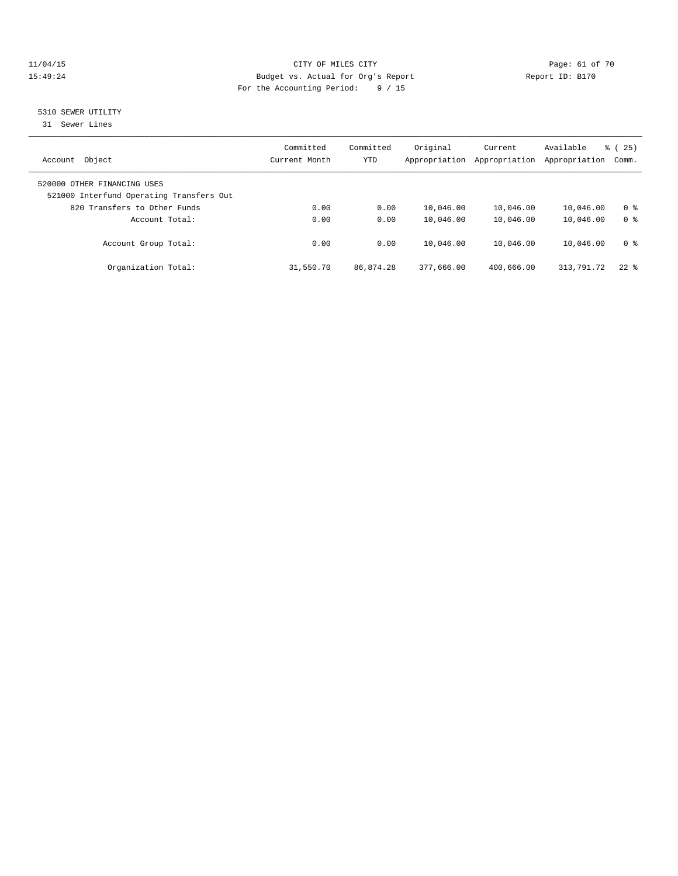### 11/04/15 **Page: 61 of 70** CITY OF MILES CITY **CITY** Page: 61 of 70 15:49:24 Budget vs. Actual for Org's Report Report ID: B170 For the Accounting Period: 9 / 15

## 5310 SEWER UTILITY

31 Sewer Lines

| Object<br>Account                                                       | Committed<br>Current Month | Committed<br><b>YTD</b> | Original<br>Appropriation | Current<br>Appropriation | Available<br>Appropriation | 25)<br>ී (<br>Comm. |
|-------------------------------------------------------------------------|----------------------------|-------------------------|---------------------------|--------------------------|----------------------------|---------------------|
| 520000 OTHER FINANCING USES<br>521000 Interfund Operating Transfers Out |                            |                         |                           |                          |                            |                     |
| 820 Transfers to Other Funds                                            | 0.00                       | 0.00                    | 10,046.00                 | 10,046.00                | 10,046.00                  | 0 <sup>8</sup>      |
| Account Total:                                                          | 0.00                       | 0.00                    | 10,046.00                 | 10,046.00                | 10,046.00                  | 0 <sup>8</sup>      |
| Account Group Total:                                                    | 0.00                       | 0.00                    | 10,046.00                 | 10,046.00                | 10,046.00                  | 0 <sup>8</sup>      |
| Organization Total:                                                     | 31,550.70                  | 86,874.28               | 377,666.00                | 400,666.00               | 313,791.72                 | $22$ $%$            |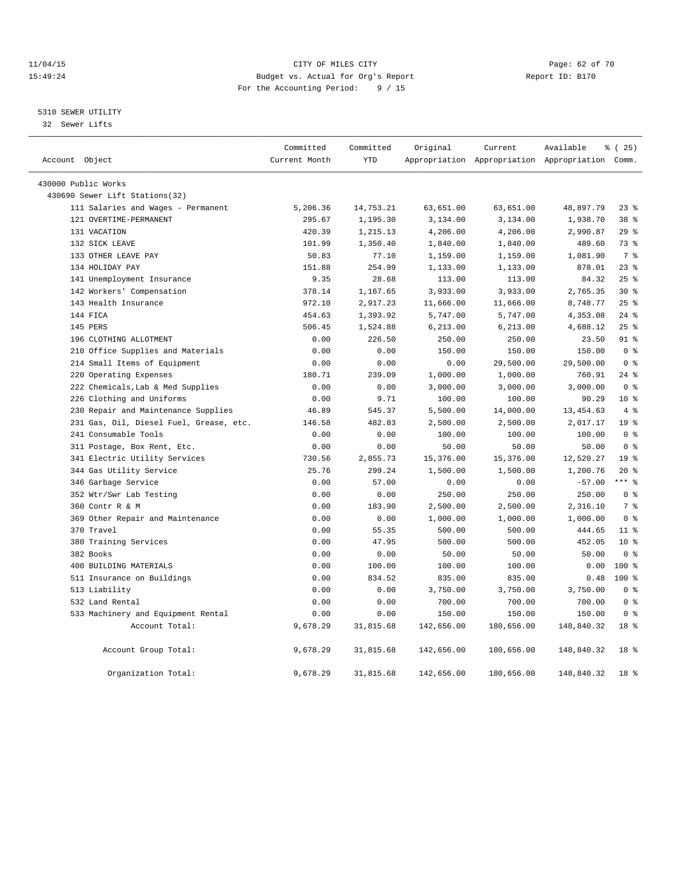### 11/04/15 **Page: 62 of 70** CITY OF MILES CITY **CITY Page: 62 of 70** 15:49:24 Budget vs. Actual for Org's Report Report ID: B170 For the Accounting Period: 9 / 15

### 5310 SEWER UTILITY

32 Sewer Lifts

| Account Object                          | Committed<br>Current Month | Committed<br><b>YTD</b> | Original   | Current    | Available<br>Appropriation Appropriation Appropriation Comm. | % (25)          |
|-----------------------------------------|----------------------------|-------------------------|------------|------------|--------------------------------------------------------------|-----------------|
|                                         |                            |                         |            |            |                                                              |                 |
| 430000 Public Works                     |                            |                         |            |            |                                                              |                 |
| 430690 Sewer Lift Stations(32)          |                            |                         |            |            |                                                              |                 |
| 111 Salaries and Wages - Permanent      | 5,206.36                   | 14,753.21               | 63,651.00  | 63,651.00  | 48,897.79                                                    | $23$ $%$        |
| 121 OVERTIME-PERMANENT                  | 295.67                     | 1,195.30                | 3,134.00   | 3,134.00   | 1,938.70                                                     | 38 %            |
| 131 VACATION                            | 420.39                     | 1,215.13                | 4,206.00   | 4,206.00   | 2,990.87                                                     | 29%             |
| 132 SICK LEAVE                          | 101.99                     | 1,350.40                | 1,840.00   | 1,840.00   | 489.60                                                       | 73.8            |
| 133 OTHER LEAVE PAY                     | 50.83                      | 77.10                   | 1,159.00   | 1,159.00   | 1,081.90                                                     | 7 <sup>°</sup>  |
| 134 HOLIDAY PAY                         | 151.88                     | 254.99                  | 1,133.00   | 1,133.00   | 878.01                                                       | $23$ $%$        |
| 141 Unemployment Insurance              | 9.35                       | 28.68                   | 113.00     | 113.00     | 84.32                                                        | 25%             |
| 142 Workers' Compensation               | 378.14                     | 1,167.65                | 3,933.00   | 3,933.00   | 2,765.35                                                     | $30*$           |
| 143 Health Insurance                    | 972.10                     | 2,917.23                | 11,666.00  | 11,666.00  | 8,748.77                                                     | 25%             |
| 144 FTCA                                | 454.63                     | 1,393.92                | 5,747.00   | 5,747.00   | 4,353.08                                                     | $24$ $%$        |
| 145 PERS                                | 506.45                     | 1,524.88                | 6, 213.00  | 6,213.00   | 4,688.12                                                     | 25%             |
| 196 CLOTHING ALLOTMENT                  | 0.00                       | 226.50                  | 250.00     | 250.00     | 23.50                                                        | $91$ %          |
| 210 Office Supplies and Materials       | 0.00                       | 0.00                    | 150.00     | 150.00     | 150.00                                                       | 0 <sup>8</sup>  |
| 214 Small Items of Equipment            | 0.00                       | 0.00                    | 0.00       | 29,500.00  | 29,500.00                                                    | 0 <sup>8</sup>  |
| 220 Operating Expenses                  | 180.71                     | 239.09                  | 1,000.00   | 1,000.00   | 760.91                                                       | $24$ $%$        |
| 222 Chemicals, Lab & Med Supplies       | 0.00                       | 0.00                    | 3,000.00   | 3,000.00   | 3,000.00                                                     | 0 <sup>8</sup>  |
| 226 Clothing and Uniforms               | 0.00                       | 9.71                    | 100.00     | 100.00     | 90.29                                                        | 10 <sup>8</sup> |
| 230 Repair and Maintenance Supplies     | 46.89                      | 545.37                  | 5,500.00   | 14,000.00  | 13, 454.63                                                   | 4%              |
| 231 Gas, Oil, Diesel Fuel, Grease, etc. | 146.58                     | 482.83                  | 2,500.00   | 2,500.00   | 2,017.17                                                     | 19 <sup>°</sup> |
| 241 Consumable Tools                    | 0.00                       | 0.00                    | 100.00     | 100.00     | 100.00                                                       | 0 <sup>8</sup>  |
| 311 Postage, Box Rent, Etc.             | 0.00                       | 0.00                    | 50.00      | 50.00      | 50.00                                                        | 0 <sup>8</sup>  |
| 341 Electric Utility Services           | 730.56                     | 2,855.73                | 15,376.00  | 15,376.00  | 12,520.27                                                    | 19 <sup>8</sup> |
| 344 Gas Utility Service                 | 25.76                      | 299.24                  | 1,500.00   | 1,500.00   | 1,200.76                                                     | $20*$           |
| 346 Garbage Service                     | 0.00                       | 57.00                   | 0.00       | 0.00       | $-57.00$                                                     | $***$ 8         |
| 352 Wtr/Swr Lab Testing                 | 0.00                       | 0.00                    | 250.00     | 250.00     | 250.00                                                       | 0 <sup>8</sup>  |
| 360 Contr R & M                         | 0.00                       | 183.90                  | 2,500.00   | 2,500.00   | 2,316.10                                                     | 7 %             |
| 369 Other Repair and Maintenance        | 0.00                       | 0.00                    | 1,000.00   | 1,000.00   | 1,000.00                                                     | 0 <sup>8</sup>  |
| 370 Travel                              | 0.00                       | 55.35                   | 500.00     | 500.00     | 444.65                                                       | 11 <sup>8</sup> |
| 380 Training Services                   | 0.00                       | 47.95                   | 500.00     | 500.00     | 452.05                                                       | $10*$           |
| 382 Books                               | 0.00                       | 0.00                    | 50.00      | 50.00      | 50.00                                                        | 0 <sup>8</sup>  |
| 400 BUILDING MATERIALS                  | 0.00                       | 100.00                  | 100.00     | 100.00     | 0.00                                                         | 100 %           |
| 511 Insurance on Buildings              | 0.00                       | 834.52                  | 835.00     | 835.00     | 0.48                                                         | $100*$          |
| 513 Liability                           | 0.00                       | 0.00                    | 3,750.00   | 3,750.00   | 3,750.00                                                     | 0 <sup>8</sup>  |
| 532 Land Rental                         | 0.00                       | 0.00                    | 700.00     | 700.00     | 700.00                                                       | 0 <sup>8</sup>  |
| 533 Machinery and Equipment Rental      | 0.00                       | 0.00                    | 150.00     | 150.00     | 150.00                                                       | 0 <sup>8</sup>  |
| Account Total:                          | 9,678.29                   | 31,815.68               | 142,656.00 | 180,656.00 | 148,840.32                                                   | 18 %            |
| Account Group Total:                    | 9,678.29                   | 31,815.68               | 142,656.00 | 180,656.00 | 148,840.32                                                   | 18 <sup>°</sup> |
| Organization Total:                     | 9,678.29                   | 31,815.68               | 142,656.00 | 180,656.00 | 148,840.32                                                   | 18 %            |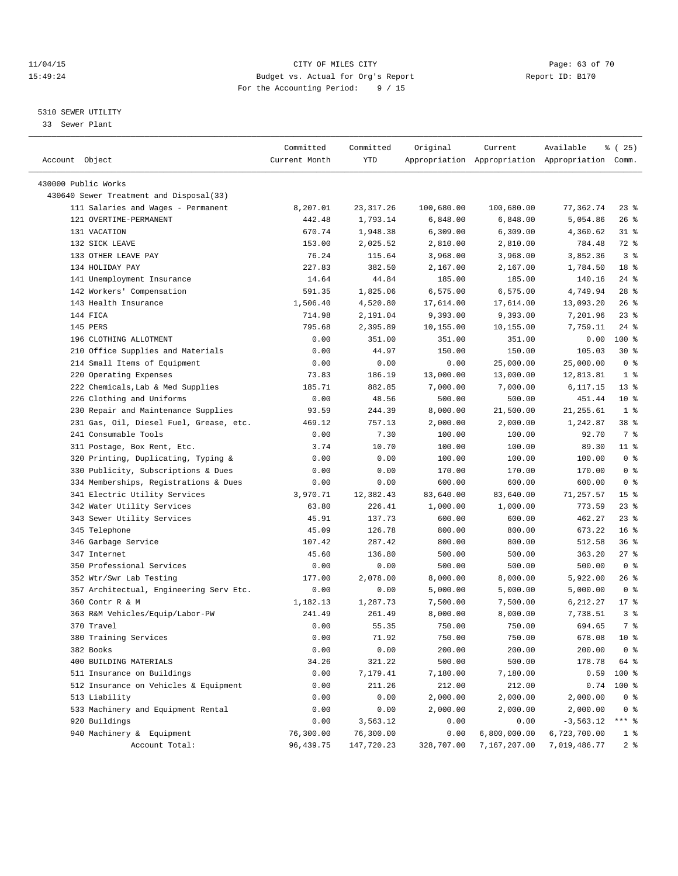### 11/04/15 Page: 63 of 70 15:49:24 Budget vs. Actual for Org's Report Report ID: B170 For the Accounting Period: 9 / 15

————————————————————————————————————————————————————————————————————————————————————————————————————————————————————————————————————

### 5310 SEWER UTILITY

33 Sewer Plant

|                                         | Committed         | Committed        | Original     | Current          | Available                                       | % (25)                |
|-----------------------------------------|-------------------|------------------|--------------|------------------|-------------------------------------------------|-----------------------|
| Account Object                          | Current Month     | <b>YTD</b>       |              |                  | Appropriation Appropriation Appropriation Comm. |                       |
| 430000 Public Works                     |                   |                  |              |                  |                                                 |                       |
| 430640 Sewer Treatment and Disposal(33) |                   |                  |              |                  |                                                 |                       |
| 111 Salaries and Wages - Permanent      | 8,207.01          | 23,317.26        | 100,680.00   | 100,680.00       | 77,362.74                                       | $23$ $%$              |
| 121 OVERTIME-PERMANENT                  | 442.48            | 1,793.14         | 6,848.00     | 6,848.00         | 5,054.86                                        | 26%                   |
| 131 VACATION                            | 670.74            | 1,948.38         | 6,309.00     | 6,309.00         | 4,360.62                                        | 31 %                  |
| 132 SICK LEAVE                          | 153.00            | 2,025.52         | 2,810.00     | 2,810.00         | 784.48                                          | 72 %                  |
| 133 OTHER LEAVE PAY                     | 76.24             | 115.64           | 3,968.00     | 3,968.00         | 3,852.36                                        | 3 <sup>8</sup>        |
| 134 HOLIDAY PAY                         | 227.83            | 382.50           | 2,167.00     | 2,167.00         | 1,784.50                                        | 18 %                  |
| 141 Unemployment Insurance              | 14.64             | 44.84            | 185.00       | 185.00           | 140.16                                          | $24$ %                |
| 142 Workers' Compensation               | 591.35            | 1,825.06         | 6,575.00     | 6,575.00         | 4,749.94                                        | $28$ %                |
| 143 Health Insurance                    | 1,506.40          | 4,520.80         | 17,614.00    | 17,614.00        | 13,093.20                                       | 26%                   |
| 144 FICA                                | 714.98            | 2,191.04         | 9,393.00     | 9,393.00         | 7,201.96                                        | $23$ $%$              |
| 145 PERS                                | 795.68            | 2,395.89         | 10,155.00    | 10,155.00        | 7,759.11                                        | $24$ %                |
| 196 CLOTHING ALLOTMENT                  | 0.00              | 351.00           | 351.00       | 351.00           | 0.00                                            | $100$ %               |
| 210 Office Supplies and Materials       | 0.00              | 44.97            | 150.00       | 150.00           | 105.03                                          | $30*$                 |
| 214 Small Items of Equipment            | 0.00              | 0.00             | 0.00         | 25,000.00        | 25,000.00                                       | 0 <sup>8</sup>        |
| 220 Operating Expenses                  | 73.83             | 186.19           | 13,000.00    | 13,000.00        | 12,813.81                                       | 1 <sup>8</sup>        |
| 222 Chemicals, Lab & Med Supplies       | 185.71            | 882.85           | 7,000.00     | 7,000.00         | 6,117.15                                        | $13*$                 |
| 226 Clothing and Uniforms               | 0.00              | 48.56            | 500.00       | 500.00           | 451.44                                          | $10*$                 |
| 230 Repair and Maintenance Supplies     | 93.59             | 244.39           | 8,000.00     | 21,500.00        | 21, 255.61                                      | 1 <sup>8</sup>        |
| 231 Gas, Oil, Diesel Fuel, Grease, etc. | 469.12            | 757.13           | 2,000.00     | 2,000.00         | 1,242.87                                        | 38 %                  |
| 241 Consumable Tools                    | 0.00              | 7.30             | 100.00       | 100.00           | 92.70                                           | 7 %                   |
| 311 Postage, Box Rent, Etc.             | 3.74              | 10.70            | 100.00       | 100.00           | 89.30                                           | $11$ %                |
| 320 Printing, Duplicating, Typing &     | 0.00              | 0.00             | 100.00       | 100.00           | 100.00                                          | 0 <sup>8</sup>        |
| 330 Publicity, Subscriptions & Dues     | 0.00              | 0.00             | 170.00       | 170.00           | 170.00                                          | 0 <sup>8</sup>        |
| 334 Memberships, Registrations & Dues   | 0.00              | 0.00             | 600.00       | 600.00           | 600.00                                          | 0 <sup>8</sup>        |
| 341 Electric Utility Services           | 3,970.71          | 12,382.43        | 83,640.00    | 83,640.00        | 71,257.57                                       | 15 <sup>8</sup>       |
| 342 Water Utility Services              | 63.80             | 226.41           | 1,000.00     | 1,000.00         | 773.59                                          | $23$ $%$              |
| 343 Sewer Utility Services              | 45.91             | 137.73           | 600.00       | 600.00           | 462.27                                          | $23$ $%$              |
| 345 Telephone                           | 45.09             | 126.78           | 800.00       | 800.00           | 673.22                                          | 16 <sup>°</sup>       |
| 346 Garbage Service                     | 107.42            | 287.42           | 800.00       | 800.00           | 512.58                                          | 36%                   |
| 347 Internet                            | 45.60             | 136.80           | 500.00       | 500.00           | 363.20                                          | $27$ %                |
| 350 Professional Services               | 0.00              | 0.00             | 500.00       | 500.00           | 500.00                                          | 0 <sup>8</sup>        |
| 352 Wtr/Swr Lab Testing                 | 177.00            | 2,078.00         | 8,000.00     | 8,000.00         | 5,922.00                                        | 26%                   |
| 357 Architectual, Engineering Serv Etc. | 0.00              | 0.00             | 5,000.00     | 5,000.00         | 5,000.00                                        | 0 <sup>8</sup>        |
| 360 Contr R & M                         | 1,182.13          | 1,287.73         | 7,500.00     | 7,500.00         | 6,212.27                                        | $17*$                 |
| 363 R&M Vehicles/Equip/Labor-PW         | 241.49            | 261.49           | 8,000.00     | 8,000.00         | 7,738.51                                        | 3 <sup>8</sup>        |
| 370 Travel                              | 0.00              | 55.35            | 750.00       | 750.00           | 694.65                                          | 7 %                   |
| 380 Training Services                   | 0.00              | 71.92            | 750.00       | 750.00           | 678.08 10 %                                     |                       |
| 382 Books                               | 0.00              | 0.00             | 200.00       | 200.00           | 200.00                                          | 0 <sup>8</sup>        |
| 400 BUILDING MATERIALS                  | 34.26             | 321.22           | 500.00       | 500.00           | 178.78                                          | 64 %                  |
| 511 Insurance on Buildings              | 0.00              | 7,179.41         | 7,180.00     | 7,180.00         | 0.59                                            | 100 %                 |
| 512 Insurance on Vehicles & Equipment   | 0.00              | 211.26           | 212.00       | 212.00           | 0.74                                            | 100 %                 |
| 513 Liability                           |                   |                  |              |                  |                                                 |                       |
| 533 Machinery and Equipment Rental      | 0.00              | 0.00             | 2,000.00     | 2,000.00         | 2,000.00                                        | $0$ %                 |
| 920 Buildings                           | 0.00              | 0.00<br>3,563.12 | 2,000.00     | 2,000.00<br>0.00 | 2,000.00                                        | $0$ %<br>$***$ $_{8}$ |
| 940 Machinery & Equipment               | 0.00<br>76,300.00 | 76,300.00        | 0.00<br>0.00 | 6,800,000.00     | $-3,563.12$<br>6,723,700.00                     | 1 <sup>°</sup>        |
| Account Total:                          | 96, 439.75        | 147,720.23       | 328,707.00   | 7,167,207.00     | 7,019,486.77                                    | 2 <sub>8</sub>        |
|                                         |                   |                  |              |                  |                                                 |                       |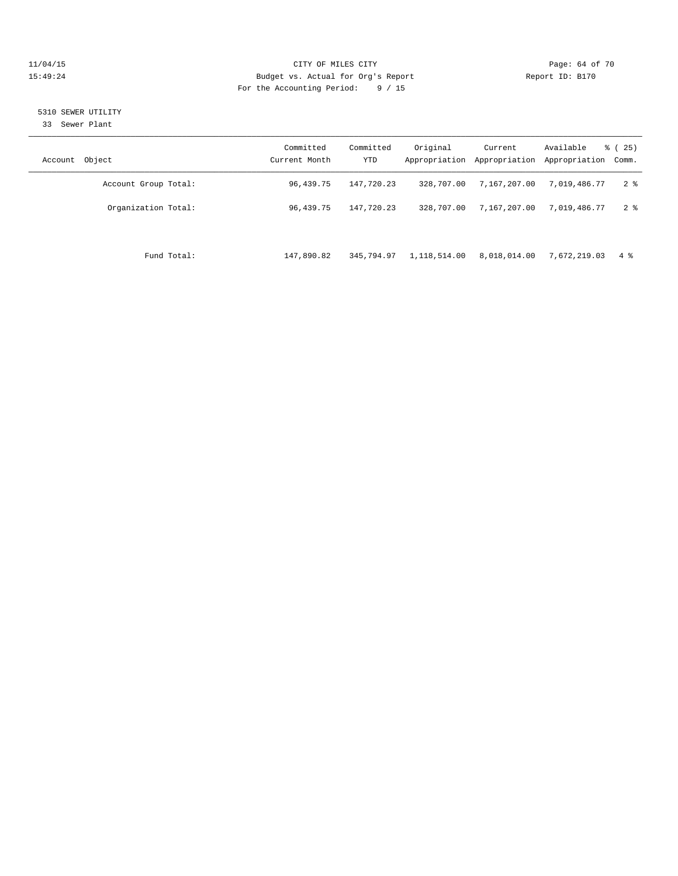### 11/04/15 **Page: 64 of 70 CITY OF MILES CITY CITY Page: 64 of 70** 15:49:24 Budget vs. Actual for Org's Report Report ID: B170 For the Accounting Period: 9 / 15

### 5310 SEWER UTILITY

33 Sewer Plant

| Account Object |                      | Committed<br>Current Month | Committed<br>YTD | Original     | Current<br>Appropriation Appropriation | Available<br>Appropriation | $\frac{1}{6}$ ( 25)<br>Comm. |
|----------------|----------------------|----------------------------|------------------|--------------|----------------------------------------|----------------------------|------------------------------|
|                | Account Group Total: | 96,439.75                  | 147,720.23       | 328,707.00   | 7,167,207.00                           | 7,019,486.77               | 2 <sup>8</sup>               |
|                | Organization Total:  | 96,439.75                  | 147,720.23       | 328,707.00   | 7,167,207.00                           | 7,019,486.77               | $2 \div$                     |
|                |                      |                            |                  |              |                                        |                            |                              |
|                | Fund Total:          | 147,890.82                 | 345,794.97       | 1,118,514.00 | 8,018,014.00                           | 7,672,219.03               | 4 %                          |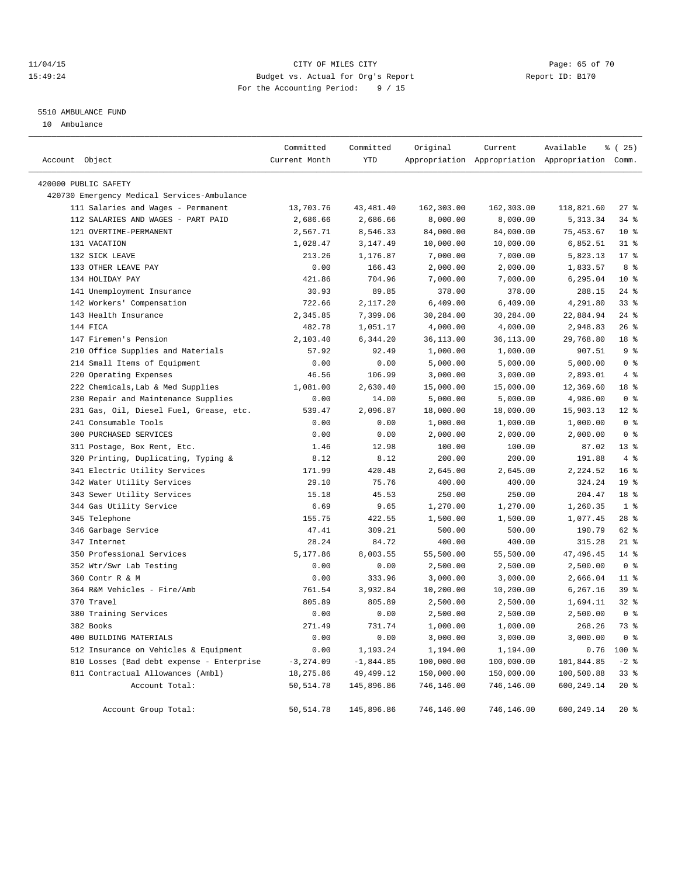### 11/04/15 **Page: 65 of 70** CITY OF MILES CITY **CITY Page: 65 of 70** 15:49:24 Budget vs. Actual for Org's Report Report ID: B170 For the Accounting Period: 9 / 15

### 5510 AMBULANCE FUND

10 Ambulance

| Account Object |                                             | Committed<br>Current Month | Committed<br>YTD | Original   | Current    | Available<br>Appropriation Appropriation Appropriation Comm. | $*(25)$         |
|----------------|---------------------------------------------|----------------------------|------------------|------------|------------|--------------------------------------------------------------|-----------------|
|                | 420000 PUBLIC SAFETY                        |                            |                  |            |            |                                                              |                 |
|                | 420730 Emergency Medical Services-Ambulance |                            |                  |            |            |                                                              |                 |
|                | 111 Salaries and Wages - Permanent          | 13,703.76                  | 43, 481. 40      | 162,303.00 | 162,303.00 | 118,821.60                                                   | $27$ %          |
|                | 112 SALARIES AND WAGES - PART PAID          | 2,686.66                   | 2,686.66         | 8,000.00   | 8,000.00   | 5, 313.34                                                    | 34 %            |
|                | 121 OVERTIME-PERMANENT                      | 2,567.71                   | 8,546.33         | 84,000.00  | 84,000.00  | 75,453.67                                                    | $10*$           |
|                | 131 VACATION                                | 1,028.47                   | 3,147.49         | 10,000.00  | 10,000.00  | 6,852.51                                                     | $31$ $%$        |
|                | 132 SICK LEAVE                              | 213.26                     | 1,176.87         | 7,000.00   | 7,000.00   | 5,823.13                                                     | $17*$           |
|                | 133 OTHER LEAVE PAY                         | 0.00                       | 166.43           | 2,000.00   | 2,000.00   | 1,833.57                                                     | 8 %             |
|                | 134 HOLIDAY PAY                             | 421.86                     | 704.96           | 7,000.00   | 7,000.00   | 6,295.04                                                     | $10*$           |
|                | 141 Unemployment Insurance                  | 30.93                      | 89.85            | 378.00     | 378.00     | 288.15                                                       | $24$ %          |
|                | 142 Workers' Compensation                   | 722.66                     | 2,117.20         | 6,409.00   | 6,409.00   | 4,291.80                                                     | 33%             |
|                | 143 Health Insurance                        | 2,345.85                   | 7,399.06         | 30,284.00  | 30,284.00  | 22,884.94                                                    | $24$ %          |
|                | 144 FICA                                    | 482.78                     | 1,051.17         | 4,000.00   | 4,000.00   | 2,948.83                                                     | $26$ %          |
|                | 147 Firemen's Pension                       | 2,103.40                   | 6,344.20         | 36,113.00  | 36,113.00  | 29,768.80                                                    | 18 %            |
|                | 210 Office Supplies and Materials           | 57.92                      | 92.49            | 1,000.00   | 1,000.00   | 907.51                                                       | 9%              |
|                | 214 Small Items of Equipment                | 0.00                       | 0.00             | 5,000.00   | 5,000.00   | 5,000.00                                                     | 0 <sup>8</sup>  |
|                | 220 Operating Expenses                      | 46.56                      | 106.99           | 3,000.00   | 3,000.00   | 2,893.01                                                     | 4%              |
|                | 222 Chemicals, Lab & Med Supplies           | 1,081.00                   | 2,630.40         | 15,000.00  | 15,000.00  | 12,369.60                                                    | 18 %            |
|                | 230 Repair and Maintenance Supplies         | 0.00                       | 14.00            | 5,000.00   | 5,000.00   | 4,986.00                                                     | 0 <sup>8</sup>  |
|                | 231 Gas, Oil, Diesel Fuel, Grease, etc.     | 539.47                     | 2,096.87         | 18,000.00  | 18,000.00  | 15,903.13                                                    | $12$ %          |
|                | 241 Consumable Tools                        | 0.00                       | 0.00             | 1,000.00   | 1,000.00   | 1,000.00                                                     | 0 <sup>8</sup>  |
|                | 300 PURCHASED SERVICES                      | 0.00                       | 0.00             | 2,000.00   | 2,000.00   | 2,000.00                                                     | 0 <sup>8</sup>  |
|                | 311 Postage, Box Rent, Etc.                 | 1.46                       | 12.98            | 100.00     | 100.00     | 87.02                                                        | $13*$           |
|                | 320 Printing, Duplicating, Typing &         | 8.12                       | 8.12             | 200.00     | 200.00     | 191.88                                                       | 4%              |
|                | 341 Electric Utility Services               | 171.99                     | 420.48           | 2,645.00   | 2,645.00   | 2,224.52                                                     | 16 <sup>°</sup> |
|                | 342 Water Utility Services                  | 29.10                      | 75.76            | 400.00     | 400.00     | 324.24                                                       | 19 <sup>°</sup> |
|                | 343 Sewer Utility Services                  | 15.18                      | 45.53            | 250.00     | 250.00     | 204.47                                                       | 18 %            |
|                | 344 Gas Utility Service                     | 6.69                       | 9.65             | 1,270.00   | 1,270.00   | 1,260.35                                                     | 1 <sup>°</sup>  |
|                | 345 Telephone                               | 155.75                     | 422.55           | 1,500.00   | 1,500.00   | 1,077.45                                                     | $28$ %          |
|                | 346 Garbage Service                         | 47.41                      | 309.21           | 500.00     | 500.00     | 190.79                                                       | 62 %            |
|                | 347 Internet                                | 28.24                      | 84.72            | 400.00     | 400.00     | 315.28                                                       | $21$ %          |
|                | 350 Professional Services                   | 5,177.86                   | 8,003.55         | 55,500.00  | 55,500.00  | 47,496.45                                                    | $14$ %          |
|                | 352 Wtr/Swr Lab Testing                     | 0.00                       | 0.00             | 2,500.00   | 2,500.00   | 2,500.00                                                     | 0 <sup>8</sup>  |
|                | 360 Contr R & M                             | 0.00                       | 333.96           | 3,000.00   | 3,000.00   | 2,666.04                                                     | $11*$           |
|                | 364 R&M Vehicles - Fire/Amb                 | 761.54                     | 3,932.84         | 10,200.00  | 10,200.00  | 6,267.16                                                     | 39 %            |
|                | 370 Travel                                  | 805.89                     | 805.89           | 2,500.00   | 2,500.00   | 1,694.11                                                     | $32$ $%$        |
|                | 380 Training Services                       | 0.00                       | 0.00             | 2,500.00   | 2,500.00   | 2,500.00                                                     | 0 <sup>8</sup>  |
|                | 382 Books                                   | 271.49                     | 731.74           | 1,000.00   | 1,000.00   | 268.26                                                       | 73.8            |
|                | 400 BUILDING MATERIALS                      | 0.00                       | 0.00             | 3,000.00   | 3,000.00   | 3,000.00                                                     | 0 <sup>8</sup>  |
|                | 512 Insurance on Vehicles & Equipment       | 0.00                       | 1,193.24         | 1,194.00   | 1,194.00   | 0.76                                                         | 100 %           |
|                | 810 Losses (Bad debt expense - Enterprise   | $-3, 274.09$               | $-1,844.85$      | 100,000.00 | 100,000.00 | 101,844.85                                                   | $-2$ %          |
|                | 811 Contractual Allowances (Ambl)           | 18,275.86                  | 49, 499. 12      | 150,000.00 | 150,000.00 | 100,500.88                                                   | 33%             |
|                | Account Total:                              | 50, 514.78                 | 145,896.86       | 746,146.00 | 746,146.00 | 600,249.14                                                   | $20*$           |
|                | Account Group Total:                        | 50, 514.78                 | 145,896.86       | 746,146.00 | 746,146.00 | 600,249.14                                                   | $20*$           |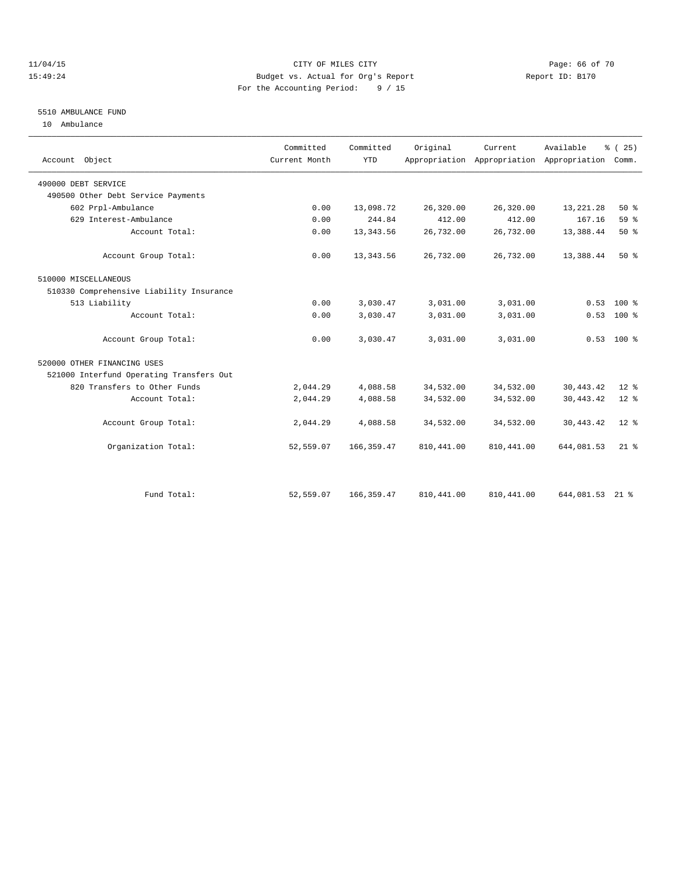### 11/04/15 **Page: 66 of 70** CITY OF MILES CITY **CITY Page: 66 of 70** 15:49:24 Budget vs. Actual for Org's Report Report ID: B170 For the Accounting Period: 9 / 15

### 5510 AMBULANCE FUND

10 Ambulance

| Account Object                           | Committed<br>Current Month | Committed<br><b>YTD</b> | Original    | Current.    | Available<br>Appropriation Appropriation Appropriation | % (25)<br>Comm. |
|------------------------------------------|----------------------------|-------------------------|-------------|-------------|--------------------------------------------------------|-----------------|
| 490000 DEBT SERVICE                      |                            |                         |             |             |                                                        |                 |
| 490500 Other Debt Service Payments       |                            |                         |             |             |                                                        |                 |
| 602 Prpl-Ambulance                       | 0.00                       | 13,098.72               | 26,320.00   | 26,320.00   | 13, 221. 28                                            | $50*$           |
| 629 Interest-Ambulance                   | 0.00                       | 244.84                  | 412.00      | 412.00      | 167.16                                                 | 59 <sub>8</sub> |
| Account Total:                           | 0.00                       | 13, 343.56              | 26,732.00   | 26,732.00   | 13,388.44                                              | 50%             |
| Account Group Total:                     | 0.00                       | 13, 343.56              | 26,732.00   | 26,732.00   | 13,388.44                                              | $50*$           |
| 510000 MISCELLANEOUS                     |                            |                         |             |             |                                                        |                 |
| 510330 Comprehensive Liability Insurance |                            |                         |             |             |                                                        |                 |
| 513 Liability                            | 0.00                       | 3,030.47                | 3,031.00    | 3,031.00    | 0.53                                                   | $100*$          |
| Account Total:                           | 0.00                       | 3,030.47                | 3,031.00    | 3,031.00    | 0.53                                                   | 100 %           |
| Account Group Total:                     | 0.00                       | 3,030.47                | 3,031.00    | 3,031.00    |                                                        | $0.53$ 100 %    |
| 520000 OTHER FINANCING USES              |                            |                         |             |             |                                                        |                 |
| 521000 Interfund Operating Transfers Out |                            |                         |             |             |                                                        |                 |
| 820 Transfers to Other Funds             | 2,044.29                   | 4,088.58                | 34,532.00   | 34,532.00   | 30, 443. 42                                            | $12*$           |
| Account Total:                           | 2,044.29                   | 4,088.58                | 34,532.00   | 34,532.00   | 30, 443.42                                             | $12*$           |
| Account Group Total:                     | 2,044.29                   | 4,088.58                | 34,532.00   | 34,532.00   | 30, 443.42                                             | $12*$           |
| Organization Total:                      | 52,559.07                  | 166, 359.47             | 810, 441.00 | 810, 441.00 | 644,081.53                                             | $21$ $%$        |
|                                          |                            |                         |             |             |                                                        |                 |
| Fund Total:                              | 52,559.07                  | 166, 359.47             | 810, 441.00 | 810, 441.00 | 644,081.53 21 %                                        |                 |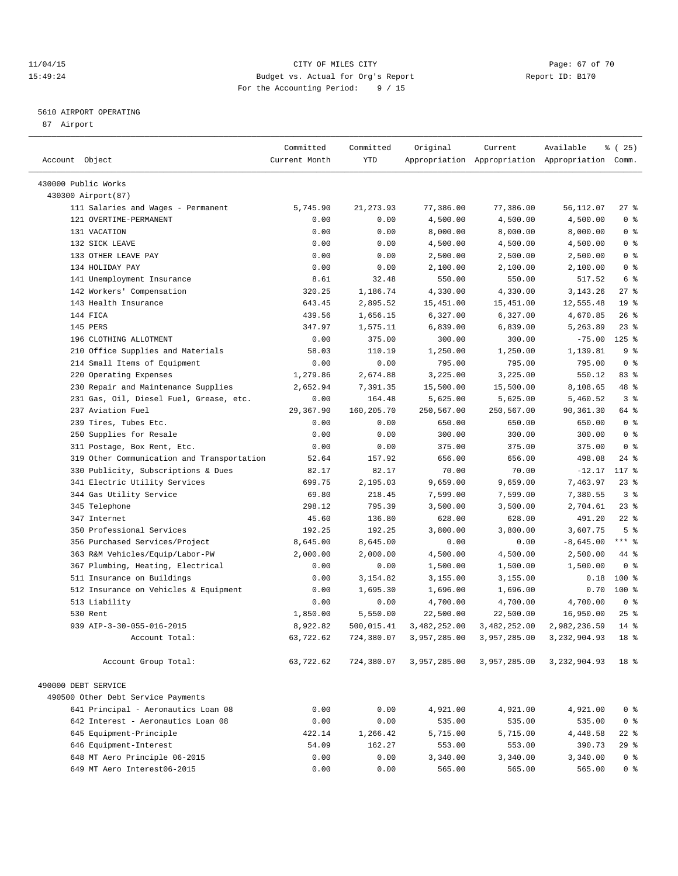### 11/04/15 Page: 67 of 70 15:49:24 Budget vs. Actual for Org's Report Report ID: B170 For the Accounting Period: 9 / 15

————————————————————————————————————————————————————————————————————————————————————————————————————————————————————————————————————

### 5610 AIRPORT OPERATING

87 Airport

|                                            | Committed     | Committed    | Original             | Current                   | Available                                       | % (25)                           |
|--------------------------------------------|---------------|--------------|----------------------|---------------------------|-------------------------------------------------|----------------------------------|
| Account Object                             | Current Month | YTD          |                      |                           | Appropriation Appropriation Appropriation Comm. |                                  |
|                                            |               |              |                      |                           |                                                 |                                  |
| 430000 Public Works                        |               |              |                      |                           |                                                 |                                  |
| 430300 Airport (87)                        |               |              |                      |                           |                                                 |                                  |
| 111 Salaries and Wages - Permanent         | 5,745.90      | 21, 273.93   | 77,386.00            | 77,386.00                 | 56,112.07                                       | $27$ %                           |
| 121 OVERTIME-PERMANENT                     | 0.00          | 0.00         | 4,500.00             | 4,500.00                  | 4,500.00                                        | 0 <sup>8</sup>                   |
| 131 VACATION<br>132 SICK LEAVE             | 0.00          | 0.00         | 8,000.00             | 8,000.00                  | 8,000.00                                        | 0 <sup>8</sup><br>0 <sup>8</sup> |
| 133 OTHER LEAVE PAY                        | 0.00<br>0.00  | 0.00<br>0.00 | 4,500.00             | 4,500.00                  | 4,500.00                                        | 0 <sup>8</sup>                   |
| 134 HOLIDAY PAY                            | 0.00          | 0.00         | 2,500.00<br>2,100.00 | 2,500.00<br>2,100.00      | 2,500.00<br>2,100.00                            | 0 <sup>8</sup>                   |
| 141 Unemployment Insurance                 | 8.61          | 32.48        | 550.00               | 550.00                    | 517.52                                          | 6 %                              |
| 142 Workers' Compensation                  | 320.25        | 1,186.74     | 4,330.00             | 4,330.00                  | 3, 143. 26                                      | $27$ %                           |
| 143 Health Insurance                       | 643.45        | 2,895.52     | 15,451.00            | 15,451.00                 | 12,555.48                                       | 19 <sup>°</sup>                  |
| 144 FICA                                   | 439.56        | 1,656.15     | 6,327.00             | 6,327.00                  | 4,670.85                                        | $26$ %                           |
| 145 PERS                                   | 347.97        | 1,575.11     | 6,839.00             | 6,839.00                  | 5,263.89                                        | $23$ $%$                         |
| 196 CLOTHING ALLOTMENT                     | 0.00          | 375.00       | 300.00               | 300.00                    | $-75.00$                                        | $125$ %                          |
| 210 Office Supplies and Materials          | 58.03         | 110.19       | 1,250.00             | 1,250.00                  | 1,139.81                                        | 9%                               |
| 214 Small Items of Equipment               | 0.00          | 0.00         | 795.00               | 795.00                    | 795.00                                          | 0 <sup>8</sup>                   |
| 220 Operating Expenses                     | 1,279.86      | 2,674.88     | 3,225.00             | 3,225.00                  | 550.12                                          | 83 %                             |
| 230 Repair and Maintenance Supplies        | 2,652.94      | 7,391.35     | 15,500.00            | 15,500.00                 | 8,108.65                                        | 48 %                             |
| 231 Gas, Oil, Diesel Fuel, Grease, etc.    | 0.00          | 164.48       | 5,625.00             | 5,625.00                  | 5,460.52                                        | 3%                               |
| 237 Aviation Fuel                          | 29,367.90     | 160,205.70   | 250,567.00           | 250,567.00                | 90,361.30                                       | 64 %                             |
| 239 Tires, Tubes Etc.                      | 0.00          | 0.00         | 650.00               | 650.00                    | 650.00                                          | 0 <sup>8</sup>                   |
| 250 Supplies for Resale                    | 0.00          | 0.00         | 300.00               | 300.00                    | 300.00                                          | 0 <sup>8</sup>                   |
| 311 Postage, Box Rent, Etc.                | 0.00          | 0.00         | 375.00               | 375.00                    | 375.00                                          | 0 <sup>8</sup>                   |
| 319 Other Communication and Transportation | 52.64         | 157.92       | 656.00               | 656.00                    | 498.08                                          | 24 %                             |
| 330 Publicity, Subscriptions & Dues        | 82.17         | 82.17        | 70.00                | 70.00                     | $-12.17$                                        | 117 %                            |
| 341 Electric Utility Services              | 699.75        | 2,195.03     | 9,659.00             | 9,659.00                  | 7,463.97                                        | $23$ $%$                         |
| 344 Gas Utility Service                    | 69.80         | 218.45       | 7,599.00             | 7,599.00                  | 7,380.55                                        | 3 %                              |
| 345 Telephone                              | 298.12        | 795.39       | 3,500.00             | 3,500.00                  | 2,704.61                                        | $23$ $%$                         |
| 347 Internet                               | 45.60         | 136.80       | 628.00               | 628.00                    | 491.20                                          | $22$ %                           |
| 350 Professional Services                  | 192.25        | 192.25       | 3,800.00             | 3,800.00                  | 3,607.75                                        | 5 <sup>°</sup>                   |
| 356 Purchased Services/Project             | 8,645.00      | 8,645.00     | 0.00                 | 0.00                      | $-8,645.00$                                     | $***$ $-$                        |
| 363 R&M Vehicles/Equip/Labor-PW            | 2,000.00      | 2,000.00     | 4,500.00             | 4,500.00                  | 2,500.00                                        | 44 %                             |
| 367 Plumbing, Heating, Electrical          | 0.00          | 0.00         | 1,500.00             | 1,500.00                  | 1,500.00                                        | 0 <sup>8</sup>                   |
| 511 Insurance on Buildings                 | 0.00          | 3,154.82     | 3,155.00             | 3,155.00                  | 0.18                                            | 100 %                            |
| 512 Insurance on Vehicles & Equipment      | 0.00          | 1,695.30     | 1,696.00             | 1,696.00                  | 0.70                                            | 100 %                            |
| 513 Liability                              | 0.00          | 0.00         | 4,700.00             | 4,700.00                  | 4,700.00                                        | 0 <sup>8</sup>                   |
| 530 Rent                                   | 1,850.00      | 5,550.00     | 22,500.00            | 22,500.00                 | 16,950.00                                       | $25$ %                           |
| 939 AIP-3-30-055-016-2015                  | 8,922.82      | 500,015.41   | 3,482,252.00         | 3,482,252.00              | 2,982,236.59                                    | $14$ $\frac{6}{5}$               |
| Account Total:                             | 63,722.62     | 724,380.07   |                      | 3,957,285.00 3,957,285.00 | 3, 232, 904.93                                  | 18 %                             |
| Account Group Total:                       | 63,722.62     | 724,380.07   | 3,957,285.00         | 3,957,285.00              | 3,232,904.93                                    | 18 <sup>°</sup>                  |
|                                            |               |              |                      |                           |                                                 |                                  |
| 490000 DEBT SERVICE                        |               |              |                      |                           |                                                 |                                  |
| 490500 Other Debt Service Payments         |               |              |                      |                           |                                                 |                                  |
| 641 Principal - Aeronautics Loan 08        | 0.00          | 0.00         | 4,921.00             | 4,921.00                  | 4,921.00                                        | 0 <sup>8</sup>                   |
| 642 Interest - Aeronautics Loan 08         | 0.00          | 0.00         | 535.00               | 535.00                    | 535.00                                          | 0 <sup>8</sup>                   |
| 645 Equipment-Principle                    | 422.14        | 1,266.42     | 5,715.00             | 5,715.00                  | 4,448.58                                        | $22$ %                           |
| 646 Equipment-Interest                     | 54.09         | 162.27       | 553.00               | 553.00                    | 390.73                                          | $29$ %                           |
| 648 MT Aero Principle 06-2015              | 0.00          | 0.00         | 3,340.00             | 3,340.00                  | 3,340.00                                        | 0 <sup>8</sup>                   |
| 649 MT Aero Interest06-2015                | 0.00          | 0.00         | 565.00               | 565.00                    | 565.00                                          | 0 <sup>8</sup>                   |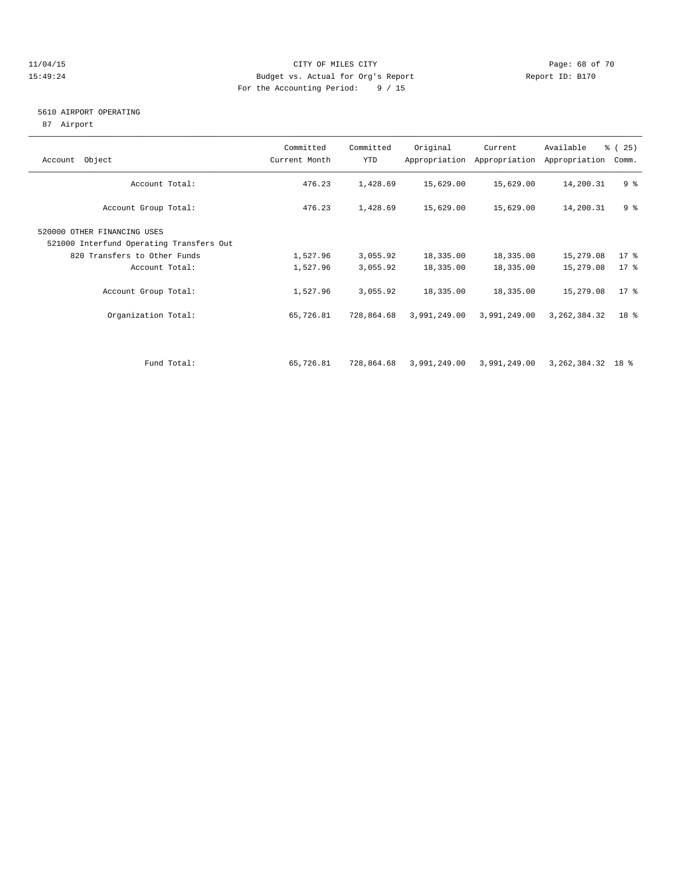### 11/04/15 **Page: 68 of 70** CITY OF MILES CITY **CITY Page: 68 of 70** 15:49:24 Budget vs. Actual for Org's Report Report ID: B170 For the Accounting Period: 9 / 15

### 5610 AIRPORT OPERATING

87 Airport

| Account Object                                                                                                            | Committed<br>Current Month | Committed<br>YTD       | Original                  | Current<br>Appropriation Appropriation | Available<br>Appropriation   | % (25)<br>Comm.           |
|---------------------------------------------------------------------------------------------------------------------------|----------------------------|------------------------|---------------------------|----------------------------------------|------------------------------|---------------------------|
| Account Total:                                                                                                            | 476.23                     | 1,428.69               | 15,629.00                 | 15,629.00                              | 14,200.31                    | 9 <sup>8</sup>            |
| Account Group Total:                                                                                                      | 476.23                     | 1,428.69               | 15,629.00                 | 15,629.00                              | 14,200.31                    | 9%                        |
| 520000 OTHER FINANCING USES<br>521000 Interfund Operating Transfers Out<br>820 Transfers to Other Funds<br>Account Total: | 1,527.96<br>1,527.96       | 3,055.92<br>3,055.92   | 18,335.00<br>18,335.00    | 18,335.00<br>18,335.00                 | 15,279.08<br>15,279.08       | $17$ %<br>$17*$           |
| Account Group Total:<br>Organization Total:                                                                               | 1,527.96<br>65,726.81      | 3,055.92<br>728,864.68 | 18,335.00<br>3,991,249.00 | 18,335.00<br>3,991,249.00              | 15,279.08<br>3, 262, 384. 32 | $17$ %<br>18 <sup>8</sup> |
|                                                                                                                           |                            |                        |                           |                                        |                              |                           |
| Fund Total:                                                                                                               | 65,726.81                  | 728,864.68             | 3,991,249.00              | 3,991,249.00                           | 3, 262, 384. 32 18 %         |                           |